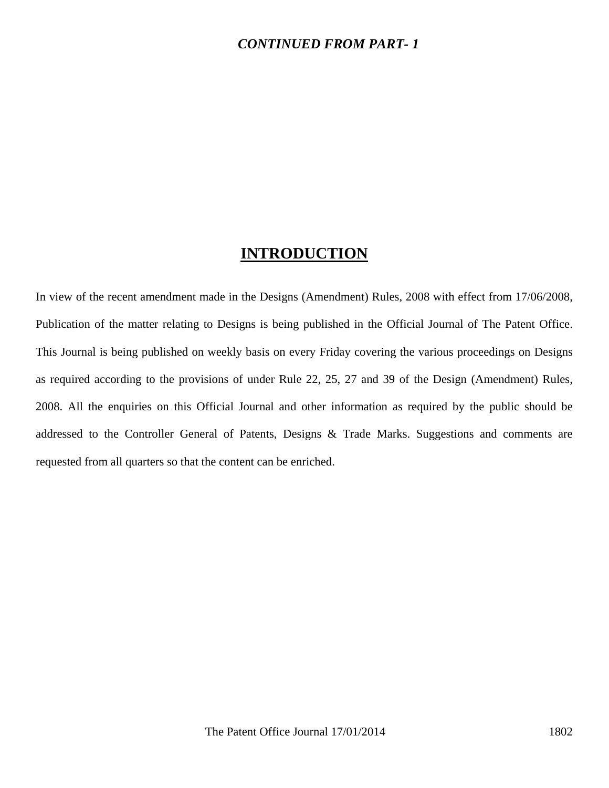#### *CONTINUED FROM PART- 1*

## **INTRODUCTION**

In view of the recent amendment made in the Designs (Amendment) Rules, 2008 with effect from 17/06/2008, Publication of the matter relating to Designs is being published in the Official Journal of The Patent Office. This Journal is being published on weekly basis on every Friday covering the various proceedings on Designs as required according to the provisions of under Rule 22, 25, 27 and 39 of the Design (Amendment) Rules, 2008. All the enquiries on this Official Journal and other information as required by the public should be addressed to the Controller General of Patents, Designs & Trade Marks. Suggestions and comments are requested from all quarters so that the content can be enriched.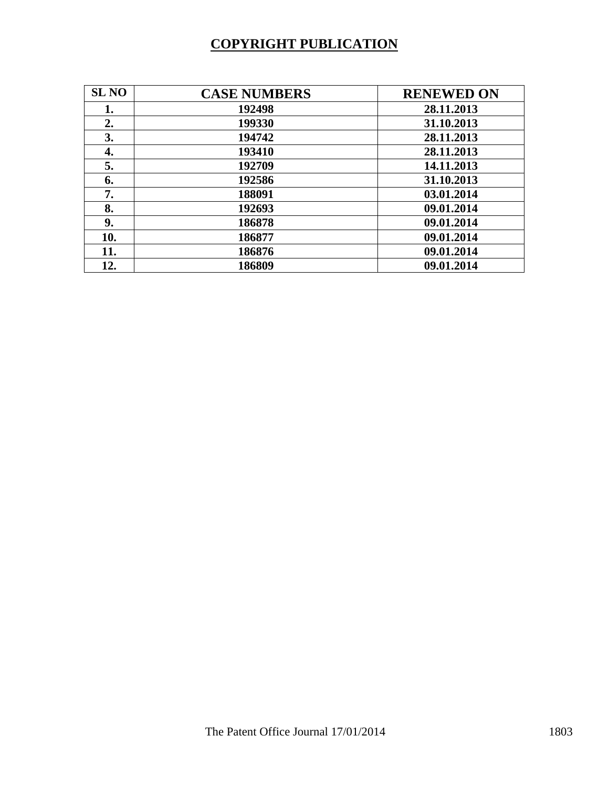# **COPYRIGHT PUBLICATION**

| <b>SL NO</b> | <b>CASE NUMBERS</b> | <b>RENEWED ON</b> |
|--------------|---------------------|-------------------|
| 1.           | 192498              | 28.11.2013        |
| 2.           | 199330              | 31.10.2013        |
| 3.           | 194742              | 28.11.2013        |
| 4.           | 193410              | 28.11.2013        |
| 5.           | 192709              | 14.11.2013        |
| 6.           | 192586              | 31.10.2013        |
| 7.           | 188091              | 03.01.2014        |
| 8.           | 192693              | 09.01.2014        |
| 9.           | 186878              | 09.01.2014        |
| 10.          | 186877              | 09.01.2014        |
| 11.          | 186876              | 09.01.2014        |
| 12.          | 186809              | 09.01.2014        |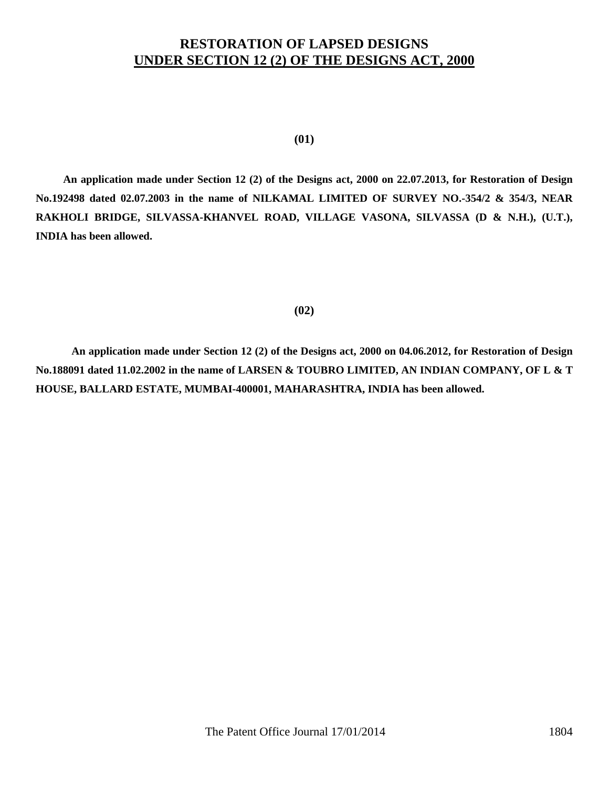### **RESTORATION OF LAPSED DESIGNS UNDER SECTION 12 (2) OF THE DESIGNS ACT, 2000**

**(01)** 

 **An application made under Section 12 (2) of the Designs act, 2000 on 22.07.2013, for Restoration of Design No.192498 dated 02.07.2003 in the name of NILKAMAL LIMITED OF SURVEY NO.-354/2 & 354/3, NEAR RAKHOLI BRIDGE, SILVASSA-KHANVEL ROAD, VILLAGE VASONA, SILVASSA (D & N.H.), (U.T.), INDIA has been allowed.** 

#### **(02)**

**An application made under Section 12 (2) of the Designs act, 2000 on 04.06.2012, for Restoration of Design No.188091 dated 11.02.2002 in the name of LARSEN & TOUBRO LIMITED, AN INDIAN COMPANY, OF L & T HOUSE, BALLARD ESTATE, MUMBAI-400001, MAHARASHTRA, INDIA has been allowed.**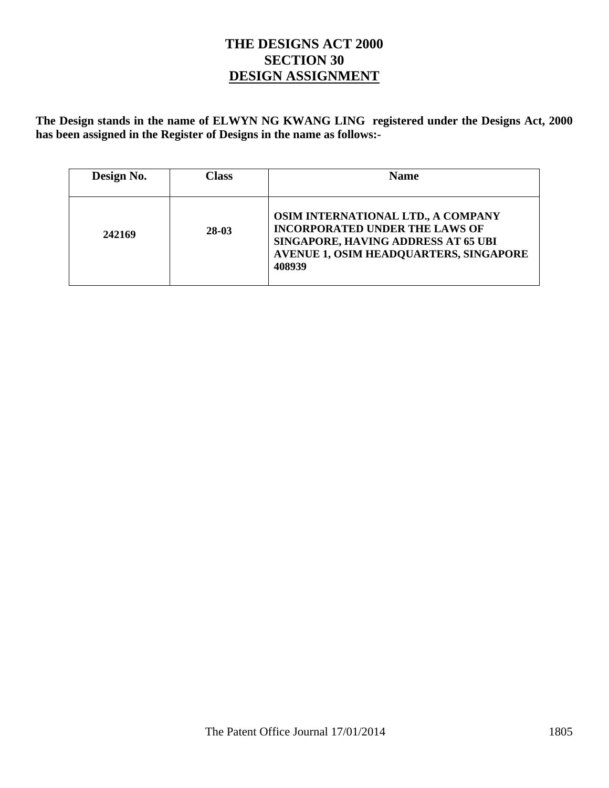### **THE DESIGNS ACT 2000 SECTION 30 DESIGN ASSIGNMENT**

**The Design stands in the name of ELWYN NG KWANG LING registered under the Designs Act, 2000 has been assigned in the Register of Designs in the name as follows:-** 

| Design No. | Class | <b>Name</b>                                                                                                                                                                   |
|------------|-------|-------------------------------------------------------------------------------------------------------------------------------------------------------------------------------|
| 242169     | 28-03 | OSIM INTERNATIONAL LTD., A COMPANY<br><b>INCORPORATED UNDER THE LAWS OF</b><br>SINGAPORE, HAVING ADDRESS AT 65 UBI<br><b>AVENUE 1, OSIM HEADQUARTERS, SINGAPORE</b><br>408939 |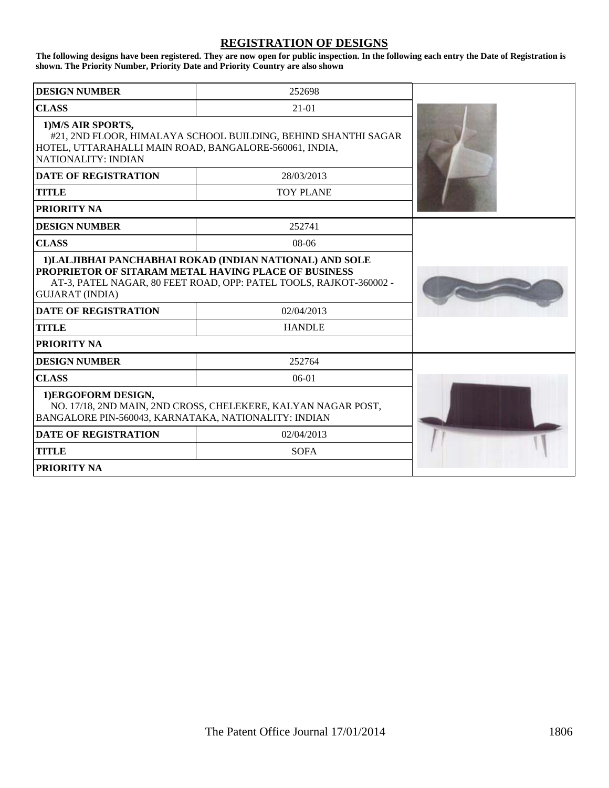#### **REGISTRATION OF DESIGNS**

**The following designs have been registered. They are now open for public inspection. In the following each entry the Date of Registration is shown. The Priority Number, Priority Date and Priority Country are also shown**

| <b>DESIGN NUMBER</b>                                                                                                                                                  | 252698                                                                                                                         |  |
|-----------------------------------------------------------------------------------------------------------------------------------------------------------------------|--------------------------------------------------------------------------------------------------------------------------------|--|
| <b>CLASS</b>                                                                                                                                                          |                                                                                                                                |  |
| 1) M/S AIR SPORTS,<br>#21, 2ND FLOOR, HIMALAYA SCHOOL BUILDING, BEHIND SHANTHI SAGAR<br>HOTEL, UTTARAHALLI MAIN ROAD, BANGALORE-560061, INDIA,<br>NATIONALITY: INDIAN |                                                                                                                                |  |
| <b>DATE OF REGISTRATION</b>                                                                                                                                           | 28/03/2013                                                                                                                     |  |
| <b>TITLE</b>                                                                                                                                                          | <b>TOY PLANE</b>                                                                                                               |  |
| <b>PRIORITY NA</b>                                                                                                                                                    |                                                                                                                                |  |
| <b>DESIGN NUMBER</b>                                                                                                                                                  | 252741                                                                                                                         |  |
| <b>CLASS</b>                                                                                                                                                          | $08-06$                                                                                                                        |  |
| <b>PROPRIETOR OF SITARAM METAL HAVING PLACE OF BUSINESS</b><br><b>GUJARAT (INDIA)</b>                                                                                 | 1) LALJIBHAI PANCHABHAI ROKAD (INDIAN NATIONAL) AND SOLE<br>AT-3, PATEL NAGAR, 80 FEET ROAD, OPP: PATEL TOOLS, RAJKOT-360002 - |  |
| <b>DATE OF REGISTRATION</b>                                                                                                                                           | 02/04/2013                                                                                                                     |  |
| TITLE                                                                                                                                                                 | <b>HANDLE</b>                                                                                                                  |  |
| <b>PRIORITY NA</b>                                                                                                                                                    |                                                                                                                                |  |
| <b>DESIGN NUMBER</b>                                                                                                                                                  | 252764                                                                                                                         |  |
| <b>CLASS</b>                                                                                                                                                          | $06-01$                                                                                                                        |  |
| 1)ERGOFORM DESIGN,<br>BANGALORE PIN-560043, KARNATAKA, NATIONALITY: INDIAN                                                                                            | NO. 17/18, 2ND MAIN, 2ND CROSS, CHELEKERE, KALYAN NAGAR POST,                                                                  |  |
| <b>DATE OF REGISTRATION</b>                                                                                                                                           | 02/04/2013                                                                                                                     |  |
| TITLE                                                                                                                                                                 | <b>SOFA</b>                                                                                                                    |  |
| <b>PRIORITY NA</b>                                                                                                                                                    |                                                                                                                                |  |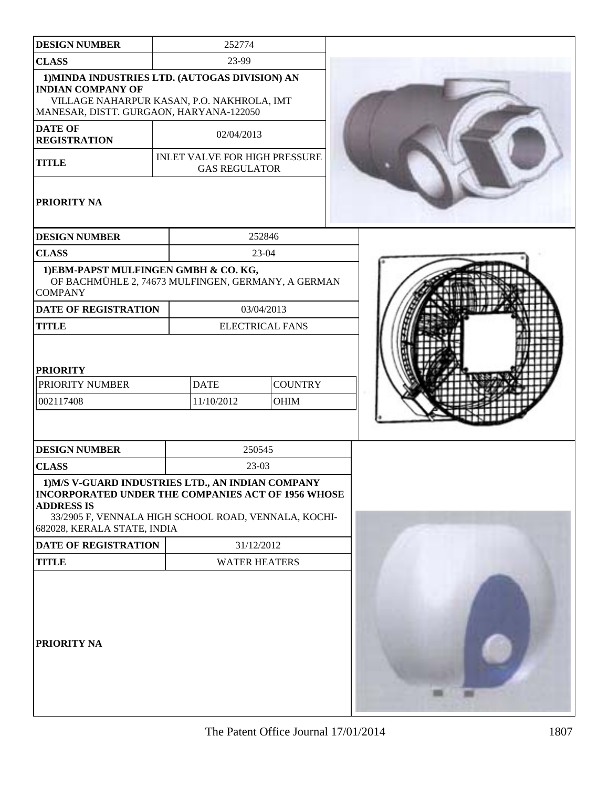| <b>DESIGN NUMBER</b>                                                                                                                                                                                                                               | 252774                                                       |                           |            |                               |  |
|----------------------------------------------------------------------------------------------------------------------------------------------------------------------------------------------------------------------------------------------------|--------------------------------------------------------------|---------------------------|------------|-------------------------------|--|
| <b>CLASS</b>                                                                                                                                                                                                                                       |                                                              |                           | 23-99      |                               |  |
| 1) MINDA INDUSTRIES LTD. (AUTOGAS DIVISION) AN<br><b>INDIAN COMPANY OF</b><br>VILLAGE NAHARPUR KASAN, P.O. NAKHROLA, IMT<br>MANESAR, DISTT. GURGAON, HARYANA-122050                                                                                |                                                              |                           |            |                               |  |
| <b>DATE OF</b><br><b>REGISTRATION</b>                                                                                                                                                                                                              | 02/04/2013                                                   |                           |            |                               |  |
| <b>TITLE</b>                                                                                                                                                                                                                                       | <b>INLET VALVE FOR HIGH PRESSURE</b><br><b>GAS REGULATOR</b> |                           |            |                               |  |
| PRIORITY NA                                                                                                                                                                                                                                        |                                                              |                           |            |                               |  |
| <b>DESIGN NUMBER</b>                                                                                                                                                                                                                               |                                                              |                           | 252846     |                               |  |
| <b>CLASS</b>                                                                                                                                                                                                                                       |                                                              |                           | 23-04      |                               |  |
| 1) EBM-PAPST MULFINGEN GMBH & CO. KG,<br>OF BACHMÜHLE 2, 74673 MULFINGEN, GERMANY, A GERMAN<br><b>COMPANY</b>                                                                                                                                      |                                                              |                           |            |                               |  |
| DATE OF REGISTRATION                                                                                                                                                                                                                               |                                                              | 03/04/2013                |            |                               |  |
| <b>TITLE</b>                                                                                                                                                                                                                                       |                                                              |                           |            | <b>ELECTRICAL FANS</b>        |  |
| <b>PRIORITY</b><br>PRIORITY NUMBER<br>002117408                                                                                                                                                                                                    |                                                              | <b>DATE</b><br>11/10/2012 |            | <b>COUNTRY</b><br><b>OHIM</b> |  |
| <b>DESIGN NUMBER</b>                                                                                                                                                                                                                               |                                                              |                           | 250545     |                               |  |
| <b>CLASS</b>                                                                                                                                                                                                                                       | 23-03                                                        |                           |            |                               |  |
| 1) M/S V-GUARD INDUSTRIES LTD., AN INDIAN COMPANY<br><b>INCORPORATED UNDER THE COMPANIES ACT OF 1956 WHOSE</b><br><b>ADDRESS IS</b><br>33/2905 F, VENNALA HIGH SCHOOL ROAD, VENNALA, KOCHI-<br>682028, KERALA STATE, INDIA<br>DATE OF REGISTRATION |                                                              |                           | 31/12/2012 |                               |  |
|                                                                                                                                                                                                                                                    |                                                              |                           |            |                               |  |
| <b>TITLE</b>                                                                                                                                                                                                                                       |                                                              | <b>WATER HEATERS</b>      |            |                               |  |
| PRIORITY NA                                                                                                                                                                                                                                        |                                                              |                           |            |                               |  |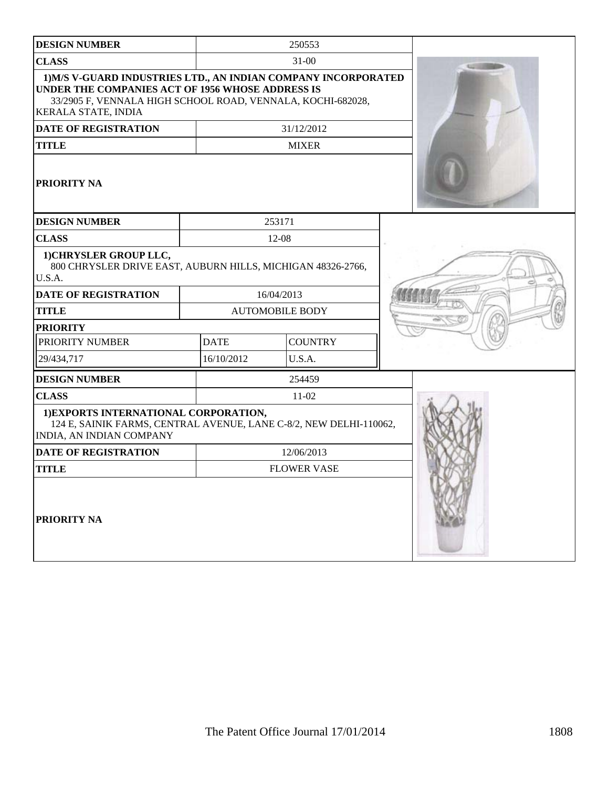| <b>DESIGN NUMBER</b>                                                                                                                                                                                     |             | 250553                 |  |
|----------------------------------------------------------------------------------------------------------------------------------------------------------------------------------------------------------|-------------|------------------------|--|
| <b>CLASS</b>                                                                                                                                                                                             |             | $31 - 00$              |  |
| 1) M/S V-GUARD INDUSTRIES LTD., AN INDIAN COMPANY INCORPORATED<br>UNDER THE COMPANIES ACT OF 1956 WHOSE ADDRESS IS<br>33/2905 F, VENNALA HIGH SCHOOL ROAD, VENNALA, KOCHI-682028,<br>KERALA STATE, INDIA |             |                        |  |
| <b>DATE OF REGISTRATION</b>                                                                                                                                                                              |             | 31/12/2012             |  |
| <b>TITLE</b>                                                                                                                                                                                             |             | <b>MIXER</b>           |  |
| PRIORITY NA                                                                                                                                                                                              |             |                        |  |
| <b>DESIGN NUMBER</b>                                                                                                                                                                                     |             | 253171                 |  |
| <b>CLASS</b>                                                                                                                                                                                             |             | 12-08                  |  |
| 1) CHRYSLER GROUP LLC,<br>800 CHRYSLER DRIVE EAST, AUBURN HILLS, MICHIGAN 48326-2766,<br>U.S.A.                                                                                                          |             |                        |  |
| <b>DATE OF REGISTRATION</b>                                                                                                                                                                              |             | 16/04/2013             |  |
| <b>TITLE</b>                                                                                                                                                                                             |             | <b>AUTOMOBILE BODY</b> |  |
| <b>PRIORITY</b>                                                                                                                                                                                          |             |                        |  |
| PRIORITY NUMBER                                                                                                                                                                                          | <b>DATE</b> | <b>COUNTRY</b>         |  |
| 29/434,717                                                                                                                                                                                               | 16/10/2012  | U.S.A.                 |  |
| <b>DESIGN NUMBER</b>                                                                                                                                                                                     |             | 254459                 |  |
| <b>CLASS</b>                                                                                                                                                                                             |             | $11-02$                |  |
| 1) EXPORTS INTERNATIONAL CORPORATION,<br>124 E, SAINIK FARMS, CENTRAL AVENUE, LANE C-8/2, NEW DELHI-110062,<br>INDIA, AN INDIAN COMPANY                                                                  |             |                        |  |
| <b>DATE OF REGISTRATION</b>                                                                                                                                                                              |             | 12/06/2013             |  |
| <b>TITLE</b>                                                                                                                                                                                             |             | <b>FLOWER VASE</b>     |  |
| PRIORITY NA                                                                                                                                                                                              |             |                        |  |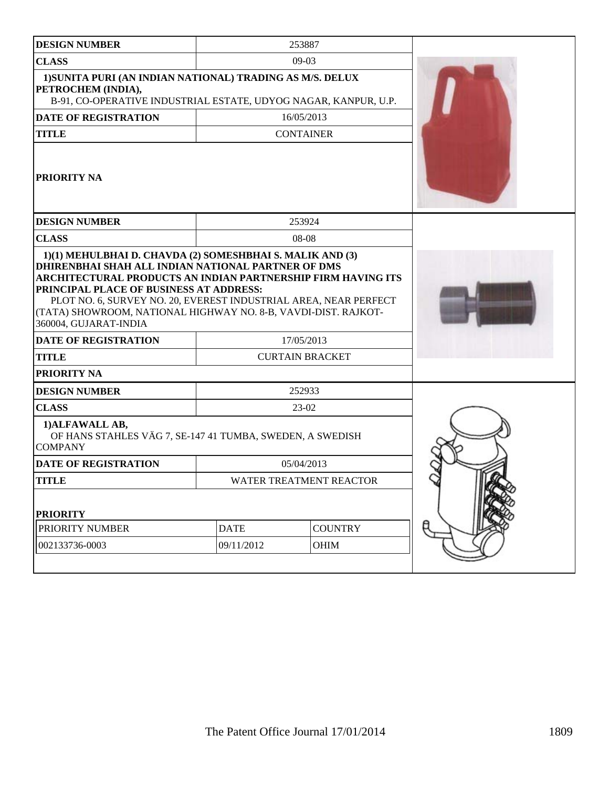| <b>DESIGN NUMBER</b>                                                                                                                                                                                                                                                   |             | 253887                  |  |
|------------------------------------------------------------------------------------------------------------------------------------------------------------------------------------------------------------------------------------------------------------------------|-------------|-------------------------|--|
| <b>CLASS</b>                                                                                                                                                                                                                                                           |             | $09-03$                 |  |
| 1) SUNITA PURI (AN INDIAN NATIONAL) TRADING AS M/S. DELUX<br>PETROCHEM (INDIA),<br>B-91, CO-OPERATIVE INDUSTRIAL ESTATE, UDYOG NAGAR, KANPUR, U.P.                                                                                                                     |             |                         |  |
| <b>DATE OF REGISTRATION</b>                                                                                                                                                                                                                                            |             | 16/05/2013              |  |
| <b>TITLE</b>                                                                                                                                                                                                                                                           |             | <b>CONTAINER</b>        |  |
| <b>PRIORITY NA</b>                                                                                                                                                                                                                                                     |             |                         |  |
| <b>DESIGN NUMBER</b>                                                                                                                                                                                                                                                   |             | 253924                  |  |
| <b>CLASS</b>                                                                                                                                                                                                                                                           |             | 08-08                   |  |
| 1)(1) MEHULBHAI D. CHAVDA (2) SOMESHBHAI S. MALIK AND (3)<br>DHIRENBHAI SHAH ALL INDIAN NATIONAL PARTNER OF DMS                                                                                                                                                        |             |                         |  |
| ARCHITECTURAL PRODUCTS AN INDIAN PARTNERSHIP FIRM HAVING ITS<br>PRINCIPAL PLACE OF BUSINESS AT ADDRESS:<br>PLOT NO. 6, SURVEY NO. 20, EVEREST INDUSTRIAL AREA, NEAR PERFECT<br>(TATA) SHOWROOM, NATIONAL HIGHWAY NO. 8-B, VAVDI-DIST. RAJKOT-<br>360004, GUJARAT-INDIA |             |                         |  |
| <b>DATE OF REGISTRATION</b>                                                                                                                                                                                                                                            |             | 17/05/2013              |  |
| <b>TITLE</b>                                                                                                                                                                                                                                                           |             | <b>CURTAIN BRACKET</b>  |  |
| PRIORITY NA                                                                                                                                                                                                                                                            |             |                         |  |
| <b>DESIGN NUMBER</b>                                                                                                                                                                                                                                                   |             | 252933                  |  |
| <b>CLASS</b>                                                                                                                                                                                                                                                           |             | $23-02$                 |  |
| 1) ALFAWALL AB,<br>OF HANS STAHLES VÄG 7, SE-147 41 TUMBA, SWEDEN, A SWEDISH<br><b>COMPANY</b>                                                                                                                                                                         |             |                         |  |
| <b>DATE OF REGISTRATION</b>                                                                                                                                                                                                                                            |             | 05/04/2013              |  |
| <b>TITLE</b>                                                                                                                                                                                                                                                           |             | WATER TREATMENT REACTOR |  |
| <b>PRIORITY</b>                                                                                                                                                                                                                                                        |             |                         |  |
| PRIORITY NUMBER                                                                                                                                                                                                                                                        | <b>DATE</b> | <b>COUNTRY</b>          |  |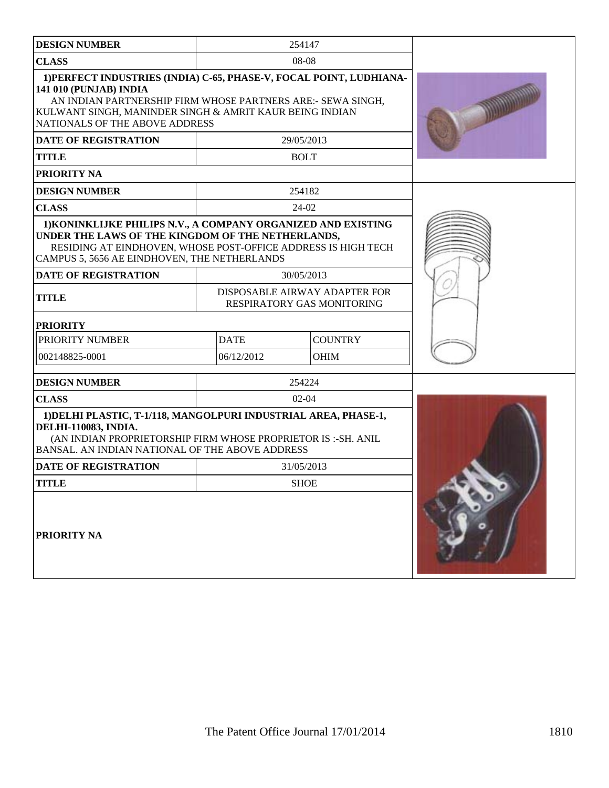| <b>DESIGN NUMBER</b>                                                                                                                                                                                                                                      |             | 254147                                                      |  |
|-----------------------------------------------------------------------------------------------------------------------------------------------------------------------------------------------------------------------------------------------------------|-------------|-------------------------------------------------------------|--|
| <b>CLASS</b>                                                                                                                                                                                                                                              |             | 08-08                                                       |  |
| 1) PERFECT INDUSTRIES (INDIA) C-65, PHASE-V, FOCAL POINT, LUDHIANA-<br>141 010 (PUNJAB) INDIA<br>AN INDIAN PARTNERSHIP FIRM WHOSE PARTNERS ARE:- SEWA SINGH,<br>KULWANT SINGH, MANINDER SINGH & AMRIT KAUR BEING INDIAN<br>NATIONALS OF THE ABOVE ADDRESS |             |                                                             |  |
| <b>DATE OF REGISTRATION</b>                                                                                                                                                                                                                               |             | 29/05/2013                                                  |  |
| <b>TITLE</b>                                                                                                                                                                                                                                              |             | <b>BOLT</b>                                                 |  |
| PRIORITY NA                                                                                                                                                                                                                                               |             |                                                             |  |
| <b>DESIGN NUMBER</b>                                                                                                                                                                                                                                      |             | 254182                                                      |  |
| <b>CLASS</b>                                                                                                                                                                                                                                              |             | 24-02                                                       |  |
| 1) KONINKLIJKE PHILIPS N.V., A COMPANY ORGANIZED AND EXISTING<br>UNDER THE LAWS OF THE KINGDOM OF THE NETHERLANDS,<br>RESIDING AT EINDHOVEN, WHOSE POST-OFFICE ADDRESS IS HIGH TECH<br>CAMPUS 5, 5656 AE EINDHOVEN, THE NETHERLANDS                       |             |                                                             |  |
| <b>DATE OF REGISTRATION</b>                                                                                                                                                                                                                               |             | 30/05/2013                                                  |  |
| <b>TITLE</b>                                                                                                                                                                                                                                              |             | DISPOSABLE AIRWAY ADAPTER FOR<br>RESPIRATORY GAS MONITORING |  |
| <b>PRIORITY</b>                                                                                                                                                                                                                                           |             |                                                             |  |
| PRIORITY NUMBER                                                                                                                                                                                                                                           | <b>DATE</b> | <b>COUNTRY</b>                                              |  |
| 002148825-0001                                                                                                                                                                                                                                            | 06/12/2012  | <b>OHIM</b>                                                 |  |
| <b>DESIGN NUMBER</b>                                                                                                                                                                                                                                      |             | 254224                                                      |  |
| <b>CLASS</b>                                                                                                                                                                                                                                              |             | $02-04$                                                     |  |
| 1) DELHI PLASTIC, T-1/118, MANGOLPURI INDUSTRIAL AREA, PHASE-1,<br><b>DELHI-110083, INDIA.</b><br>(AN INDIAN PROPRIETORSHIP FIRM WHOSE PROPRIETOR IS :- SH. ANIL<br>BANSAL. AN INDIAN NATIONAL OF THE ABOVE ADDRESS                                       |             |                                                             |  |
| <b>DATE OF REGISTRATION</b>                                                                                                                                                                                                                               |             | 31/05/2013                                                  |  |
| TITLE                                                                                                                                                                                                                                                     |             | <b>SHOE</b>                                                 |  |
| PRIORITY NA                                                                                                                                                                                                                                               |             |                                                             |  |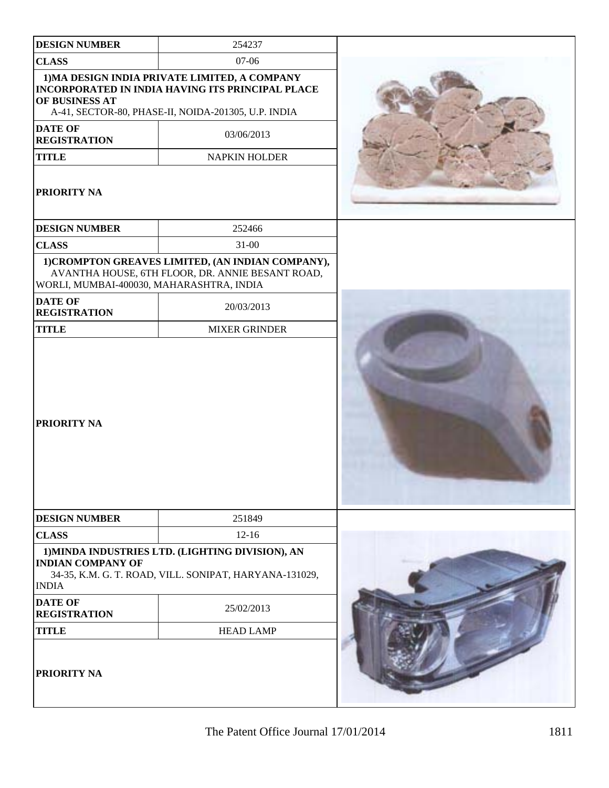| <b>DESIGN NUMBER</b>                     | 254237                                                                                                                                                          |  |
|------------------------------------------|-----------------------------------------------------------------------------------------------------------------------------------------------------------------|--|
| <b>CLASS</b>                             | 07-06                                                                                                                                                           |  |
| OF BUSINESS AT                           | 1) MA DESIGN INDIA PRIVATE LIMITED, A COMPANY<br><b>INCORPORATED IN INDIA HAVING ITS PRINCIPAL PLACE</b><br>A-41, SECTOR-80, PHASE-II, NOIDA-201305, U.P. INDIA |  |
| <b>DATE OF</b><br><b>REGISTRATION</b>    | 03/06/2013                                                                                                                                                      |  |
| <b>TITLE</b>                             | <b>NAPKIN HOLDER</b>                                                                                                                                            |  |
| PRIORITY NA                              |                                                                                                                                                                 |  |
| <b>DESIGN NUMBER</b>                     | 252466                                                                                                                                                          |  |
| <b>CLASS</b>                             | $31 - 00$                                                                                                                                                       |  |
| WORLI, MUMBAI-400030, MAHARASHTRA, INDIA | 1) CROMPTON GREAVES LIMITED, (AN INDIAN COMPANY),<br>AVANTHA HOUSE, 6TH FLOOR, DR. ANNIE BESANT ROAD,                                                           |  |
| <b>DATE OF</b><br><b>REGISTRATION</b>    | 20/03/2013                                                                                                                                                      |  |
| <b>TITLE</b>                             | <b>MIXER GRINDER</b>                                                                                                                                            |  |
| PRIORITY NA                              |                                                                                                                                                                 |  |
| <b>DESIGN NUMBER</b>                     | 251849                                                                                                                                                          |  |
| <b>CLASS</b>                             | $12 - 16$                                                                                                                                                       |  |
| <b>INDIAN COMPANY OF</b><br><b>INDIA</b> | 1) MINDA INDUSTRIES LTD. (LIGHTING DIVISION), AN<br>34-35, K.M. G. T. ROAD, VILL. SONIPAT, HARYANA-131029,                                                      |  |
| <b>DATE OF</b><br><b>REGISTRATION</b>    | 25/02/2013                                                                                                                                                      |  |
| <b>TITLE</b>                             | <b>HEAD LAMP</b>                                                                                                                                                |  |
| PRIORITY NA                              |                                                                                                                                                                 |  |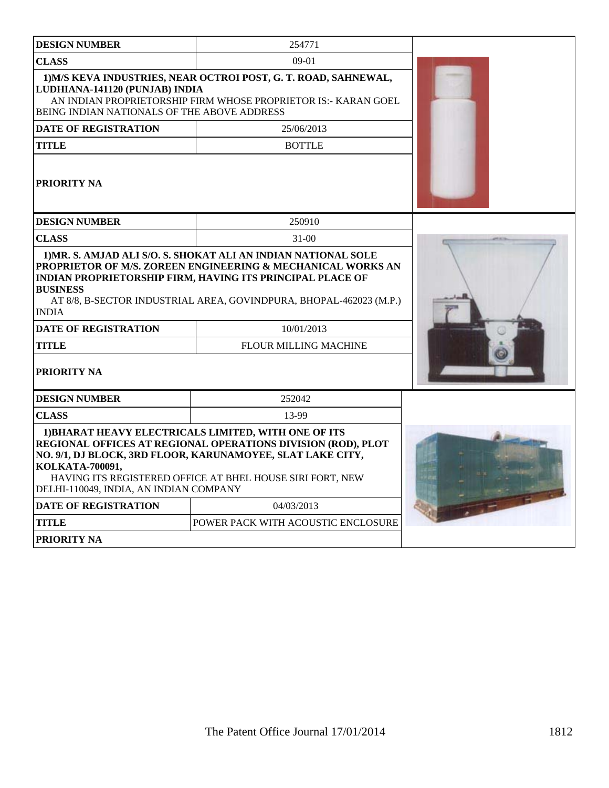| <b>DESIGN NUMBER</b>                                                                                                                                                                                                                                                                                                                                                            | 254771                                                                                                                            |  |  |  |
|---------------------------------------------------------------------------------------------------------------------------------------------------------------------------------------------------------------------------------------------------------------------------------------------------------------------------------------------------------------------------------|-----------------------------------------------------------------------------------------------------------------------------------|--|--|--|
| <b>CLASS</b>                                                                                                                                                                                                                                                                                                                                                                    | $09-01$                                                                                                                           |  |  |  |
| LUDHIANA-141120 (PUNJAB) INDIA<br>BEING INDIAN NATIONALS OF THE ABOVE ADDRESS                                                                                                                                                                                                                                                                                                   | 1) M/S KEVA INDUSTRIES, NEAR OCTROI POST, G. T. ROAD, SAHNEWAL,<br>AN INDIAN PROPRIETORSHIP FIRM WHOSE PROPRIETOR IS:- KARAN GOEL |  |  |  |
| <b>DATE OF REGISTRATION</b>                                                                                                                                                                                                                                                                                                                                                     | 25/06/2013                                                                                                                        |  |  |  |
| <b>TITLE</b>                                                                                                                                                                                                                                                                                                                                                                    | <b>BOTTLE</b>                                                                                                                     |  |  |  |
| <b>PRIORITY NA</b>                                                                                                                                                                                                                                                                                                                                                              |                                                                                                                                   |  |  |  |
| <b>DESIGN NUMBER</b>                                                                                                                                                                                                                                                                                                                                                            | 250910                                                                                                                            |  |  |  |
| <b>CLASS</b>                                                                                                                                                                                                                                                                                                                                                                    | $31 - 00$                                                                                                                         |  |  |  |
| 1) MR. S. AMJAD ALI S/O. S. SHOKAT ALI AN INDIAN NATIONAL SOLE<br>PROPRIETOR OF M/S. ZOREEN ENGINEERING & MECHANICAL WORKS AN<br><b>INDIAN PROPRIETORSHIP FIRM, HAVING ITS PRINCIPAL PLACE OF</b><br><b>BUSINESS</b><br>AT 8/8, B-SECTOR INDUSTRIAL AREA, GOVINDPURA, BHOPAL-462023 (M.P.)<br><b>INDIA</b><br><b>DATE OF REGISTRATION</b><br><b>TITLE</b><br><b>PRIORITY NA</b> |                                                                                                                                   |  |  |  |
| <b>DESIGN NUMBER</b>                                                                                                                                                                                                                                                                                                                                                            | 252042                                                                                                                            |  |  |  |
| <b>CLASS</b>                                                                                                                                                                                                                                                                                                                                                                    | 13-99                                                                                                                             |  |  |  |
| 1) BHARAT HEAVY ELECTRICALS LIMITED, WITH ONE OF ITS<br>REGIONAL OFFICES AT REGIONAL OPERATIONS DIVISION (ROD), PLOT<br>NO. 9/1, DJ BLOCK, 3RD FLOOR, KARUNAMOYEE, SLAT LAKE CITY,<br>KOLKATA-700091,<br>HAVING ITS REGISTERED OFFICE AT BHEL HOUSE SIRI FORT, NEW<br>DELHI-110049, INDIA, AN INDIAN COMPANY                                                                    |                                                                                                                                   |  |  |  |
| <b>DATE OF REGISTRATION</b>                                                                                                                                                                                                                                                                                                                                                     | 04/03/2013                                                                                                                        |  |  |  |
| <b>TITLE</b>                                                                                                                                                                                                                                                                                                                                                                    | POWER PACK WITH ACOUSTIC ENCLOSURE                                                                                                |  |  |  |
| <b>PRIORITY NA</b>                                                                                                                                                                                                                                                                                                                                                              |                                                                                                                                   |  |  |  |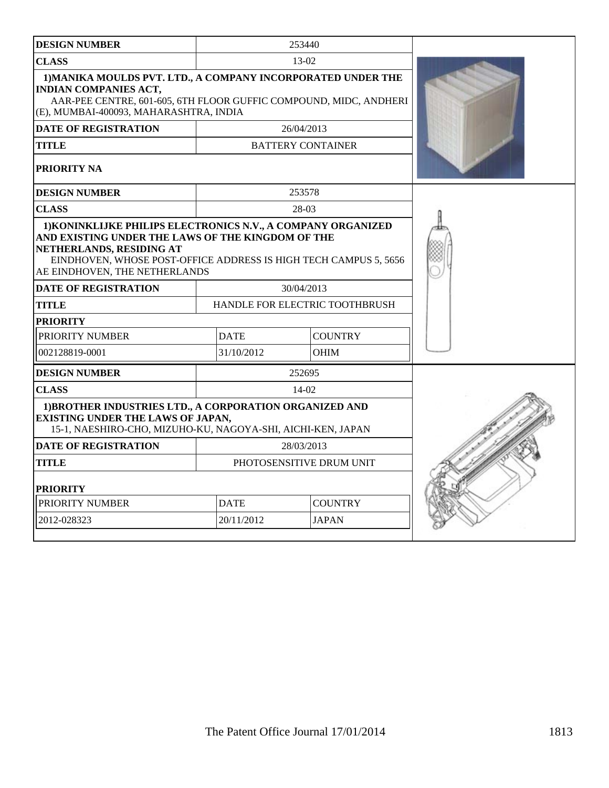| <b>DESIGN NUMBER</b>                                                                                                                                                                                                                               |             | 253440                                |  |
|----------------------------------------------------------------------------------------------------------------------------------------------------------------------------------------------------------------------------------------------------|-------------|---------------------------------------|--|
| <b>CLASS</b>                                                                                                                                                                                                                                       |             | $13-02$                               |  |
| 1) MANIKA MOULDS PVT. LTD., A COMPANY INCORPORATED UNDER THE<br><b>INDIAN COMPANIES ACT,</b><br>AAR-PEE CENTRE, 601-605, 6TH FLOOR GUFFIC COMPOUND, MIDC, ANDHERI<br>(E), MUMBAI-400093, MAHARASHTRA, INDIA                                        |             |                                       |  |
| <b>DATE OF REGISTRATION</b>                                                                                                                                                                                                                        |             | 26/04/2013                            |  |
| <b>TITLE</b>                                                                                                                                                                                                                                       |             | <b>BATTERY CONTAINER</b>              |  |
| PRIORITY NA                                                                                                                                                                                                                                        |             |                                       |  |
| <b>DESIGN NUMBER</b>                                                                                                                                                                                                                               |             | 253578                                |  |
| <b>CLASS</b>                                                                                                                                                                                                                                       |             | 28-03                                 |  |
| 1) KONINKLIJKE PHILIPS ELECTRONICS N.V., A COMPANY ORGANIZED<br>AND EXISTING UNDER THE LAWS OF THE KINGDOM OF THE<br>NETHERLANDS, RESIDING AT<br>EINDHOVEN, WHOSE POST-OFFICE ADDRESS IS HIGH TECH CAMPUS 5, 5656<br>AE EINDHOVEN, THE NETHERLANDS |             |                                       |  |
| <b>DATE OF REGISTRATION</b>                                                                                                                                                                                                                        |             | 30/04/2013                            |  |
| <b>TITLE</b>                                                                                                                                                                                                                                       |             | <b>HANDLE FOR ELECTRIC TOOTHBRUSH</b> |  |
| <b>PRIORITY</b>                                                                                                                                                                                                                                    |             |                                       |  |
| PRIORITY NUMBER                                                                                                                                                                                                                                    | <b>DATE</b> | <b>COUNTRY</b>                        |  |
| 002128819-0001                                                                                                                                                                                                                                     | 31/10/2012  | <b>OHIM</b>                           |  |
| <b>DESIGN NUMBER</b>                                                                                                                                                                                                                               |             | 252695                                |  |
| <b>CLASS</b>                                                                                                                                                                                                                                       |             | 14-02                                 |  |
| 1) BROTHER INDUSTRIES LTD., A CORPORATION ORGANIZED AND<br><b>EXISTING UNDER THE LAWS OF JAPAN,</b><br>15-1, NAESHIRO-CHO, MIZUHO-KU, NAGOYA-SHI, AICHI-KEN, JAPAN                                                                                 |             |                                       |  |
| <b>DATE OF REGISTRATION</b>                                                                                                                                                                                                                        |             | 28/03/2013                            |  |
| TITLE                                                                                                                                                                                                                                              |             | PHOTOSENSITIVE DRUM UNIT              |  |
| <b>PRIORITY</b>                                                                                                                                                                                                                                    |             |                                       |  |
| PRIORITY NUMBER                                                                                                                                                                                                                                    | <b>DATE</b> | <b>COUNTRY</b>                        |  |
| 2012-028323                                                                                                                                                                                                                                        | 20/11/2012  | <b>JAPAN</b>                          |  |
|                                                                                                                                                                                                                                                    |             |                                       |  |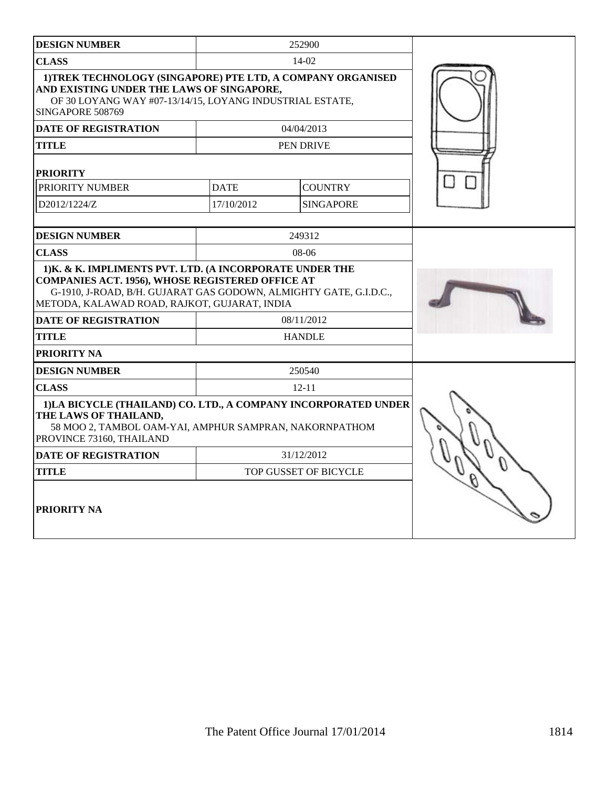| <b>DESIGN NUMBER</b>                                                                                                                                                                                                                     |                       | 252900           |  |
|------------------------------------------------------------------------------------------------------------------------------------------------------------------------------------------------------------------------------------------|-----------------------|------------------|--|
| <b>CLASS</b>                                                                                                                                                                                                                             | $14-02$               |                  |  |
| 1) TREK TECHNOLOGY (SINGAPORE) PTE LTD, A COMPANY ORGANISED<br>AND EXISTING UNDER THE LAWS OF SINGAPORE,<br>OF 30 LOYANG WAY #07-13/14/15, LOYANG INDUSTRIAL ESTATE,<br>SINGAPORE 508769                                                 |                       |                  |  |
| <b>DATE OF REGISTRATION</b>                                                                                                                                                                                                              |                       | 04/04/2013       |  |
| TITLE                                                                                                                                                                                                                                    |                       | PEN DRIVE        |  |
| <b>PRIORITY</b>                                                                                                                                                                                                                          |                       |                  |  |
| PRIORITY NUMBER                                                                                                                                                                                                                          | <b>DATE</b>           | <b>COUNTRY</b>   |  |
| D2012/1224/Z                                                                                                                                                                                                                             | 17/10/2012            | <b>SINGAPORE</b> |  |
| <b>DESIGN NUMBER</b>                                                                                                                                                                                                                     |                       | 249312           |  |
| <b>CLASS</b>                                                                                                                                                                                                                             |                       | $08-06$          |  |
| 1) K. & K. IMPLIMENTS PVT. LTD. (A INCORPORATE UNDER THE<br><b>COMPANIES ACT. 1956), WHOSE REGISTERED OFFICE AT</b><br>G-1910, J-ROAD, B/H. GUJARAT GAS GODOWN, ALMIGHTY GATE, G.I.D.C.,<br>METODA, KALAWAD ROAD, RAJKOT, GUJARAT, INDIA |                       |                  |  |
| <b>DATE OF REGISTRATION</b>                                                                                                                                                                                                              | 08/11/2012            |                  |  |
| <b>TITLE</b>                                                                                                                                                                                                                             | <b>HANDLE</b>         |                  |  |
| PRIORITY NA                                                                                                                                                                                                                              |                       |                  |  |
| <b>DESIGN NUMBER</b>                                                                                                                                                                                                                     |                       | 250540           |  |
| <b>CLASS</b>                                                                                                                                                                                                                             |                       | $12 - 11$        |  |
| 1)LA BICYCLE (THAILAND) CO. LTD., A COMPANY INCORPORATED UNDER<br>THE LAWS OF THAILAND,<br>58 MOO 2, TAMBOL OAM-YAI, AMPHUR SAMPRAN, NAKORNPATHOM<br>PROVINCE 73160, THAILAND                                                            |                       |                  |  |
| <b>DATE OF REGISTRATION</b>                                                                                                                                                                                                              |                       | 31/12/2012       |  |
| <b>TITLE</b>                                                                                                                                                                                                                             | TOP GUSSET OF BICYCLE |                  |  |
| <b>PRIORITY NA</b>                                                                                                                                                                                                                       |                       |                  |  |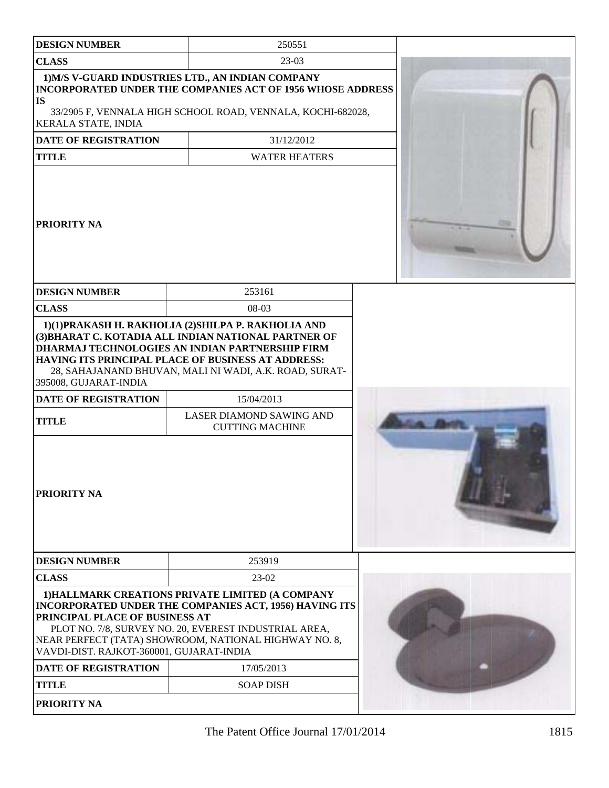| <b>DESIGN NUMBER</b>                                                                | 250551                                                                                                                                                                                                                                                                                                                                                   |  |
|-------------------------------------------------------------------------------------|----------------------------------------------------------------------------------------------------------------------------------------------------------------------------------------------------------------------------------------------------------------------------------------------------------------------------------------------------------|--|
| <b>CLASS</b>                                                                        | $23-03$                                                                                                                                                                                                                                                                                                                                                  |  |
| <b>IS</b><br>KERALA STATE, INDIA                                                    | 1) M/S V-GUARD INDUSTRIES LTD., AN INDIAN COMPANY<br><b>INCORPORATED UNDER THE COMPANIES ACT OF 1956 WHOSE ADDRESS</b><br>33/2905 F, VENNALA HIGH SCHOOL ROAD, VENNALA, KOCHI-682028,                                                                                                                                                                    |  |
| <b>DATE OF REGISTRATION</b>                                                         | 31/12/2012                                                                                                                                                                                                                                                                                                                                               |  |
| <b>TITLE</b>                                                                        | <b>WATER HEATERS</b>                                                                                                                                                                                                                                                                                                                                     |  |
| <b>PRIORITY NA</b>                                                                  |                                                                                                                                                                                                                                                                                                                                                          |  |
| <b>DESIGN NUMBER</b>                                                                | 253161                                                                                                                                                                                                                                                                                                                                                   |  |
| <b>CLASS</b>                                                                        | 08-03                                                                                                                                                                                                                                                                                                                                                    |  |
| 395008, GUJARAT-INDIA<br>DATE OF REGISTRATION<br><b>TITLE</b><br><b>PRIORITY NA</b> | 1)(1)PRAKASH H. RAKHOLIA (2)SHILPA P. RAKHOLIA AND<br>(3) BHARAT C. KOTADIA ALL INDIAN NATIONAL PARTNER OF<br><b>DHARMAJ TECHNOLOGIES AN INDIAN PARTNERSHIP FIRM</b><br>HAVING ITS PRINCIPAL PLACE OF BUSINESS AT ADDRESS:<br>28, SAHAJANAND BHUVAN, MALI NI WADI, A.K. ROAD, SURAT-<br>15/04/2013<br>LASER DIAMOND SAWING AND<br><b>CUTTING MACHINE</b> |  |
| <b>DESIGN NUMBER</b>                                                                | 253919                                                                                                                                                                                                                                                                                                                                                   |  |
| <b>CLASS</b>                                                                        | $23-02$                                                                                                                                                                                                                                                                                                                                                  |  |
| PRINCIPAL PLACE OF BUSINESS AT<br>VAVDI-DIST. RAJKOT-360001, GUJARAT-INDIA          | 1) HALLMARK CREATIONS PRIVATE LIMITED (A COMPANY<br>INCORPORATED UNDER THE COMPANIES ACT, 1956) HAVING ITS<br>PLOT NO. 7/8, SURVEY NO. 20, EVEREST INDUSTRIAL AREA,<br>NEAR PERFECT (TATA) SHOWROOM, NATIONAL HIGHWAY NO. 8,                                                                                                                             |  |
| <b>DATE OF REGISTRATION</b>                                                         | 17/05/2013                                                                                                                                                                                                                                                                                                                                               |  |
| <b>TITLE</b>                                                                        | <b>SOAP DISH</b>                                                                                                                                                                                                                                                                                                                                         |  |
| <b>PRIORITY NA</b>                                                                  |                                                                                                                                                                                                                                                                                                                                                          |  |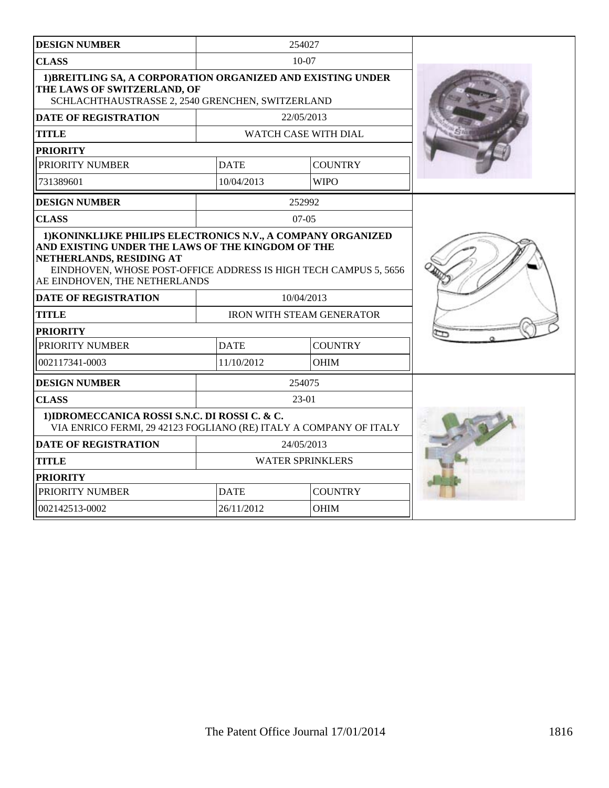| <b>DESIGN NUMBER</b>                                                                                                                                                                                              |                               | 254027                           |  |
|-------------------------------------------------------------------------------------------------------------------------------------------------------------------------------------------------------------------|-------------------------------|----------------------------------|--|
| <b>CLASS</b>                                                                                                                                                                                                      |                               | $10 - 07$                        |  |
| 1) BREITLING SA, A CORPORATION ORGANIZED AND EXISTING UNDER<br>THE LAWS OF SWITZERLAND, OF<br>SCHLACHTHAUSTRASSE 2, 2540 GRENCHEN, SWITZERLAND                                                                    |                               |                                  |  |
| <b>DATE OF REGISTRATION</b>                                                                                                                                                                                       |                               | 22/05/2013                       |  |
| <b>TITLE</b>                                                                                                                                                                                                      |                               | WATCH CASE WITH DIAL             |  |
| <b>PRIORITY</b>                                                                                                                                                                                                   |                               |                                  |  |
| PRIORITY NUMBER                                                                                                                                                                                                   | <b>DATE</b>                   | <b>COUNTRY</b>                   |  |
| 731389601                                                                                                                                                                                                         | 10/04/2013                    | <b>WIPO</b>                      |  |
| <b>DESIGN NUMBER</b>                                                                                                                                                                                              |                               | 252992                           |  |
| <b>CLASS</b>                                                                                                                                                                                                      |                               | $07-05$                          |  |
| AND EXISTING UNDER THE LAWS OF THE KINGDOM OF THE<br>NETHERLANDS, RESIDING AT<br>EINDHOVEN, WHOSE POST-OFFICE ADDRESS IS HIGH TECH CAMPUS 5, 5656<br>AE EINDHOVEN, THE NETHERLANDS<br><b>DATE OF REGISTRATION</b> |                               | 10/04/2013                       |  |
| <b>TITLE</b>                                                                                                                                                                                                      |                               | <b>IRON WITH STEAM GENERATOR</b> |  |
| <b>PRIORITY</b>                                                                                                                                                                                                   |                               |                                  |  |
| PRIORITY NUMBER                                                                                                                                                                                                   | <b>DATE</b><br><b>COUNTRY</b> |                                  |  |
| 002117341-0003                                                                                                                                                                                                    | 11/10/2012                    | <b>OHIM</b>                      |  |
| <b>DESIGN NUMBER</b>                                                                                                                                                                                              |                               | 254075                           |  |
| <b>CLASS</b>                                                                                                                                                                                                      |                               | 23-01                            |  |
| 1) IDROMECCANICA ROSSI S.N.C. DI ROSSI C. & C.<br>VIA ENRICO FERMI, 29 42123 FOGLIANO (RE) ITALY A COMPANY OF ITALY                                                                                               |                               |                                  |  |
| <b>DATE OF REGISTRATION</b>                                                                                                                                                                                       | 24/05/2013                    |                                  |  |
| <b>TITLE</b>                                                                                                                                                                                                      | <b>WATER SPRINKLERS</b>       |                                  |  |
| <b>PRIORITY</b>                                                                                                                                                                                                   |                               |                                  |  |
| PRIORITY NUMBER                                                                                                                                                                                                   | <b>DATE</b>                   | <b>COUNTRY</b>                   |  |
| 002142513-0002                                                                                                                                                                                                    | 26/11/2012                    | <b>OHIM</b>                      |  |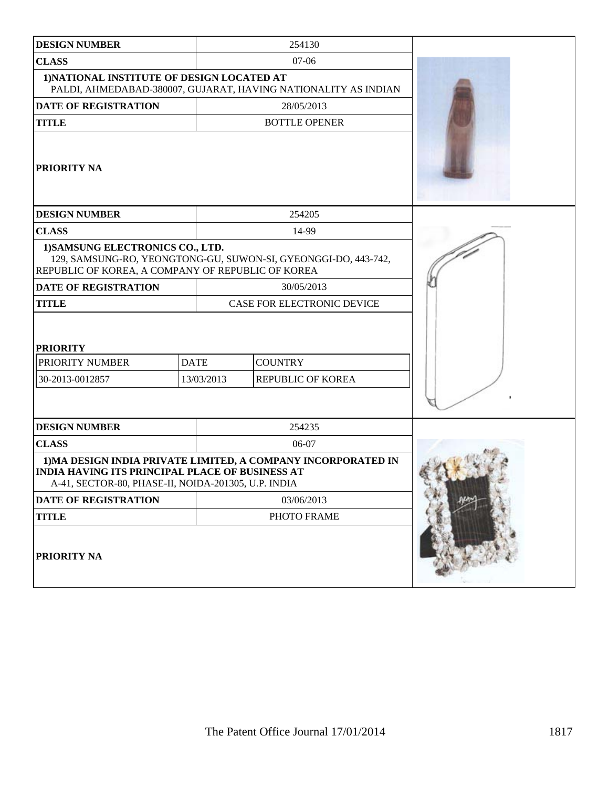| <b>DESIGN NUMBER</b>                                                                                          |                           | 254130                                                         |  |
|---------------------------------------------------------------------------------------------------------------|---------------------------|----------------------------------------------------------------|--|
| <b>CLASS</b>                                                                                                  |                           | $07 - 06$                                                      |  |
| 1) NATIONAL INSTITUTE OF DESIGN LOCATED AT                                                                    |                           | PALDI, AHMEDABAD-380007, GUJARAT, HAVING NATIONALITY AS INDIAN |  |
| <b>DATE OF REGISTRATION</b>                                                                                   |                           | 28/05/2013                                                     |  |
| <b>TITLE</b>                                                                                                  |                           | <b>BOTTLE OPENER</b>                                           |  |
| <b>PRIORITY NA</b>                                                                                            |                           |                                                                |  |
| <b>DESIGN NUMBER</b>                                                                                          |                           | 254205                                                         |  |
| <b>CLASS</b>                                                                                                  |                           | 14-99                                                          |  |
| 1) SAMSUNG ELECTRONICS CO., LTD.<br>REPUBLIC OF KOREA, A COMPANY OF REPUBLIC OF KOREA                         |                           | 129, SAMSUNG-RO, YEONGTONG-GU, SUWON-SI, GYEONGGI-DO, 443-742, |  |
| <b>DATE OF REGISTRATION</b>                                                                                   |                           | 30/05/2013                                                     |  |
| <b>TITLE</b>                                                                                                  |                           | CASE FOR ELECTRONIC DEVICE                                     |  |
| <b>PRIORITY</b><br>PRIORITY NUMBER<br>30-2013-0012857                                                         | <b>DATE</b><br>13/03/2013 | <b>COUNTRY</b><br>REPUBLIC OF KOREA                            |  |
| <b>DESIGN NUMBER</b>                                                                                          |                           | 254235                                                         |  |
| <b>CLASS</b>                                                                                                  |                           | 06-07                                                          |  |
| <b>INDIA HAVING ITS PRINCIPAL PLACE OF BUSINESS AT</b><br>A-41, SECTOR-80, PHASE-II, NOIDA-201305, U.P. INDIA |                           | 1) MA DESIGN INDIA PRIVATE LIMITED, A COMPANY INCORPORATED IN  |  |
| <b>DATE OF REGISTRATION</b>                                                                                   |                           | 03/06/2013                                                     |  |
| <b>TITLE</b>                                                                                                  |                           | PHOTO FRAME                                                    |  |
| <b>PRIORITY NA</b>                                                                                            |                           |                                                                |  |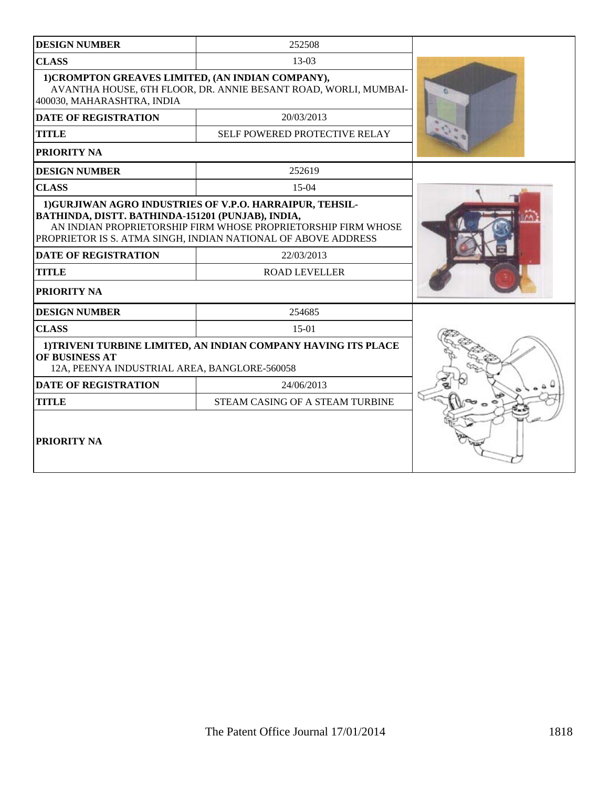| <b>DESIGN NUMBER</b>                                                                                                                               | 252508                                                                                                                                                                                                                           |  |
|----------------------------------------------------------------------------------------------------------------------------------------------------|----------------------------------------------------------------------------------------------------------------------------------------------------------------------------------------------------------------------------------|--|
| <b>CLASS</b>                                                                                                                                       | $13-03$                                                                                                                                                                                                                          |  |
| 1) CROMPTON GREAVES LIMITED, (AN INDIAN COMPANY),<br>AVANTHA HOUSE, 6TH FLOOR, DR. ANNIE BESANT ROAD, WORLI, MUMBAI-<br>400030, MAHARASHTRA, INDIA |                                                                                                                                                                                                                                  |  |
| <b>DATE OF REGISTRATION</b>                                                                                                                        | 20/03/2013                                                                                                                                                                                                                       |  |
| <b>TITLE</b>                                                                                                                                       | SELF POWERED PROTECTIVE RELAY                                                                                                                                                                                                    |  |
| PRIORITY NA                                                                                                                                        |                                                                                                                                                                                                                                  |  |
| <b>DESIGN NUMBER</b>                                                                                                                               | 252619                                                                                                                                                                                                                           |  |
| <b>CLASS</b>                                                                                                                                       | 15-04                                                                                                                                                                                                                            |  |
| BATHINDA, DISTT. BATHINDA-151201 (PUNJAB), INDIA,<br><b>DATE OF REGISTRATION</b><br><b>TITLE</b><br>PRIORITY NA                                    | 1) GURJIWAN AGRO INDUSTRIES OF V.P.O. HARRAIPUR, TEHSIL-<br>AN INDIAN PROPRIETORSHIP FIRM WHOSE PROPRIETORSHIP FIRM WHOSE<br>PROPRIETOR IS S. ATMA SINGH, INDIAN NATIONAL OF ABOVE ADDRESS<br>22/03/2013<br><b>ROAD LEVELLER</b> |  |
| <b>DESIGN NUMBER</b>                                                                                                                               | 254685                                                                                                                                                                                                                           |  |
| <b>CLASS</b>                                                                                                                                       | $15-01$                                                                                                                                                                                                                          |  |
| OF BUSINESS AT<br>12A, PEENYA INDUSTRIAL AREA, BANGLORE-560058                                                                                     | 1) TRIVENI TURBINE LIMITED, AN INDIAN COMPANY HAVING ITS PLACE                                                                                                                                                                   |  |
| <b>DATE OF REGISTRATION</b>                                                                                                                        | 24/06/2013                                                                                                                                                                                                                       |  |
| <b>TITLE</b>                                                                                                                                       | STEAM CASING OF A STEAM TURBINE                                                                                                                                                                                                  |  |
| <b>PRIORITY NA</b>                                                                                                                                 |                                                                                                                                                                                                                                  |  |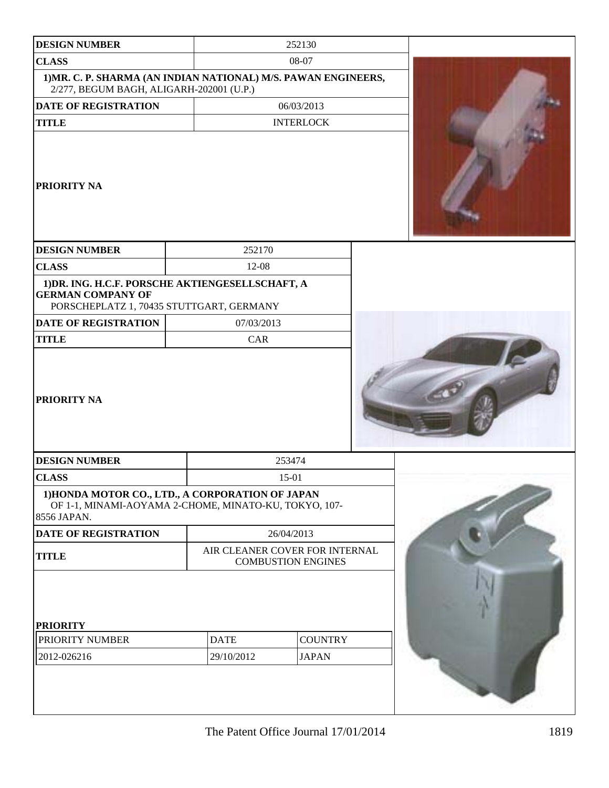| <b>DESIGN NUMBER</b>                                                                                                       | 252130                                                      |                                |  |  |
|----------------------------------------------------------------------------------------------------------------------------|-------------------------------------------------------------|--------------------------------|--|--|
| <b>CLASS</b><br>1) MR. C. P. SHARMA (AN INDIAN NATIONAL) M/S. PAWAN ENGINEERS,<br>2/277, BEGUM BAGH, ALIGARH-202001 (U.P.) |                                                             | 08-07                          |  |  |
| <b>DATE OF REGISTRATION</b>                                                                                                | 06/03/2013                                                  |                                |  |  |
| <b>TITLE</b>                                                                                                               |                                                             | <b>INTERLOCK</b>               |  |  |
| PRIORITY NA                                                                                                                |                                                             |                                |  |  |
| <b>DESIGN NUMBER</b>                                                                                                       | 252170                                                      |                                |  |  |
| <b>CLASS</b>                                                                                                               | 12-08                                                       |                                |  |  |
| 1) DR. ING. H.C.F. PORSCHE AKTIENGESELLSCHAFT, A<br><b>GERMAN COMPANY OF</b><br>PORSCHEPLATZ 1, 70435 STUTTGART, GERMANY   |                                                             |                                |  |  |
| <b>DATE OF REGISTRATION</b>                                                                                                | 07/03/2013                                                  |                                |  |  |
| <b>TITLE</b>                                                                                                               | CAR                                                         |                                |  |  |
| PRIORITY NA                                                                                                                |                                                             |                                |  |  |
| <b>DESIGN NUMBER</b>                                                                                                       |                                                             | 253474                         |  |  |
| <b>CLASS</b>                                                                                                               |                                                             | 15-01                          |  |  |
| 1) HONDA MOTOR CO., LTD., A CORPORATION OF JAPAN<br>OF 1-1, MINAMI-AOYAMA 2-CHOME, MINATO-KU, TOKYO, 107-<br>8556 JAPAN.   |                                                             |                                |  |  |
| DATE OF REGISTRATION                                                                                                       |                                                             | 26/04/2013                     |  |  |
| <b>TITLE</b>                                                                                                               | AIR CLEANER COVER FOR INTERNAL<br><b>COMBUSTION ENGINES</b> |                                |  |  |
| <b>PRIORITY</b><br>PRIORITY NUMBER<br>2012-026216                                                                          | <b>DATE</b><br>29/10/2012                                   | <b>COUNTRY</b><br><b>JAPAN</b> |  |  |
|                                                                                                                            |                                                             |                                |  |  |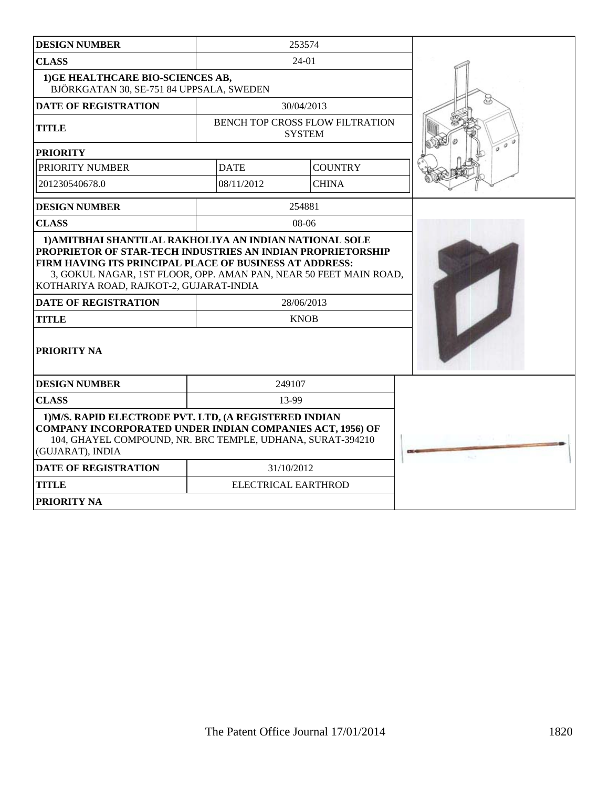| <b>DESIGN NUMBER</b>                                                                                                                                                                                         |                                                                                                                                            | 253574                                                  |  |
|--------------------------------------------------------------------------------------------------------------------------------------------------------------------------------------------------------------|--------------------------------------------------------------------------------------------------------------------------------------------|---------------------------------------------------------|--|
| <b>CLASS</b>                                                                                                                                                                                                 |                                                                                                                                            | 24-01                                                   |  |
| 1) GE HEALTHCARE BIO-SCIENCES AB,<br>BJÖRKGATAN 30, SE-751 84 UPPSALA, SWEDEN                                                                                                                                |                                                                                                                                            |                                                         |  |
| <b>DATE OF REGISTRATION</b>                                                                                                                                                                                  |                                                                                                                                            | 30/04/2013                                              |  |
| <b>TITLE</b>                                                                                                                                                                                                 |                                                                                                                                            | <b>BENCH TOP CROSS FLOW FILTRATION</b><br><b>SYSTEM</b> |  |
| <b>PRIORITY</b>                                                                                                                                                                                              |                                                                                                                                            |                                                         |  |
| PRIORITY NUMBER                                                                                                                                                                                              | <b>DATE</b>                                                                                                                                | <b>COUNTRY</b>                                          |  |
| 201230540678.0                                                                                                                                                                                               | 08/11/2012                                                                                                                                 | <b>CHINA</b>                                            |  |
| <b>DESIGN NUMBER</b>                                                                                                                                                                                         |                                                                                                                                            | 254881                                                  |  |
| <b>CLASS</b>                                                                                                                                                                                                 |                                                                                                                                            | $08-06$                                                 |  |
| KOTHARIYA ROAD, RAJKOT-2, GUJARAT-INDIA<br><b>DATE OF REGISTRATION</b>                                                                                                                                       | FIRM HAVING ITS PRINCIPAL PLACE OF BUSINESS AT ADDRESS:<br>3, GOKUL NAGAR, 1ST FLOOR, OPP. AMAN PAN, NEAR 50 FEET MAIN ROAD,<br>28/06/2013 |                                                         |  |
| <b>TITLE</b>                                                                                                                                                                                                 |                                                                                                                                            | <b>KNOB</b>                                             |  |
| <b>PRIORITY NA</b>                                                                                                                                                                                           |                                                                                                                                            |                                                         |  |
| <b>DESIGN NUMBER</b>                                                                                                                                                                                         |                                                                                                                                            | 249107                                                  |  |
| <b>CLASS</b>                                                                                                                                                                                                 | 13-99                                                                                                                                      |                                                         |  |
| 1) M/S. RAPID ELECTRODE PVT. LTD, (A REGISTERED INDIAN<br><b>COMPANY INCORPORATED UNDER INDIAN COMPANIES ACT, 1956) OF</b><br>104, GHAYEL COMPOUND, NR. BRC TEMPLE, UDHANA, SURAT-394210<br>(GUJARAT), INDIA |                                                                                                                                            |                                                         |  |
| <b>DATE OF REGISTRATION</b>                                                                                                                                                                                  |                                                                                                                                            | 31/10/2012                                              |  |
| <b>TITLE</b>                                                                                                                                                                                                 | ELECTRICAL EARTHROD                                                                                                                        |                                                         |  |
| <b>PRIORITY NA</b>                                                                                                                                                                                           |                                                                                                                                            |                                                         |  |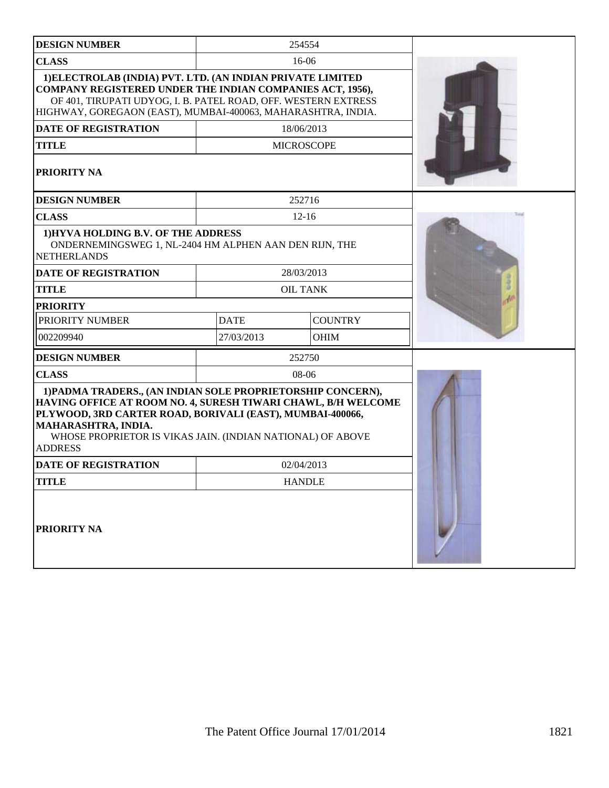| <b>DESIGN NUMBER</b>                                                                                                                                                                                                                                                                             |             | 254554            |  |
|--------------------------------------------------------------------------------------------------------------------------------------------------------------------------------------------------------------------------------------------------------------------------------------------------|-------------|-------------------|--|
| <b>CLASS</b>                                                                                                                                                                                                                                                                                     |             | 16-06             |  |
| 1) ELECTROLAB (INDIA) PVT. LTD. (AN INDIAN PRIVATE LIMITED<br><b>COMPANY REGISTERED UNDER THE INDIAN COMPANIES ACT, 1956),</b><br>OF 401, TIRUPATI UDYOG, I. B. PATEL ROAD, OFF. WESTERN EXTRESS<br>HIGHWAY, GOREGAON (EAST), MUMBAI-400063, MAHARASHTRA, INDIA.                                 |             |                   |  |
| <b>DATE OF REGISTRATION</b>                                                                                                                                                                                                                                                                      |             | 18/06/2013        |  |
| <b>TITLE</b>                                                                                                                                                                                                                                                                                     |             | <b>MICROSCOPE</b> |  |
| PRIORITY NA                                                                                                                                                                                                                                                                                      |             |                   |  |
| <b>DESIGN NUMBER</b>                                                                                                                                                                                                                                                                             |             | 252716            |  |
| <b>CLASS</b>                                                                                                                                                                                                                                                                                     |             | $12 - 16$         |  |
| 1) HYVA HOLDING B.V. OF THE ADDRESS<br>ONDERNEMINGSWEG 1, NL-2404 HM ALPHEN AAN DEN RIJN, THE<br><b>NETHERLANDS</b>                                                                                                                                                                              |             |                   |  |
| <b>DATE OF REGISTRATION</b>                                                                                                                                                                                                                                                                      |             | 28/03/2013        |  |
| <b>TITLE</b>                                                                                                                                                                                                                                                                                     |             | <b>OIL TANK</b>   |  |
| <b>PRIORITY</b>                                                                                                                                                                                                                                                                                  |             |                   |  |
| PRIORITY NUMBER                                                                                                                                                                                                                                                                                  | <b>DATE</b> | <b>COUNTRY</b>    |  |
| 002209940                                                                                                                                                                                                                                                                                        | 27/03/2013  | <b>OHIM</b>       |  |
| <b>DESIGN NUMBER</b>                                                                                                                                                                                                                                                                             |             | 252750            |  |
| <b>CLASS</b>                                                                                                                                                                                                                                                                                     | 08-06       |                   |  |
| 1) PADMA TRADERS., (AN INDIAN SOLE PROPRIETORSHIP CONCERN),<br>HAVING OFFICE AT ROOM NO. 4, SURESH TIWARI CHAWL, B/H WELCOME<br>PLYWOOD, 3RD CARTER ROAD, BORIVALI (EAST), MUMBAI-400066,<br>MAHARASHTRA, INDIA.<br>WHOSE PROPRIETOR IS VIKAS JAIN. (INDIAN NATIONAL) OF ABOVE<br><b>ADDRESS</b> |             |                   |  |
| <b>DATE OF REGISTRATION</b>                                                                                                                                                                                                                                                                      | 02/04/2013  |                   |  |
| <b>TITLE</b>                                                                                                                                                                                                                                                                                     |             | <b>HANDLE</b>     |  |
| PRIORITY NA                                                                                                                                                                                                                                                                                      |             |                   |  |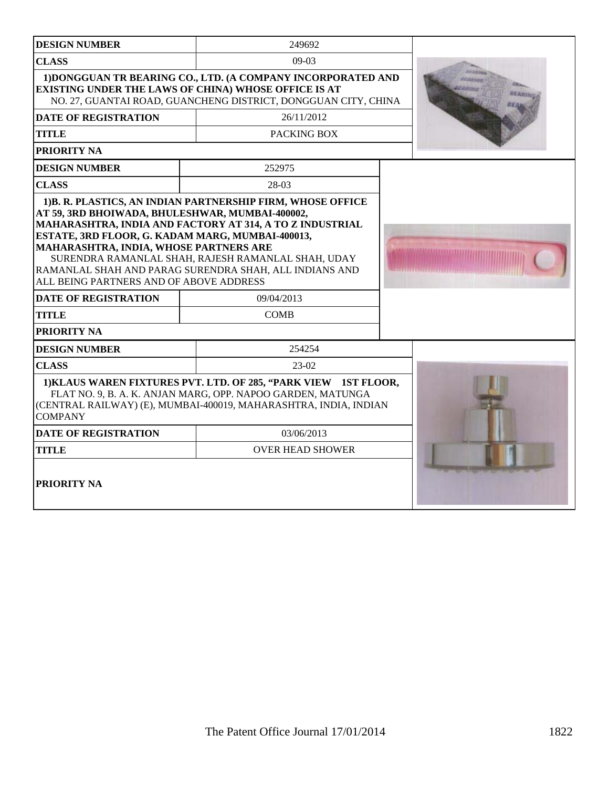| <b>DESIGN NUMBER</b>                                                                                                                                                                     | 249692                                                                                                                                                                                                                                 |  |
|------------------------------------------------------------------------------------------------------------------------------------------------------------------------------------------|----------------------------------------------------------------------------------------------------------------------------------------------------------------------------------------------------------------------------------------|--|
| <b>CLASS</b>                                                                                                                                                                             | $09-03$                                                                                                                                                                                                                                |  |
|                                                                                                                                                                                          | 1) DONGGUAN TR BEARING CO., LTD. (A COMPANY INCORPORATED AND<br><b>EXISTING UNDER THE LAWS OF CHINA) WHOSE OFFICE IS AT</b><br>NO. 27, GUANTAI ROAD, GUANCHENG DISTRICT, DONGGUAN CITY, CHINA                                          |  |
| <b>DATE OF REGISTRATION</b>                                                                                                                                                              | 26/11/2012                                                                                                                                                                                                                             |  |
| <b>TITLE</b>                                                                                                                                                                             | PACKING BOX                                                                                                                                                                                                                            |  |
| PRIORITY NA                                                                                                                                                                              |                                                                                                                                                                                                                                        |  |
| <b>DESIGN NUMBER</b>                                                                                                                                                                     | 252975                                                                                                                                                                                                                                 |  |
| <b>CLASS</b>                                                                                                                                                                             | 28-03                                                                                                                                                                                                                                  |  |
| AT 59, 3RD BHOIWADA, BHULESHWAR, MUMBAI-400002,<br>ESTATE, 3RD FLOOR, G. KADAM MARG, MUMBAI-400013,<br>MAHARASHTRA, INDIA, WHOSE PARTNERS ARE<br>ALL BEING PARTNERS AND OF ABOVE ADDRESS | 1)B. R. PLASTICS, AN INDIAN PARTNERSHIP FIRM, WHOSE OFFICE<br>MAHARASHTRA, INDIA AND FACTORY AT 314, A TO Z INDUSTRIAL<br>SURENDRA RAMANLAL SHAH, RAJESH RAMANLAL SHAH, UDAY<br>RAMANLAL SHAH AND PARAG SURENDRA SHAH, ALL INDIANS AND |  |
| <b>DATE OF REGISTRATION</b>                                                                                                                                                              | 09/04/2013                                                                                                                                                                                                                             |  |
| <b>TITLE</b>                                                                                                                                                                             | <b>COMB</b>                                                                                                                                                                                                                            |  |
| PRIORITY NA                                                                                                                                                                              |                                                                                                                                                                                                                                        |  |
| <b>DESIGN NUMBER</b>                                                                                                                                                                     | 254254                                                                                                                                                                                                                                 |  |
| <b>CLASS</b>                                                                                                                                                                             | 23-02                                                                                                                                                                                                                                  |  |
| <b>COMPANY</b>                                                                                                                                                                           | 1) KLAUS WAREN FIXTURES PVT. LTD. OF 285, "PARK VIEW 1ST FLOOR,<br>FLAT NO. 9, B. A. K. ANJAN MARG, OPP. NAPOO GARDEN, MATUNGA<br>(CENTRAL RAILWAY) (E), MUMBAI-400019, MAHARASHTRA, INDIA, INDIAN                                     |  |
| <b>DATE OF REGISTRATION</b>                                                                                                                                                              | 03/06/2013                                                                                                                                                                                                                             |  |
| TITLE                                                                                                                                                                                    | <b>OVER HEAD SHOWER</b>                                                                                                                                                                                                                |  |
| <b>PRIORITY NA</b>                                                                                                                                                                       |                                                                                                                                                                                                                                        |  |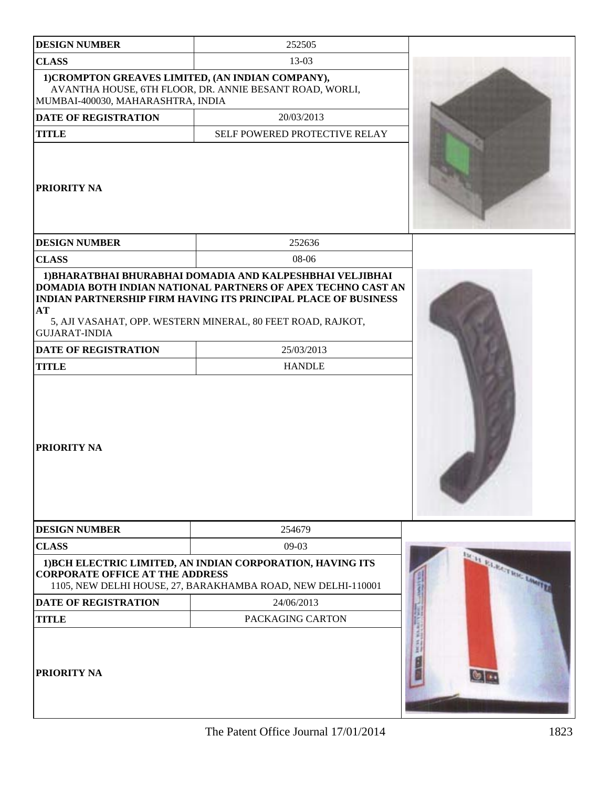| <b>DESIGN NUMBER</b>                                                                   | 252505                                                                                                                                                                                               |                       |
|----------------------------------------------------------------------------------------|------------------------------------------------------------------------------------------------------------------------------------------------------------------------------------------------------|-----------------------|
| <b>CLASS</b>                                                                           | 13-03                                                                                                                                                                                                |                       |
| 1) CROMPTON GREAVES LIMITED, (AN INDIAN COMPANY),<br>MUMBAI-400030, MAHARASHTRA, INDIA | AVANTHA HOUSE, 6TH FLOOR, DR. ANNIE BESANT ROAD, WORLI,                                                                                                                                              |                       |
| <b>DATE OF REGISTRATION</b>                                                            | 20/03/2013                                                                                                                                                                                           |                       |
| <b>TITLE</b>                                                                           | SELF POWERED PROTECTIVE RELAY                                                                                                                                                                        |                       |
| PRIORITY NA                                                                            |                                                                                                                                                                                                      |                       |
| <b>DESIGN NUMBER</b>                                                                   | 252636                                                                                                                                                                                               |                       |
| <b>CLASS</b>                                                                           | 08-06                                                                                                                                                                                                |                       |
| <b>AT</b><br><b>GUJARAT-INDIA</b>                                                      | DOMADIA BOTH INDIAN NATIONAL PARTNERS OF APEX TECHNO CAST AN<br><b>INDIAN PARTNERSHIP FIRM HAVING ITS PRINCIPAL PLACE OF BUSINESS</b><br>5, AJI VASAHAT, OPP. WESTERN MINERAL, 80 FEET ROAD, RAJKOT, |                       |
| <b>DATE OF REGISTRATION</b>                                                            | 25/03/2013                                                                                                                                                                                           |                       |
| <b>TITLE</b>                                                                           | <b>HANDLE</b>                                                                                                                                                                                        |                       |
| <b>PRIORITY NA</b>                                                                     |                                                                                                                                                                                                      |                       |
| <b>DESIGN NUMBER</b>                                                                   | 254679                                                                                                                                                                                               |                       |
| <b>CLASS</b>                                                                           | $09-03$                                                                                                                                                                                              |                       |
| <b>CORPORATE OFFICE AT THE ADDRESS</b>                                                 | 1) BCH ELECTRIC LIMITED, AN INDIAN CORPORATION, HAVING ITS<br>1105, NEW DELHI HOUSE, 27, BARAKHAMBA ROAD, NEW DELHI-110001                                                                           | MAIN PARTICIPATION OF |
| <b>DATE OF REGISTRATION</b>                                                            | 24/06/2013                                                                                                                                                                                           |                       |
| <b>TITLE</b>                                                                           | PACKAGING CARTON                                                                                                                                                                                     |                       |
| <b>PRIORITY NA</b>                                                                     |                                                                                                                                                                                                      |                       |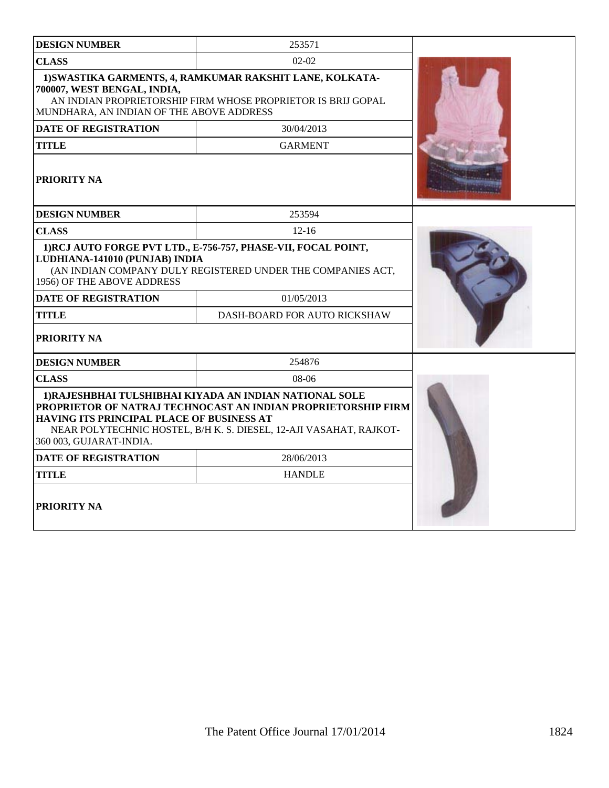| <b>DESIGN NUMBER</b>                                                                                                              | 253571                                                                                                                                                                                         |  |  |
|-----------------------------------------------------------------------------------------------------------------------------------|------------------------------------------------------------------------------------------------------------------------------------------------------------------------------------------------|--|--|
| <b>CLASS</b>                                                                                                                      | $02 - 02$                                                                                                                                                                                      |  |  |
| 700007, WEST BENGAL, INDIA,<br>MUNDHARA, AN INDIAN OF THE ABOVE ADDRESS                                                           | 1) SWASTIKA GARMENTS, 4, RAMKUMAR RAKSHIT LANE, KOLKATA-<br>AN INDIAN PROPRIETORSHIP FIRM WHOSE PROPRIETOR IS BRIJ GOPAL                                                                       |  |  |
| <b>DATE OF REGISTRATION</b>                                                                                                       | 30/04/2013                                                                                                                                                                                     |  |  |
| <b>TITLE</b>                                                                                                                      | <b>GARMENT</b>                                                                                                                                                                                 |  |  |
| <b>PRIORITY NA</b>                                                                                                                |                                                                                                                                                                                                |  |  |
| <b>DESIGN NUMBER</b>                                                                                                              | 253594                                                                                                                                                                                         |  |  |
| <b>CLASS</b>                                                                                                                      | $12 - 16$                                                                                                                                                                                      |  |  |
| LUDHIANA-141010 (PUNJAB) INDIA<br>1956) OF THE ABOVE ADDRESS<br><b>DATE OF REGISTRATION</b><br><b>TITLE</b><br><b>PRIORITY NA</b> | (AN INDIAN COMPANY DULY REGISTERED UNDER THE COMPANIES ACT,<br>01/05/2013<br>DASH-BOARD FOR AUTO RICKSHAW                                                                                      |  |  |
| <b>DESIGN NUMBER</b>                                                                                                              | 254876                                                                                                                                                                                         |  |  |
| <b>CLASS</b>                                                                                                                      | 08-06                                                                                                                                                                                          |  |  |
| HAVING ITS PRINCIPAL PLACE OF BUSINESS AT<br>360 003, GUJARAT-INDIA.                                                              | 1) RAJESHBHAI TULSHIBHAI KIYADA AN INDIAN NATIONAL SOLE<br>PROPRIETOR OF NATRAJ TECHNOCAST AN INDIAN PROPRIETORSHIP FIRM<br>NEAR POLYTECHNIC HOSTEL, B/H K. S. DIESEL, 12-AJI VASAHAT, RAJKOT- |  |  |
| <b>DATE OF REGISTRATION</b>                                                                                                       | 28/06/2013                                                                                                                                                                                     |  |  |
| <b>TITLE</b>                                                                                                                      | <b>HANDLE</b>                                                                                                                                                                                  |  |  |
| <b>PRIORITY NA</b>                                                                                                                |                                                                                                                                                                                                |  |  |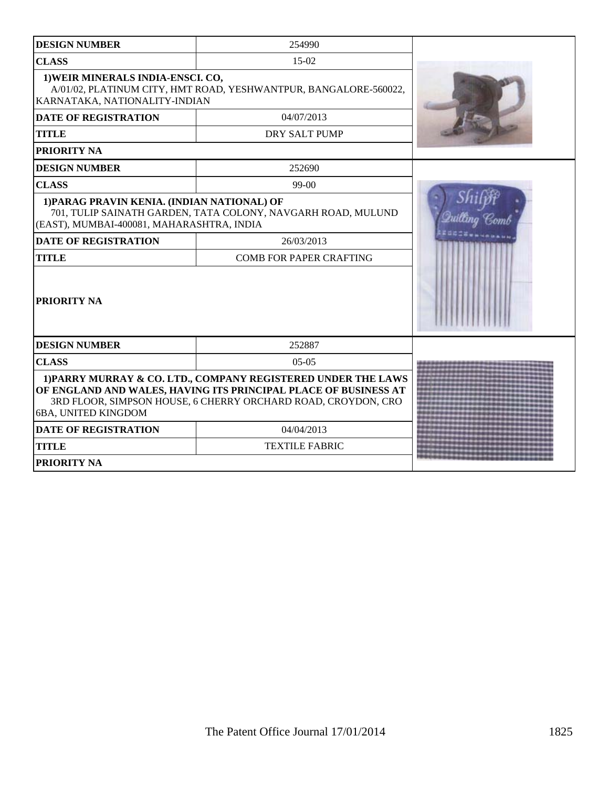| <b>DESIGN NUMBER</b>                                                                     | 254990                                                                                                                                                                                            |  |
|------------------------------------------------------------------------------------------|---------------------------------------------------------------------------------------------------------------------------------------------------------------------------------------------------|--|
| <b>CLASS</b>                                                                             | $15-02$                                                                                                                                                                                           |  |
| 1) WEIR MINERALS INDIA-ENSCI. CO,<br>KARNATAKA, NATIONALITY-INDIAN                       | A/01/02, PLATINUM CITY, HMT ROAD, YESHWANTPUR, BANGALORE-560022,                                                                                                                                  |  |
| <b>DATE OF REGISTRATION</b>                                                              | 04/07/2013                                                                                                                                                                                        |  |
| <b>TITLE</b>                                                                             | DRY SALT PUMP                                                                                                                                                                                     |  |
| PRIORITY NA                                                                              |                                                                                                                                                                                                   |  |
| <b>DESIGN NUMBER</b>                                                                     | 252690                                                                                                                                                                                            |  |
| <b>CLASS</b>                                                                             | 99-00                                                                                                                                                                                             |  |
| 1) PARAG PRAVIN KENIA. (INDIAN NATIONAL) OF<br>(EAST), MUMBAI-400081, MAHARASHTRA, INDIA | 701, TULIP SAINATH GARDEN, TATA COLONY, NAVGARH ROAD, MULUND                                                                                                                                      |  |
| <b>DATE OF REGISTRATION</b>                                                              | 26/03/2013                                                                                                                                                                                        |  |
| <b>TITLE</b>                                                                             | <b>COMB FOR PAPER CRAFTING</b>                                                                                                                                                                    |  |
| PRIORITY NA                                                                              |                                                                                                                                                                                                   |  |
| <b>DESIGN NUMBER</b>                                                                     | 252887                                                                                                                                                                                            |  |
| <b>CLASS</b>                                                                             | $05-05$                                                                                                                                                                                           |  |
| 6BA, UNITED KINGDOM                                                                      | 1) PARRY MURRAY & CO. LTD., COMPANY REGISTERED UNDER THE LAWS<br>OF ENGLAND AND WALES, HAVING ITS PRINCIPAL PLACE OF BUSINESS AT<br>3RD FLOOR, SIMPSON HOUSE, 6 CHERRY ORCHARD ROAD, CROYDON, CRO |  |
| <b>DATE OF REGISTRATION</b>                                                              | 04/04/2013                                                                                                                                                                                        |  |
| <b>TITLE</b>                                                                             | <b>TEXTILE FABRIC</b>                                                                                                                                                                             |  |
| PRIORITY NA                                                                              |                                                                                                                                                                                                   |  |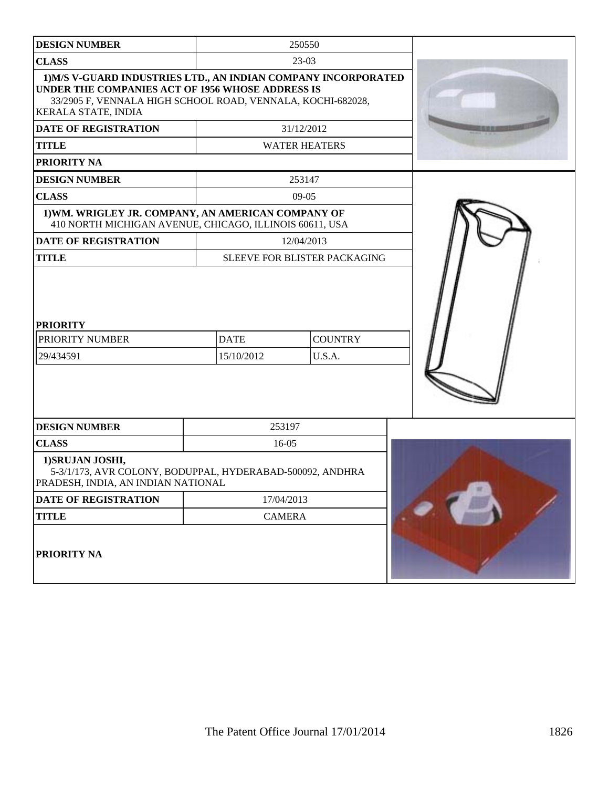| <b>DESIGN NUMBER</b>                                                                                                                                                                                            |                           | 250550                       |  |
|-----------------------------------------------------------------------------------------------------------------------------------------------------------------------------------------------------------------|---------------------------|------------------------------|--|
| <b>CLASS</b>                                                                                                                                                                                                    | $23-03$                   |                              |  |
| 1) M/S V-GUARD INDUSTRIES LTD., AN INDIAN COMPANY INCORPORATED<br>UNDER THE COMPANIES ACT OF 1956 WHOSE ADDRESS IS<br>33/2905 F, VENNALA HIGH SCHOOL ROAD, VENNALA, KOCHI-682028,<br><b>KERALA STATE, INDIA</b> |                           |                              |  |
| DATE OF REGISTRATION                                                                                                                                                                                            |                           | 31/12/2012                   |  |
| <b>TITLE</b>                                                                                                                                                                                                    |                           | <b>WATER HEATERS</b>         |  |
| PRIORITY NA                                                                                                                                                                                                     |                           |                              |  |
| <b>DESIGN NUMBER</b>                                                                                                                                                                                            |                           | 253147                       |  |
| <b>CLASS</b>                                                                                                                                                                                                    |                           | $09-05$                      |  |
| 1) WM. WRIGLEY JR. COMPANY, AN AMERICAN COMPANY OF<br>410 NORTH MICHIGAN AVENUE, CHICAGO, ILLINOIS 60611, USA                                                                                                   |                           |                              |  |
| <b>DATE OF REGISTRATION</b>                                                                                                                                                                                     |                           | 12/04/2013                   |  |
| <b>TITLE</b>                                                                                                                                                                                                    |                           | SLEEVE FOR BLISTER PACKAGING |  |
| <b>PRIORITY</b><br>PRIORITY NUMBER<br>29/434591                                                                                                                                                                 | <b>DATE</b><br>15/10/2012 | <b>COUNTRY</b><br>U.S.A.     |  |
| <b>DESIGN NUMBER</b>                                                                                                                                                                                            | 253197                    |                              |  |
| <b>CLASS</b>                                                                                                                                                                                                    | 16-05                     |                              |  |
| 1) SRUJAN JOSHI,<br>5-3/1/173, AVR COLONY, BODUPPAL, HYDERABAD-500092, ANDHRA<br>PRADESH, INDIA, AN INDIAN NATIONAL                                                                                             |                           |                              |  |
| DATE OF REGISTRATION                                                                                                                                                                                            | 17/04/2013                |                              |  |
| <b>TITLE</b>                                                                                                                                                                                                    | <b>CAMERA</b>             |                              |  |
| PRIORITY NA                                                                                                                                                                                                     |                           |                              |  |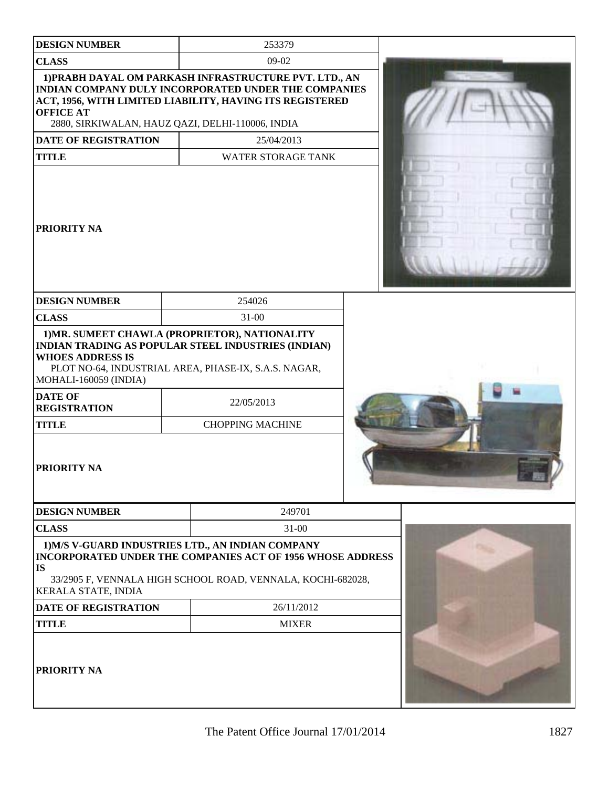| <b>DESIGN NUMBER</b>                             | 253379                                                                                                                                                                                                                         |  |
|--------------------------------------------------|--------------------------------------------------------------------------------------------------------------------------------------------------------------------------------------------------------------------------------|--|
| <b>CLASS</b>                                     | 09-02                                                                                                                                                                                                                          |  |
| <b>OFFICE AT</b>                                 | 1) PRABH DAYAL OM PARKASH INFRASTRUCTURE PVT. LTD., AN<br>INDIAN COMPANY DULY INCORPORATED UNDER THE COMPANIES<br>ACT, 1956, WITH LIMITED LIABILITY, HAVING ITS REGISTERED<br>2880, SIRKIWALAN, HAUZ QAZI, DELHI-110006, INDIA |  |
| <b>DATE OF REGISTRATION</b>                      | 25/04/2013                                                                                                                                                                                                                     |  |
| <b>TITLE</b>                                     | <b>WATER STORAGE TANK</b>                                                                                                                                                                                                      |  |
| <b>PRIORITY NA</b>                               |                                                                                                                                                                                                                                |  |
| <b>DESIGN NUMBER</b>                             | 254026                                                                                                                                                                                                                         |  |
| <b>CLASS</b>                                     | $31 - 00$                                                                                                                                                                                                                      |  |
| <b>WHOES ADDRESS IS</b><br>MOHALI-160059 (INDIA) | 1) MR. SUMEET CHAWLA (PROPRIETOR), NATIONALITY<br>INDIAN TRADING AS POPULAR STEEL INDUSTRIES (INDIAN)<br>PLOT NO-64, INDUSTRIAL AREA, PHASE-IX, S.A.S. NAGAR,                                                                  |  |
| <b>DATE OF</b><br><b>REGISTRATION</b>            | 22/05/2013                                                                                                                                                                                                                     |  |
| <b>TITLE</b>                                     | <b>CHOPPING MACHINE</b>                                                                                                                                                                                                        |  |
| <b>PRIORITY NA</b>                               |                                                                                                                                                                                                                                |  |
| <b>DESIGN NUMBER</b>                             | 249701                                                                                                                                                                                                                         |  |
| <b>CLASS</b>                                     | $31 - 00$                                                                                                                                                                                                                      |  |
| <b>IS</b><br>KERALA STATE, INDIA                 | 1) M/S V-GUARD INDUSTRIES LTD., AN INDIAN COMPANY<br>INCORPORATED UNDER THE COMPANIES ACT OF 1956 WHOSE ADDRESS<br>33/2905 F, VENNALA HIGH SCHOOL ROAD, VENNALA, KOCHI-682028,                                                 |  |
| <b>DATE OF REGISTRATION</b>                      | 26/11/2012                                                                                                                                                                                                                     |  |
| <b>TITLE</b>                                     | <b>MIXER</b>                                                                                                                                                                                                                   |  |
| <b>PRIORITY NA</b>                               |                                                                                                                                                                                                                                |  |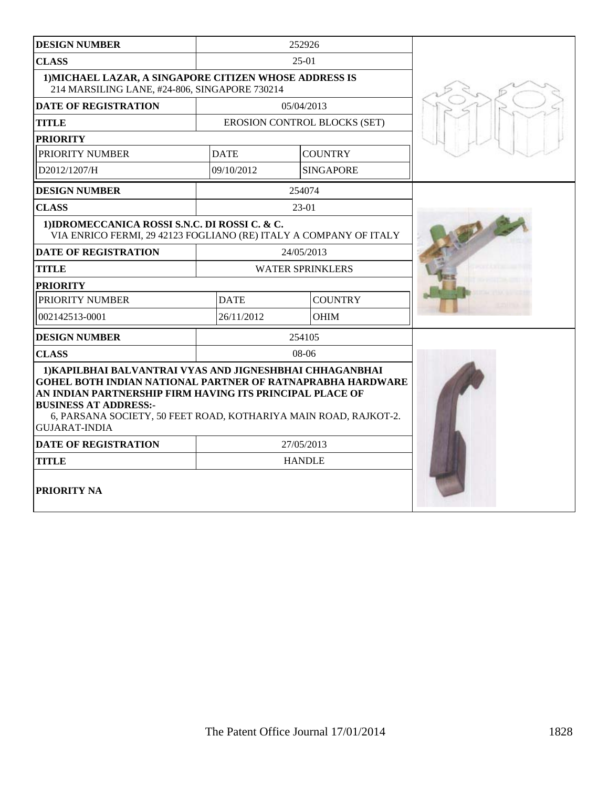| <b>DESIGN NUMBER</b>                                                                                                                                                                                                                                                                                                  |                               | 252926                       |  |
|-----------------------------------------------------------------------------------------------------------------------------------------------------------------------------------------------------------------------------------------------------------------------------------------------------------------------|-------------------------------|------------------------------|--|
| <b>CLASS</b>                                                                                                                                                                                                                                                                                                          |                               | $25-01$                      |  |
| 1) MICHAEL LAZAR, A SINGAPORE CITIZEN WHOSE ADDRESS IS<br>214 MARSILING LANE, #24-806, SINGAPORE 730214                                                                                                                                                                                                               |                               |                              |  |
| <b>DATE OF REGISTRATION</b>                                                                                                                                                                                                                                                                                           | 05/04/2013                    |                              |  |
| <b>TITLE</b>                                                                                                                                                                                                                                                                                                          |                               | EROSION CONTROL BLOCKS (SET) |  |
| <b>PRIORITY</b>                                                                                                                                                                                                                                                                                                       |                               |                              |  |
| PRIORITY NUMBER                                                                                                                                                                                                                                                                                                       | <b>DATE</b>                   | <b>COUNTRY</b>               |  |
| D2012/1207/H                                                                                                                                                                                                                                                                                                          | 09/10/2012                    | <b>SINGAPORE</b>             |  |
| <b>DESIGN NUMBER</b>                                                                                                                                                                                                                                                                                                  |                               | 254074                       |  |
| <b>CLASS</b>                                                                                                                                                                                                                                                                                                          |                               | $23-01$                      |  |
| 1) IDROMECCANICA ROSSI S.N.C. DI ROSSI C. & C.<br>VIA ENRICO FERMI, 29 42123 FOGLIANO (RE) ITALY A COMPANY OF ITALY                                                                                                                                                                                                   |                               |                              |  |
| <b>DATE OF REGISTRATION</b>                                                                                                                                                                                                                                                                                           |                               | 24/05/2013                   |  |
| <b>TITLE</b>                                                                                                                                                                                                                                                                                                          | <b>WATER SPRINKLERS</b>       |                              |  |
| <b>PRIORITY</b>                                                                                                                                                                                                                                                                                                       |                               |                              |  |
| PRIORITY NUMBER                                                                                                                                                                                                                                                                                                       | <b>COUNTRY</b><br><b>DATE</b> |                              |  |
| 002142513-0001                                                                                                                                                                                                                                                                                                        | 26/11/2012                    | <b>OHIM</b>                  |  |
| <b>DESIGN NUMBER</b>                                                                                                                                                                                                                                                                                                  |                               | 254105                       |  |
| <b>CLASS</b>                                                                                                                                                                                                                                                                                                          | $08-06$                       |                              |  |
| 1) KAPILBHAI BALVANTRAI VYAS AND JIGNESHBHAI CHHAGANBHAI<br><b>GOHEL BOTH INDIAN NATIONAL PARTNER OF RATNAPRABHA HARDWARE</b><br>AN INDIAN PARTNERSHIP FIRM HAVING ITS PRINCIPAL PLACE OF<br><b>BUSINESS AT ADDRESS:-</b><br>6, PARSANA SOCIETY, 50 FEET ROAD, KOTHARIYA MAIN ROAD, RAJKOT-2.<br><b>GUJARAT-INDIA</b> |                               |                              |  |
| <b>DATE OF REGISTRATION</b>                                                                                                                                                                                                                                                                                           |                               | 27/05/2013                   |  |
| <b>TITLE</b>                                                                                                                                                                                                                                                                                                          |                               | <b>HANDLE</b>                |  |
| PRIORITY NA                                                                                                                                                                                                                                                                                                           |                               |                              |  |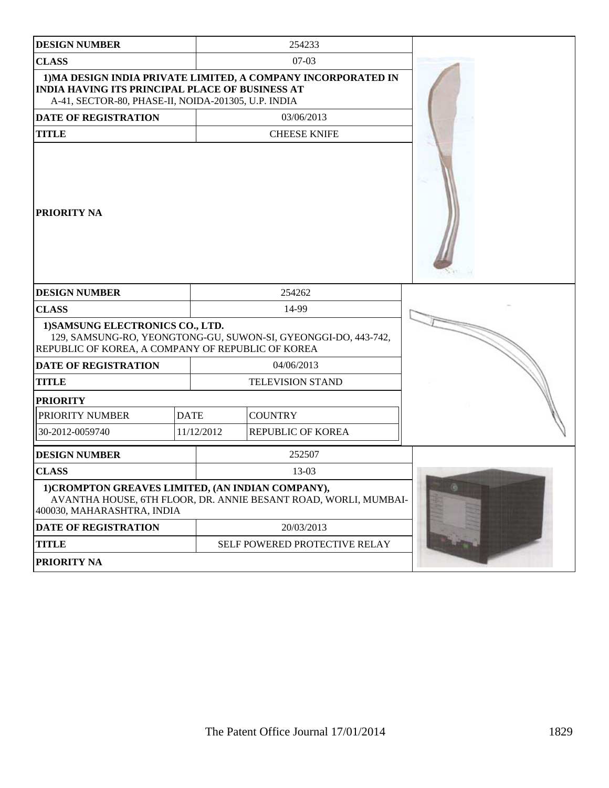| <b>DESIGN NUMBER</b>                                                                                          |             | 254233                                                          |   |
|---------------------------------------------------------------------------------------------------------------|-------------|-----------------------------------------------------------------|---|
| <b>CLASS</b>                                                                                                  |             | $07-03$                                                         |   |
| <b>INDIA HAVING ITS PRINCIPAL PLACE OF BUSINESS AT</b><br>A-41, SECTOR-80, PHASE-II, NOIDA-201305, U.P. INDIA |             | 1) MA DESIGN INDIA PRIVATE LIMITED, A COMPANY INCORPORATED IN   |   |
| <b>DATE OF REGISTRATION</b>                                                                                   |             | 03/06/2013                                                      |   |
| <b>TITLE</b>                                                                                                  |             | <b>CHEESE KNIFE</b>                                             |   |
| <b>PRIORITY NA</b>                                                                                            |             |                                                                 |   |
| <b>DESIGN NUMBER</b>                                                                                          |             | 254262                                                          |   |
| <b>CLASS</b>                                                                                                  |             | 14-99                                                           |   |
| 1) SAMSUNG ELECTRONICS CO., LTD.<br>REPUBLIC OF KOREA, A COMPANY OF REPUBLIC OF KOREA                         |             | 129, SAMSUNG-RO, YEONGTONG-GU, SUWON-SI, GYEONGGI-DO, 443-742,  |   |
| <b>DATE OF REGISTRATION</b>                                                                                   |             | 04/06/2013                                                      |   |
| <b>TITLE</b>                                                                                                  |             | <b>TELEVISION STAND</b>                                         |   |
| <b>PRIORITY</b>                                                                                               |             |                                                                 |   |
| PRIORITY NUMBER                                                                                               | <b>DATE</b> | <b>COUNTRY</b>                                                  |   |
| 30-2012-0059740                                                                                               | 11/12/2012  | REPUBLIC OF KOREA                                               |   |
| <b>DESIGN NUMBER</b>                                                                                          |             | 252507                                                          |   |
| <b>CLASS</b>                                                                                                  |             | 13-03                                                           |   |
| 1) CROMPTON GREAVES LIMITED, (AN INDIAN COMPANY),<br>400030, MAHARASHTRA, INDIA                               |             | AVANTHA HOUSE, 6TH FLOOR, DR. ANNIE BESANT ROAD, WORLI, MUMBAI- | G |
| <b>DATE OF REGISTRATION</b>                                                                                   |             | 20/03/2013                                                      |   |
| <b>TITLE</b>                                                                                                  |             | SELF POWERED PROTECTIVE RELAY                                   |   |
| PRIORITY NA                                                                                                   |             |                                                                 |   |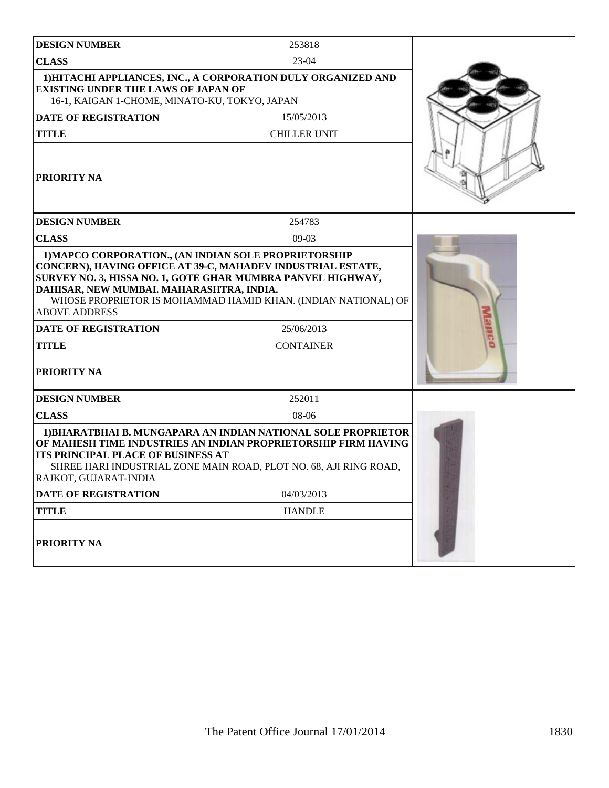| <b>DESIGN NUMBER</b>                                                                                                           | 253818                                                                                                                                                                                               |  |
|--------------------------------------------------------------------------------------------------------------------------------|------------------------------------------------------------------------------------------------------------------------------------------------------------------------------------------------------|--|
| <b>CLASS</b>                                                                                                                   | $23-04$                                                                                                                                                                                              |  |
| <b>EXISTING UNDER THE LAWS OF JAPAN OF</b><br>16-1, KAIGAN 1-CHOME, MINATO-KU, TOKYO, JAPAN                                    | 1) HITACHI APPLIANCES, INC., A CORPORATION DULY ORGANIZED AND                                                                                                                                        |  |
| <b>DATE OF REGISTRATION</b>                                                                                                    | 15/05/2013                                                                                                                                                                                           |  |
| <b>TITLE</b>                                                                                                                   | <b>CHILLER UNIT</b>                                                                                                                                                                                  |  |
| <b>PRIORITY NA</b>                                                                                                             |                                                                                                                                                                                                      |  |
| <b>DESIGN NUMBER</b>                                                                                                           | 254783                                                                                                                                                                                               |  |
| <b>CLASS</b>                                                                                                                   | $09-03$                                                                                                                                                                                              |  |
| DAHISAR, NEW MUMBAI. MAHARASHTRA, INDIA.<br><b>ABOVE ADDRESS</b><br><b>DATE OF REGISTRATION</b><br><b>TITLE</b><br>PRIORITY NA | SURVEY NO. 3, HISSA NO. 1, GOTE GHAR MUMBRA PANVEL HIGHWAY,<br>WHOSE PROPRIETOR IS MOHAMMAD HAMID KHAN. (INDIAN NATIONAL) OF<br>25/06/2013<br><b>CONTAINER</b>                                       |  |
|                                                                                                                                |                                                                                                                                                                                                      |  |
| <b>DESIGN NUMBER</b><br><b>CLASS</b>                                                                                           | 252011<br>08-06                                                                                                                                                                                      |  |
| <b>ITS PRINCIPAL PLACE OF BUSINESS AT</b><br>RAJKOT, GUJARAT-INDIA                                                             | 1) BHARATBHAI B. MUNGAPARA AN INDIAN NATIONAL SOLE PROPRIETOR<br>OF MAHESH TIME INDUSTRIES AN INDIAN PROPRIETORSHIP FIRM HAVING<br>SHREE HARI INDUSTRIAL ZONE MAIN ROAD, PLOT NO. 68, AJI RING ROAD, |  |
| <b>DATE OF REGISTRATION</b>                                                                                                    | 04/03/2013                                                                                                                                                                                           |  |
| <b>TITLE</b>                                                                                                                   | <b>HANDLE</b>                                                                                                                                                                                        |  |
| PRIORITY NA                                                                                                                    |                                                                                                                                                                                                      |  |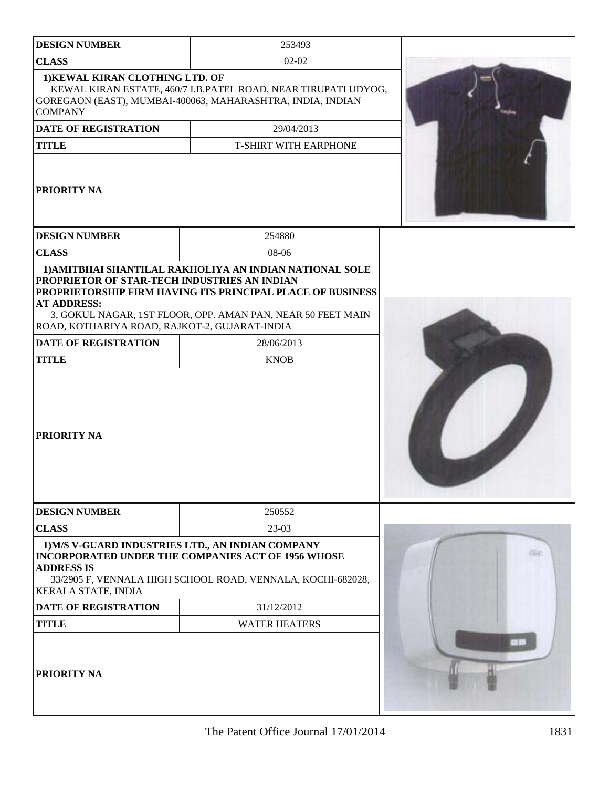| <b>DESIGN NUMBER</b>                                                                                                | 253493                                                                                                                                                                               |  |
|---------------------------------------------------------------------------------------------------------------------|--------------------------------------------------------------------------------------------------------------------------------------------------------------------------------------|--|
| <b>CLASS</b>                                                                                                        | $02 - 02$                                                                                                                                                                            |  |
| 1) KEWAL KIRAN CLOTHING LTD. OF<br><b>COMPANY</b>                                                                   | KEWAL KIRAN ESTATE, 460/7 I.B.PATEL ROAD, NEAR TIRUPATI UDYOG,<br>GOREGAON (EAST), MUMBAI-400063, MAHARASHTRA, INDIA, INDIAN                                                         |  |
| <b>DATE OF REGISTRATION</b>                                                                                         | 29/04/2013                                                                                                                                                                           |  |
| <b>TITLE</b>                                                                                                        | <b>T-SHIRT WITH EARPHONE</b>                                                                                                                                                         |  |
| PRIORITY NA                                                                                                         |                                                                                                                                                                                      |  |
| <b>DESIGN NUMBER</b>                                                                                                | 254880                                                                                                                                                                               |  |
| <b>CLASS</b>                                                                                                        | 08-06                                                                                                                                                                                |  |
| PROPRIETOR OF STAR-TECH INDUSTRIES AN INDIAN<br><b>AT ADDRESS:</b><br>ROAD, KOTHARIYA ROAD, RAJKOT-2, GUJARAT-INDIA | 1) AMITBHAI SHANTILAL RAKHOLIYA AN INDIAN NATIONAL SOLE<br>PROPRIETORSHIP FIRM HAVING ITS PRINCIPAL PLACE OF BUSINESS<br>3, GOKUL NAGAR, 1ST FLOOR, OPP. AMAN PAN, NEAR 50 FEET MAIN |  |
| <b>DATE OF REGISTRATION</b><br><b>TITLE</b>                                                                         | 28/06/2013<br><b>KNOB</b>                                                                                                                                                            |  |
| PRIORITY NA                                                                                                         |                                                                                                                                                                                      |  |
| <b>DESIGN NUMBER</b>                                                                                                | 250552                                                                                                                                                                               |  |
| <b>CLASS</b>                                                                                                        | $23-03$                                                                                                                                                                              |  |
| <b>ADDRESS IS</b><br><b>KERALA STATE, INDIA</b>                                                                     | 1) M/S V-GUARD INDUSTRIES LTD., AN INDIAN COMPANY<br><b>INCORPORATED UNDER THE COMPANIES ACT OF 1956 WHOSE</b><br>33/2905 F, VENNALA HIGH SCHOOL ROAD, VENNALA, KOCHI-682028,        |  |
| DATE OF REGISTRATION                                                                                                | 31/12/2012                                                                                                                                                                           |  |
| <b>TITLE</b>                                                                                                        | <b>WATER HEATERS</b>                                                                                                                                                                 |  |
| PRIORITY NA                                                                                                         |                                                                                                                                                                                      |  |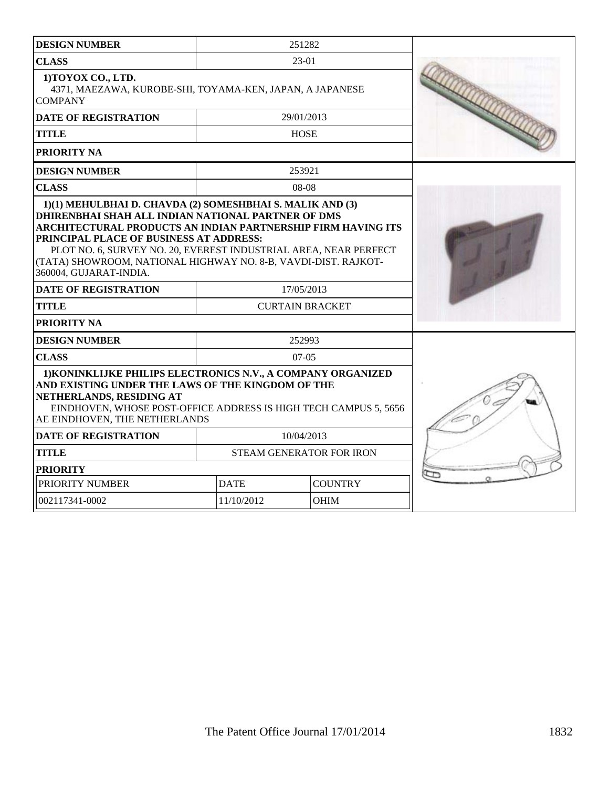| <b>DESIGN NUMBER</b>                                                                                                                                                                                                                                                                                                                                                                       |                          | 251282                 |  |
|--------------------------------------------------------------------------------------------------------------------------------------------------------------------------------------------------------------------------------------------------------------------------------------------------------------------------------------------------------------------------------------------|--------------------------|------------------------|--|
| <b>CLASS</b>                                                                                                                                                                                                                                                                                                                                                                               | 23-01                    |                        |  |
| 1) TOYOX CO., LTD.<br>4371, MAEZAWA, KUROBE-SHI, TOYAMA-KEN, JAPAN, A JAPANESE<br><b>COMPANY</b>                                                                                                                                                                                                                                                                                           |                          |                        |  |
| <b>DATE OF REGISTRATION</b>                                                                                                                                                                                                                                                                                                                                                                |                          | 29/01/2013             |  |
| <b>TITLE</b>                                                                                                                                                                                                                                                                                                                                                                               |                          | <b>HOSE</b>            |  |
| PRIORITY NA                                                                                                                                                                                                                                                                                                                                                                                |                          |                        |  |
| <b>DESIGN NUMBER</b>                                                                                                                                                                                                                                                                                                                                                                       |                          | 253921                 |  |
| <b>CLASS</b>                                                                                                                                                                                                                                                                                                                                                                               |                          | $08-08$                |  |
| 1)(1) MEHULBHAI D. CHAVDA (2) SOMESHBHAI S. MALIK AND (3)<br>DHIRENBHAI SHAH ALL INDIAN NATIONAL PARTNER OF DMS<br>ARCHITECTURAL PRODUCTS AN INDIAN PARTNERSHIP FIRM HAVING ITS<br>PRINCIPAL PLACE OF BUSINESS AT ADDRESS:<br>PLOT NO. 6, SURVEY NO. 20, EVEREST INDUSTRIAL AREA, NEAR PERFECT<br>(TATA) SHOWROOM, NATIONAL HIGHWAY NO. 8-B, VAVDI-DIST. RAJKOT-<br>360004, GUJARAT-INDIA. |                          |                        |  |
| <b>DATE OF REGISTRATION</b>                                                                                                                                                                                                                                                                                                                                                                |                          | 17/05/2013             |  |
| <b>TITLE</b>                                                                                                                                                                                                                                                                                                                                                                               |                          | <b>CURTAIN BRACKET</b> |  |
| PRIORITY NA                                                                                                                                                                                                                                                                                                                                                                                |                          |                        |  |
| <b>DESIGN NUMBER</b>                                                                                                                                                                                                                                                                                                                                                                       |                          | 252993                 |  |
| <b>CLASS</b>                                                                                                                                                                                                                                                                                                                                                                               |                          | $07-05$                |  |
| 1) KONINKLIJKE PHILIPS ELECTRONICS N.V., A COMPANY ORGANIZED<br>AND EXISTING UNDER THE LAWS OF THE KINGDOM OF THE<br>NETHERLANDS, RESIDING AT<br>EINDHOVEN, WHOSE POST-OFFICE ADDRESS IS HIGH TECH CAMPUS 5, 5656<br>AE EINDHOVEN, THE NETHERLANDS                                                                                                                                         |                          |                        |  |
| <b>DATE OF REGISTRATION</b>                                                                                                                                                                                                                                                                                                                                                                |                          | 10/04/2013             |  |
| TITLE                                                                                                                                                                                                                                                                                                                                                                                      | STEAM GENERATOR FOR IRON |                        |  |
| <b>PRIORITY</b>                                                                                                                                                                                                                                                                                                                                                                            |                          |                        |  |
| PRIORITY NUMBER                                                                                                                                                                                                                                                                                                                                                                            | <b>DATE</b>              | <b>COUNTRY</b>         |  |
| 002117341-0002                                                                                                                                                                                                                                                                                                                                                                             | 11/10/2012               | <b>OHIM</b>            |  |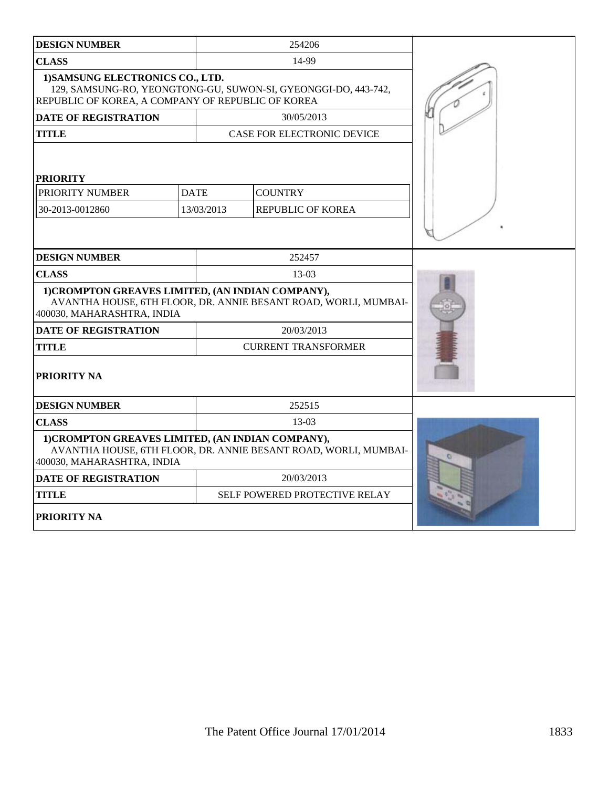| <b>DESIGN NUMBER</b>                                                                                                                                    |                           | 254206                                                          |  |
|---------------------------------------------------------------------------------------------------------------------------------------------------------|---------------------------|-----------------------------------------------------------------|--|
| <b>CLASS</b>                                                                                                                                            |                           | 14-99                                                           |  |
| 1) SAMSUNG ELECTRONICS CO., LTD.<br>129, SAMSUNG-RO, YEONGTONG-GU, SUWON-SI, GYEONGGI-DO, 443-742,<br>REPUBLIC OF KOREA, A COMPANY OF REPUBLIC OF KOREA |                           |                                                                 |  |
| <b>DATE OF REGISTRATION</b>                                                                                                                             |                           | 30/05/2013                                                      |  |
| <b>TITLE</b>                                                                                                                                            |                           | CASE FOR ELECTRONIC DEVICE                                      |  |
| <b>PRIORITY</b><br>PRIORITY NUMBER<br>30-2013-0012860                                                                                                   | <b>DATE</b><br>13/03/2013 | <b>COUNTRY</b><br><b>REPUBLIC OF KOREA</b>                      |  |
| <b>DESIGN NUMBER</b>                                                                                                                                    |                           | 252457                                                          |  |
| <b>CLASS</b>                                                                                                                                            |                           | $13-03$                                                         |  |
| 1) CROMPTON GREAVES LIMITED, (AN INDIAN COMPANY),<br>AVANTHA HOUSE, 6TH FLOOR, DR. ANNIE BESANT ROAD, WORLI, MUMBAI-<br>400030, MAHARASHTRA, INDIA      |                           |                                                                 |  |
| <b>DATE OF REGISTRATION</b>                                                                                                                             |                           | 20/03/2013                                                      |  |
| <b>TITLE</b>                                                                                                                                            |                           | <b>CURRENT TRANSFORMER</b>                                      |  |
| <b>PRIORITY NA</b>                                                                                                                                      |                           |                                                                 |  |
| <b>DESIGN NUMBER</b>                                                                                                                                    |                           | 252515                                                          |  |
| <b>CLASS</b>                                                                                                                                            |                           | $13-03$                                                         |  |
| 1) CROMPTON GREAVES LIMITED, (AN INDIAN COMPANY),<br>400030, MAHARASHTRA, INDIA                                                                         |                           | AVANTHA HOUSE, 6TH FLOOR, DR. ANNIE BESANT ROAD, WORLI, MUMBAI- |  |
| <b>DATE OF REGISTRATION</b>                                                                                                                             |                           | 20/03/2013                                                      |  |
| <b>TITLE</b>                                                                                                                                            |                           | SELF POWERED PROTECTIVE RELAY                                   |  |
| <b>PRIORITY NA</b>                                                                                                                                      |                           |                                                                 |  |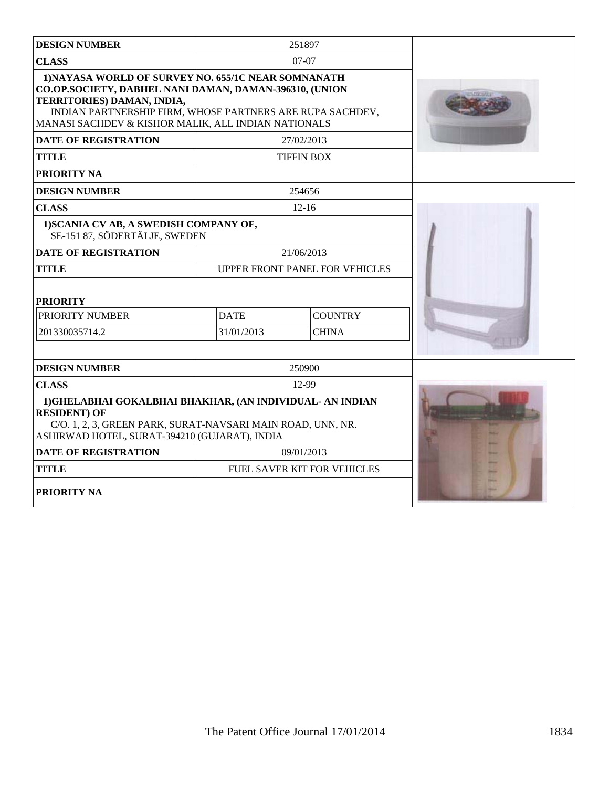| <b>DESIGN NUMBER</b>                                                                                                                                                                                                                                            |                                       | 251897                             |  |
|-----------------------------------------------------------------------------------------------------------------------------------------------------------------------------------------------------------------------------------------------------------------|---------------------------------------|------------------------------------|--|
| <b>CLASS</b>                                                                                                                                                                                                                                                    |                                       | $07-07$                            |  |
| 1) NAYASA WORLD OF SURVEY NO. 655/1C NEAR SOMNANATH<br>CO.OP.SOCIETY, DABHEL NANI DAMAN, DAMAN-396310, (UNION<br>TERRITORIES) DAMAN, INDIA,<br>INDIAN PARTNERSHIP FIRM, WHOSE PARTNERS ARE RUPA SACHDEV,<br>MANASI SACHDEV & KISHOR MALIK, ALL INDIAN NATIONALS |                                       |                                    |  |
| <b>DATE OF REGISTRATION</b>                                                                                                                                                                                                                                     |                                       | 27/02/2013                         |  |
| <b>TITLE</b>                                                                                                                                                                                                                                                    |                                       | <b>TIFFIN BOX</b>                  |  |
| PRIORITY NA                                                                                                                                                                                                                                                     |                                       |                                    |  |
| <b>DESIGN NUMBER</b>                                                                                                                                                                                                                                            |                                       | 254656                             |  |
| <b>CLASS</b>                                                                                                                                                                                                                                                    |                                       | $12 - 16$                          |  |
| 1) SCANIA CV AB, A SWEDISH COMPANY OF,<br>SE-151 87, SÖDERTÄLJE, SWEDEN                                                                                                                                                                                         |                                       |                                    |  |
| <b>DATE OF REGISTRATION</b>                                                                                                                                                                                                                                     |                                       | 21/06/2013                         |  |
| <b>TITLE</b>                                                                                                                                                                                                                                                    | <b>UPPER FRONT PANEL FOR VEHICLES</b> |                                    |  |
| <b>PRIORITY</b>                                                                                                                                                                                                                                                 |                                       |                                    |  |
| PRIORITY NUMBER                                                                                                                                                                                                                                                 | <b>COUNTRY</b><br><b>DATE</b>         |                                    |  |
| 201330035714.2                                                                                                                                                                                                                                                  | 31/01/2013                            | <b>CHINA</b>                       |  |
|                                                                                                                                                                                                                                                                 |                                       |                                    |  |
| <b>DESIGN NUMBER</b>                                                                                                                                                                                                                                            |                                       | 250900                             |  |
| <b>CLASS</b>                                                                                                                                                                                                                                                    |                                       | 12-99                              |  |
| 1) GHELABHAI GOKALBHAI BHAKHAR, (AN INDIVIDUAL-AN INDIAN<br><b>RESIDENT) OF</b><br>C/O. 1, 2, 3, GREEN PARK, SURAT-NAVSARI MAIN ROAD, UNN, NR.<br>ASHIRWAD HOTEL, SURAT-394210 (GUJARAT), INDIA                                                                 |                                       |                                    |  |
| <b>DATE OF REGISTRATION</b>                                                                                                                                                                                                                                     |                                       | 09/01/2013                         |  |
| <b>TITLE</b>                                                                                                                                                                                                                                                    |                                       | <b>FUEL SAVER KIT FOR VEHICLES</b> |  |
| <b>PRIORITY NA</b>                                                                                                                                                                                                                                              |                                       |                                    |  |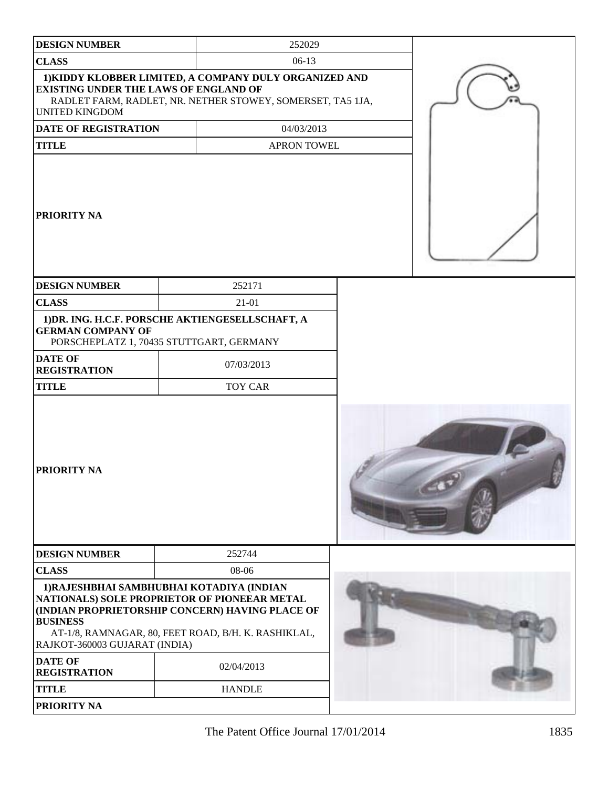| <b>DESIGN NUMBER</b>                                                  | 252029                                                                                                                                                                                              |  |  |
|-----------------------------------------------------------------------|-----------------------------------------------------------------------------------------------------------------------------------------------------------------------------------------------------|--|--|
| <b>CLASS</b>                                                          | $06-13$                                                                                                                                                                                             |  |  |
| <b>EXISTING UNDER THE LAWS OF ENGLAND OF</b><br><b>UNITED KINGDOM</b> | 1) KIDDY KLOBBER LIMITED, A COMPANY DULY ORGANIZED AND<br>RADLET FARM, RADLET, NR. NETHER STOWEY, SOMERSET, TA5 1JA,                                                                                |  |  |
| DATE OF REGISTRATION                                                  | 04/03/2013                                                                                                                                                                                          |  |  |
| <b>TITLE</b>                                                          | <b>APRON TOWEL</b>                                                                                                                                                                                  |  |  |
| <b>PRIORITY NA</b>                                                    |                                                                                                                                                                                                     |  |  |
| <b>DESIGN NUMBER</b>                                                  | 252171                                                                                                                                                                                              |  |  |
| <b>CLASS</b>                                                          | $21-01$                                                                                                                                                                                             |  |  |
| <b>GERMAN COMPANY OF</b>                                              | 1) DR. ING. H.C.F. PORSCHE AKTIENGESELLSCHAFT, A<br>PORSCHEPLATZ 1, 70435 STUTTGART, GERMANY                                                                                                        |  |  |
| <b>DATE OF</b><br><b>REGISTRATION</b>                                 | 07/03/2013                                                                                                                                                                                          |  |  |
| <b>TITLE</b>                                                          | <b>TOY CAR</b>                                                                                                                                                                                      |  |  |
| <b>PRIORITY NA</b>                                                    |                                                                                                                                                                                                     |  |  |
| <b>DESIGN NUMBER</b>                                                  | 252744                                                                                                                                                                                              |  |  |
| <b>CLASS</b>                                                          | 08-06                                                                                                                                                                                               |  |  |
| <b>BUSINESS</b><br>RAJKOT-360003 GUJARAT (INDIA)                      | 1) RAJESHBHAI SAMBHUBHAI KOTADIYA (INDIAN<br>NATIONALS) SOLE PROPRIETOR OF PIONEEAR METAL<br>(INDIAN PROPRIETORSHIP CONCERN) HAVING PLACE OF<br>AT-1/8, RAMNAGAR, 80, FEET ROAD, B/H. K. RASHIKLAL, |  |  |
| <b>DATE OF</b><br><b>REGISTRATION</b>                                 | 02/04/2013                                                                                                                                                                                          |  |  |
| <b>TITLE</b>                                                          | <b>HANDLE</b>                                                                                                                                                                                       |  |  |
| <b>PRIORITY NA</b>                                                    |                                                                                                                                                                                                     |  |  |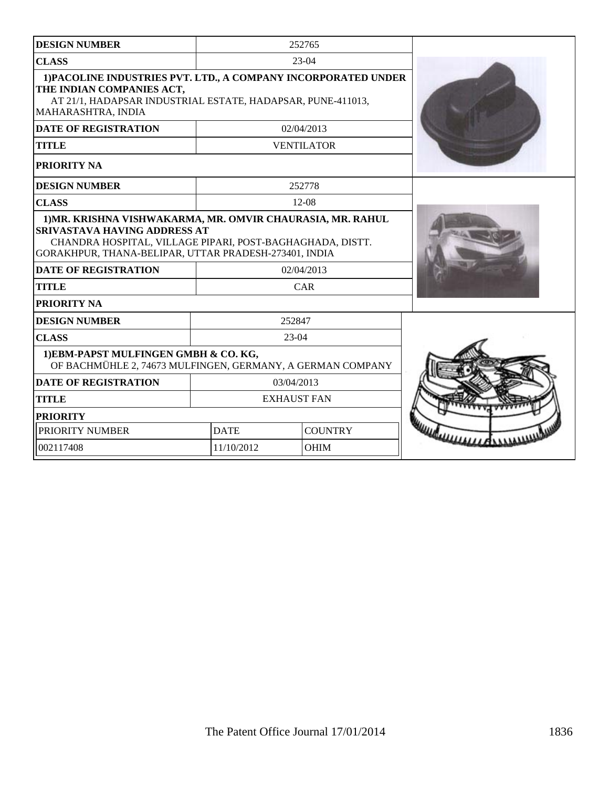| <b>DESIGN NUMBER</b>                                                                                                                                                                                                    |                               | 252765            |  |
|-------------------------------------------------------------------------------------------------------------------------------------------------------------------------------------------------------------------------|-------------------------------|-------------------|--|
| <b>CLASS</b>                                                                                                                                                                                                            |                               | $23-04$           |  |
| 1) PACOLINE INDUSTRIES PVT. LTD., A COMPANY INCORPORATED UNDER<br>THE INDIAN COMPANIES ACT,<br>AT 21/1, HADAPSAR INDUSTRIAL ESTATE, HADAPSAR, PUNE-411013,<br>MAHARASHTRA, INDIA                                        |                               |                   |  |
| <b>DATE OF REGISTRATION</b>                                                                                                                                                                                             |                               | 02/04/2013        |  |
| <b>TITLE</b>                                                                                                                                                                                                            |                               | <b>VENTILATOR</b> |  |
| <b>PRIORITY NA</b>                                                                                                                                                                                                      |                               |                   |  |
| <b>DESIGN NUMBER</b>                                                                                                                                                                                                    |                               | 252778            |  |
| <b>CLASS</b>                                                                                                                                                                                                            |                               | $12-08$           |  |
| 1) MR. KRISHNA VISHWAKARMA, MR. OMVIR CHAURASIA, MR. RAHUL<br><b>SRIVASTAVA HAVING ADDRESS AT</b><br>CHANDRA HOSPITAL, VILLAGE PIPARI, POST-BAGHAGHADA, DISTT.<br>GORAKHPUR, THANA-BELIPAR, UTTAR PRADESH-273401, INDIA |                               |                   |  |
| <b>DATE OF REGISTRATION</b>                                                                                                                                                                                             | 02/04/2013                    |                   |  |
| <b>TITLE</b>                                                                                                                                                                                                            | <b>CAR</b>                    |                   |  |
| <b>PRIORITY NA</b>                                                                                                                                                                                                      |                               |                   |  |
| <b>DESIGN NUMBER</b>                                                                                                                                                                                                    |                               | 252847            |  |
| <b>CLASS</b>                                                                                                                                                                                                            |                               | $23-04$           |  |
| 1) EBM-PAPST MULFINGEN GMBH & CO. KG,<br>OF BACHMÜHLE 2, 74673 MULFINGEN, GERMANY, A GERMAN COMPANY                                                                                                                     |                               |                   |  |
| <b>DATE OF REGISTRATION</b>                                                                                                                                                                                             | 03/04/2013                    |                   |  |
| <b>TITLE</b>                                                                                                                                                                                                            | <b>EXHAUST FAN</b>            |                   |  |
| <b>PRIORITY</b>                                                                                                                                                                                                         |                               |                   |  |
| PRIORITY NUMBER                                                                                                                                                                                                         | <b>COUNTRY</b><br><b>DATE</b> |                   |  |
| 002117408                                                                                                                                                                                                               | 11/10/2012<br>OHIM            |                   |  |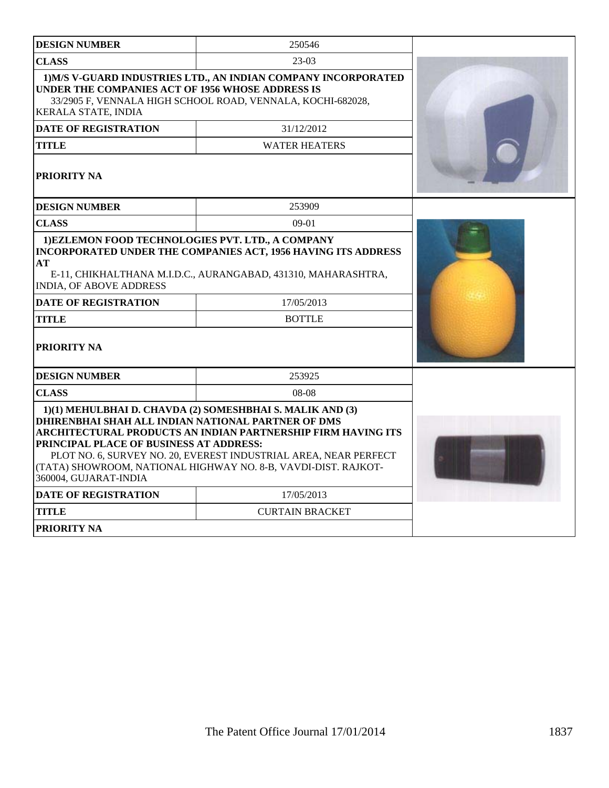| <b>DESIGN NUMBER</b>                                                                                                   | 250546                                                                                                                                                                                                                                                          |  |
|------------------------------------------------------------------------------------------------------------------------|-----------------------------------------------------------------------------------------------------------------------------------------------------------------------------------------------------------------------------------------------------------------|--|
| <b>CLASS</b>                                                                                                           | $23-03$                                                                                                                                                                                                                                                         |  |
| UNDER THE COMPANIES ACT OF 1956 WHOSE ADDRESS IS<br>KERALA STATE, INDIA                                                | 1) M/S V-GUARD INDUSTRIES LTD., AN INDIAN COMPANY INCORPORATED<br>33/2905 F, VENNALA HIGH SCHOOL ROAD, VENNALA, KOCHI-682028,                                                                                                                                   |  |
| <b>DATE OF REGISTRATION</b>                                                                                            | 31/12/2012                                                                                                                                                                                                                                                      |  |
| <b>TITLE</b>                                                                                                           | <b>WATER HEATERS</b>                                                                                                                                                                                                                                            |  |
| <b>PRIORITY NA</b>                                                                                                     |                                                                                                                                                                                                                                                                 |  |
| <b>DESIGN NUMBER</b>                                                                                                   | 253909                                                                                                                                                                                                                                                          |  |
| <b>CLASS</b>                                                                                                           | $09-01$                                                                                                                                                                                                                                                         |  |
| AT<br>INDIA, OF ABOVE ADDRESS<br><b>DATE OF REGISTRATION</b><br><b>TITLE</b><br><b>PRIORITY NA</b>                     | <b>INCORPORATED UNDER THE COMPANIES ACT, 1956 HAVING ITS ADDRESS</b><br>E-11, CHIKHALTHANA M.I.D.C., AURANGABAD, 431310, MAHARASHTRA,<br>17/05/2013<br><b>BOTTLE</b>                                                                                            |  |
| <b>DESIGN NUMBER</b>                                                                                                   | 253925                                                                                                                                                                                                                                                          |  |
| <b>CLASS</b>                                                                                                           | $08-08$                                                                                                                                                                                                                                                         |  |
| DHIRENBHAI SHAH ALL INDIAN NATIONAL PARTNER OF DMS<br>PRINCIPAL PLACE OF BUSINESS AT ADDRESS:<br>360004, GUJARAT-INDIA | 1)(1) MEHULBHAI D. CHAVDA (2) SOMESHBHAI S. MALIK AND (3)<br>ARCHITECTURAL PRODUCTS AN INDIAN PARTNERSHIP FIRM HAVING ITS<br>PLOT NO. 6, SURVEY NO. 20, EVEREST INDUSTRIAL AREA, NEAR PERFECT<br>(TATA) SHOWROOM, NATIONAL HIGHWAY NO. 8-B, VAVDI-DIST. RAJKOT- |  |
| <b>DATE OF REGISTRATION</b>                                                                                            | 17/05/2013                                                                                                                                                                                                                                                      |  |
| <b>TITLE</b>                                                                                                           | <b>CURTAIN BRACKET</b>                                                                                                                                                                                                                                          |  |
| <b>PRIORITY NA</b>                                                                                                     |                                                                                                                                                                                                                                                                 |  |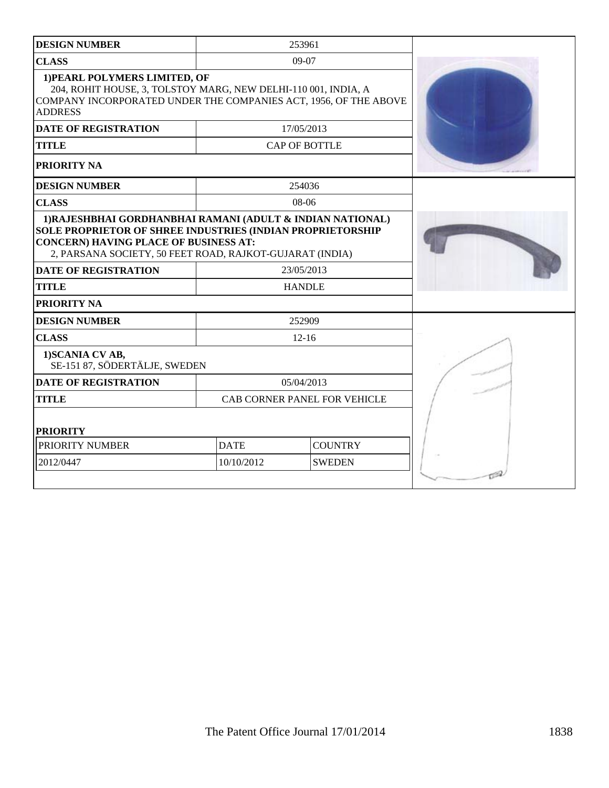| <b>DESIGN NUMBER</b>                                                                                                                                                                                                                        |                               | 253961               |  |
|---------------------------------------------------------------------------------------------------------------------------------------------------------------------------------------------------------------------------------------------|-------------------------------|----------------------|--|
| <b>CLASS</b>                                                                                                                                                                                                                                |                               | $09-07$              |  |
| 1) PEARL POLYMERS LIMITED, OF<br>204, ROHIT HOUSE, 3, TOLSTOY MARG, NEW DELHI-110 001, INDIA, A<br>COMPANY INCORPORATED UNDER THE COMPANIES ACT, 1956, OF THE ABOVE<br><b>ADDRESS</b>                                                       |                               |                      |  |
| <b>DATE OF REGISTRATION</b>                                                                                                                                                                                                                 |                               | 17/05/2013           |  |
| <b>TITLE</b>                                                                                                                                                                                                                                |                               | <b>CAP OF BOTTLE</b> |  |
| PRIORITY NA                                                                                                                                                                                                                                 |                               |                      |  |
| <b>DESIGN NUMBER</b>                                                                                                                                                                                                                        |                               | 254036               |  |
| <b>CLASS</b>                                                                                                                                                                                                                                |                               | $08-06$              |  |
| 1) RAJESHBHAI GORDHANBHAI RAMANI (ADULT & INDIAN NATIONAL)<br><b>SOLE PROPRIETOR OF SHREE INDUSTRIES (INDIAN PROPRIETORSHIP</b><br><b>CONCERN) HAVING PLACE OF BUSINESS AT:</b><br>2, PARSANA SOCIETY, 50 FEET ROAD, RAJKOT-GUJARAT (INDIA) |                               |                      |  |
| <b>DATE OF REGISTRATION</b>                                                                                                                                                                                                                 | 23/05/2013                    |                      |  |
| <b>TITLE</b>                                                                                                                                                                                                                                |                               | <b>HANDLE</b>        |  |
| PRIORITY NA                                                                                                                                                                                                                                 |                               |                      |  |
| <b>DESIGN NUMBER</b>                                                                                                                                                                                                                        |                               | 252909               |  |
| <b>CLASS</b>                                                                                                                                                                                                                                | $12 - 16$                     |                      |  |
| 1) SCANIA CV AB,<br>SE-151 87, SÖDERTÄLJE, SWEDEN                                                                                                                                                                                           |                               |                      |  |
| <b>DATE OF REGISTRATION</b>                                                                                                                                                                                                                 | 05/04/2013                    |                      |  |
| <b>TITLE</b>                                                                                                                                                                                                                                | CAB CORNER PANEL FOR VEHICLE  |                      |  |
| <b>PRIORITY</b>                                                                                                                                                                                                                             |                               |                      |  |
| PRIORITY NUMBER                                                                                                                                                                                                                             | <b>DATE</b><br><b>COUNTRY</b> |                      |  |
| 2012/0447                                                                                                                                                                                                                                   | 10/10/2012<br><b>SWEDEN</b>   |                      |  |
|                                                                                                                                                                                                                                             |                               |                      |  |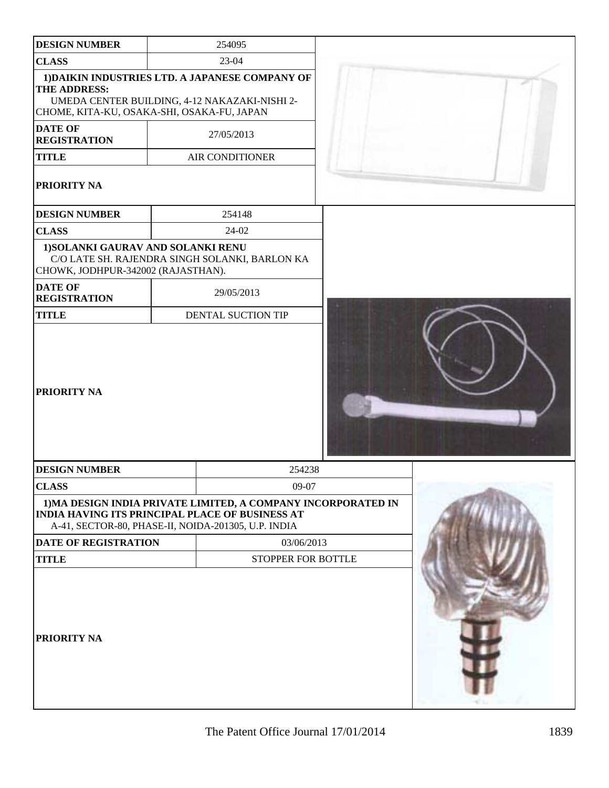| <b>DESIGN NUMBER</b>                                                     | 254095                                                                                                                                                                         |  |
|--------------------------------------------------------------------------|--------------------------------------------------------------------------------------------------------------------------------------------------------------------------------|--|
| <b>CLASS</b>                                                             | 23-04                                                                                                                                                                          |  |
| THE ADDRESS:                                                             | 1) DAIKIN INDUSTRIES LTD. A JAPANESE COMPANY OF<br>UMEDA CENTER BUILDING, 4-12 NAKAZAKI-NISHI 2-<br>CHOME, KITA-KU, OSAKA-SHI, OSAKA-FU, JAPAN                                 |  |
| <b>DATE OF</b><br><b>REGISTRATION</b>                                    | 27/05/2013                                                                                                                                                                     |  |
| <b>TITLE</b>                                                             | <b>AIR CONDITIONER</b>                                                                                                                                                         |  |
| PRIORITY NA                                                              |                                                                                                                                                                                |  |
| <b>DESIGN NUMBER</b>                                                     | 254148                                                                                                                                                                         |  |
| <b>CLASS</b>                                                             | 24-02                                                                                                                                                                          |  |
| 1) SOLANKI GAURAV AND SOLANKI RENU<br>CHOWK, JODHPUR-342002 (RAJASTHAN). | C/O LATE SH. RAJENDRA SINGH SOLANKI, BARLON KA                                                                                                                                 |  |
| <b>DATE OF</b><br><b>REGISTRATION</b>                                    | 29/05/2013                                                                                                                                                                     |  |
| <b>TITLE</b>                                                             | DENTAL SUCTION TIP                                                                                                                                                             |  |
| <b>PRIORITY NA</b>                                                       |                                                                                                                                                                                |  |
| <b>DESIGN NUMBER</b>                                                     | 254238                                                                                                                                                                         |  |
| <b>CLASS</b>                                                             | 09-07                                                                                                                                                                          |  |
|                                                                          | 1) MA DESIGN INDIA PRIVATE LIMITED, A COMPANY INCORPORATED IN<br><b>INDIA HAVING ITS PRINCIPAL PLACE OF BUSINESS AT</b><br>A-41, SECTOR-80, PHASE-II, NOIDA-201305, U.P. INDIA |  |
| DATE OF REGISTRATION                                                     | 03/06/2013                                                                                                                                                                     |  |
| <b>TITLE</b>                                                             | STOPPER FOR BOTTLE                                                                                                                                                             |  |
| PRIORITY NA                                                              |                                                                                                                                                                                |  |

 $\overline{\phantom{a}}$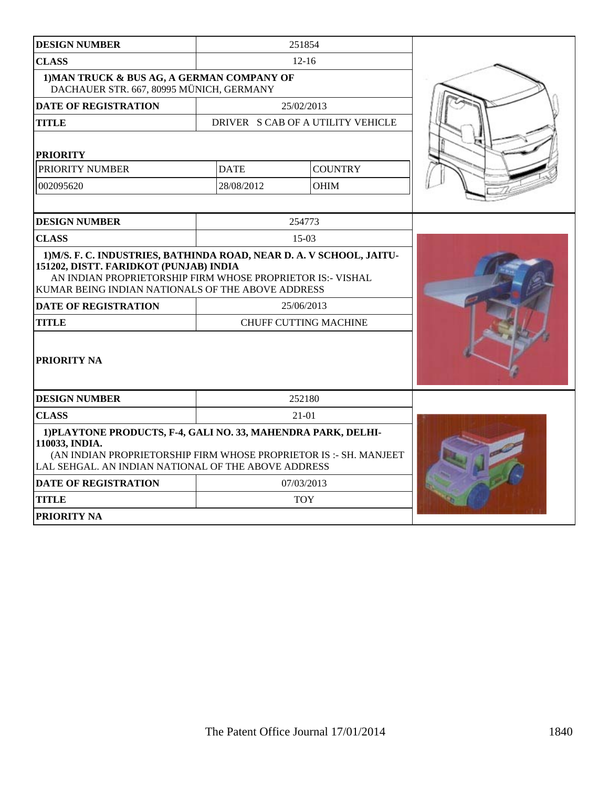| <b>DESIGN NUMBER</b>                                                                                                                                                                                                              |             | 251854                            |  |
|-----------------------------------------------------------------------------------------------------------------------------------------------------------------------------------------------------------------------------------|-------------|-----------------------------------|--|
| <b>CLASS</b>                                                                                                                                                                                                                      |             | $12 - 16$                         |  |
| 1) MAN TRUCK & BUS AG, A GERMAN COMPANY OF<br>DACHAUER STR. 667, 80995 MÜNICH, GERMANY                                                                                                                                            |             |                                   |  |
| <b>DATE OF REGISTRATION</b>                                                                                                                                                                                                       |             | 25/02/2013                        |  |
| <b>TITLE</b>                                                                                                                                                                                                                      |             | DRIVER S CAB OF A UTILITY VEHICLE |  |
| <b>PRIORITY</b>                                                                                                                                                                                                                   |             |                                   |  |
| PRIORITY NUMBER                                                                                                                                                                                                                   | <b>DATE</b> | <b>COUNTRY</b>                    |  |
| 002095620                                                                                                                                                                                                                         | 28/08/2012  | <b>OHIM</b>                       |  |
|                                                                                                                                                                                                                                   |             |                                   |  |
| <b>DESIGN NUMBER</b>                                                                                                                                                                                                              |             | 254773                            |  |
| <b>CLASS</b>                                                                                                                                                                                                                      |             | $15-03$                           |  |
| 1) M/S. F. C. INDUSTRIES, BATHINDA ROAD, NEAR D. A. V SCHOOL, JAITU-<br>151202, DISTT. FARIDKOT (PUNJAB) INDIA<br>AN INDIAN PROPRIETORSHIP FIRM WHOSE PROPRIETOR IS:- VISHAL<br>KUMAR BEING INDIAN NATIONALS OF THE ABOVE ADDRESS |             |                                   |  |
| <b>DATE OF REGISTRATION</b>                                                                                                                                                                                                       |             | 25/06/2013                        |  |
| <b>TITLE</b>                                                                                                                                                                                                                      |             | <b>CHUFF CUTTING MACHINE</b>      |  |
| <b>PRIORITY NA</b>                                                                                                                                                                                                                |             |                                   |  |
| <b>DESIGN NUMBER</b>                                                                                                                                                                                                              |             | 252180                            |  |
| <b>CLASS</b>                                                                                                                                                                                                                      |             | 21-01                             |  |
| 1) PLAYTONE PRODUCTS, F-4, GALI NO. 33, MAHENDRA PARK, DELHI-<br>110033, INDIA.<br>(AN INDIAN PROPRIETORSHIP FIRM WHOSE PROPRIETOR IS: - SH. MANJEET<br>LAL SEHGAL. AN INDIAN NATIONAL OF THE ABOVE ADDRESS                       |             |                                   |  |
| <b>DATE OF REGISTRATION</b>                                                                                                                                                                                                       |             | 07/03/2013                        |  |
| <b>TITLE</b>                                                                                                                                                                                                                      |             | <b>TOY</b>                        |  |
| <b>PRIORITY NA</b>                                                                                                                                                                                                                |             |                                   |  |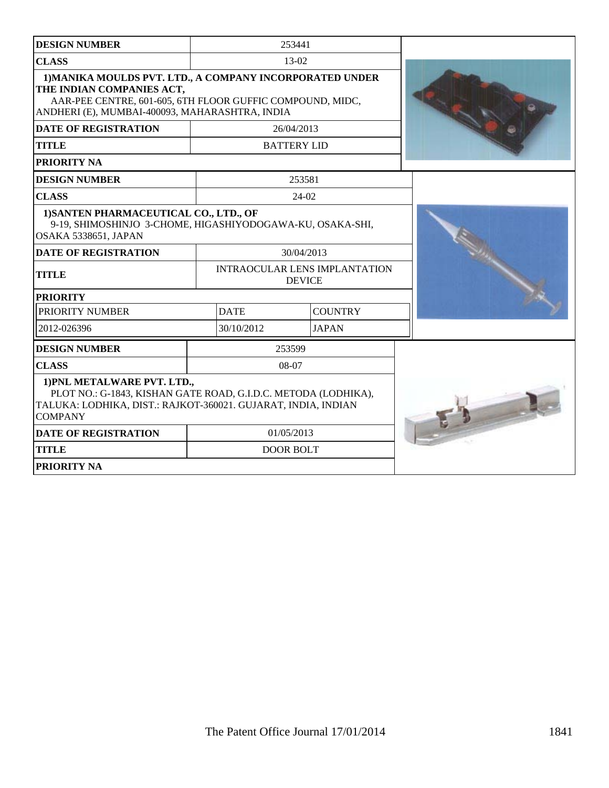| <b>DESIGN NUMBER</b>                                                                                                                                                                                 |             | 253441                                                |  |
|------------------------------------------------------------------------------------------------------------------------------------------------------------------------------------------------------|-------------|-------------------------------------------------------|--|
| <b>CLASS</b>                                                                                                                                                                                         |             | 13-02                                                 |  |
| 1) MANIKA MOULDS PVT. LTD., A COMPANY INCORPORATED UNDER<br>THE INDIAN COMPANIES ACT,<br>AAR-PEE CENTRE, 601-605, 6TH FLOOR GUFFIC COMPOUND, MIDC,<br>ANDHERI (E), MUMBAI-400093, MAHARASHTRA, INDIA |             |                                                       |  |
| <b>DATE OF REGISTRATION</b>                                                                                                                                                                          |             | 26/04/2013                                            |  |
| <b>TITLE</b>                                                                                                                                                                                         |             | <b>BATTERY LID</b>                                    |  |
| <b>PRIORITY NA</b>                                                                                                                                                                                   |             |                                                       |  |
| <b>DESIGN NUMBER</b>                                                                                                                                                                                 |             | 253581                                                |  |
| <b>CLASS</b>                                                                                                                                                                                         |             | $24-02$                                               |  |
| 1) SANTEN PHARMACEUTICAL CO., LTD., OF<br>9-19, SHIMOSHINJO 3-CHOME, HIGASHIYODOGAWA-KU, OSAKA-SHI,<br><b>OSAKA 5338651, JAPAN</b>                                                                   |             |                                                       |  |
| <b>DATE OF REGISTRATION</b>                                                                                                                                                                          |             | 30/04/2013                                            |  |
| <b>TITLE</b>                                                                                                                                                                                         |             | <b>INTRAOCULAR LENS IMPLANTATION</b><br><b>DEVICE</b> |  |
| <b>PRIORITY</b>                                                                                                                                                                                      |             |                                                       |  |
| <b>PRIORITY NUMBER</b>                                                                                                                                                                               | <b>DATE</b> | <b>COUNTRY</b>                                        |  |
| 2012-026396                                                                                                                                                                                          | 30/10/2012  | <b>JAPAN</b>                                          |  |
| <b>DESIGN NUMBER</b>                                                                                                                                                                                 |             | 253599                                                |  |
| <b>CLASS</b>                                                                                                                                                                                         |             | $08-07$                                               |  |
| 1) PNL METALWARE PVT. LTD.,<br>PLOT NO.: G-1843, KISHAN GATE ROAD, G.I.D.C. METODA (LODHIKA),<br>TALUKA: LODHIKA, DIST.: RAJKOT-360021. GUJARAT, INDIA, INDIAN<br><b>COMPANY</b>                     |             |                                                       |  |
| <b>DATE OF REGISTRATION</b>                                                                                                                                                                          |             | 01/05/2013                                            |  |
| <b>TITLE</b>                                                                                                                                                                                         |             | <b>DOOR BOLT</b>                                      |  |
| <b>PRIORITY NA</b>                                                                                                                                                                                   |             |                                                       |  |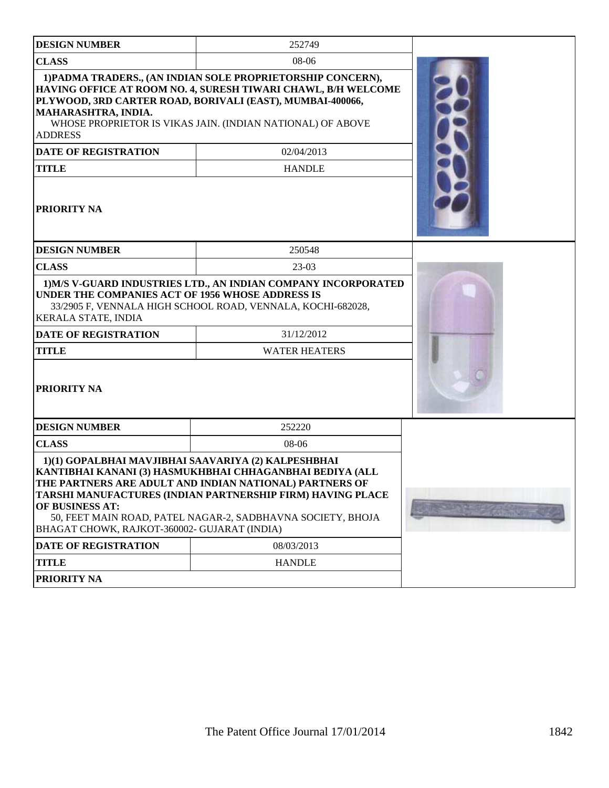| <b>DESIGN NUMBER</b>                                                                                                   | 252749                                                                                                                                                                                                                                                  |  |
|------------------------------------------------------------------------------------------------------------------------|---------------------------------------------------------------------------------------------------------------------------------------------------------------------------------------------------------------------------------------------------------|--|
| <b>CLASS</b>                                                                                                           | 08-06                                                                                                                                                                                                                                                   |  |
| MAHARASHTRA, INDIA.<br><b>ADDRESS</b>                                                                                  | 1) PADMA TRADERS., (AN INDIAN SOLE PROPRIETORSHIP CONCERN),<br>HAVING OFFICE AT ROOM NO. 4, SURESH TIWARI CHAWL, B/H WELCOME<br>PLYWOOD, 3RD CARTER ROAD, BORIVALI (EAST), MUMBAI-400066,<br>WHOSE PROPRIETOR IS VIKAS JAIN. (INDIAN NATIONAL) OF ABOVE |  |
| DATE OF REGISTRATION                                                                                                   | 02/04/2013                                                                                                                                                                                                                                              |  |
| <b>TITLE</b>                                                                                                           | <b>HANDLE</b>                                                                                                                                                                                                                                           |  |
| <b>PRIORITY NA</b>                                                                                                     |                                                                                                                                                                                                                                                         |  |
| <b>DESIGN NUMBER</b>                                                                                                   | 250548                                                                                                                                                                                                                                                  |  |
| <b>CLASS</b>                                                                                                           | $23-03$                                                                                                                                                                                                                                                 |  |
| UNDER THE COMPANIES ACT OF 1956 WHOSE ADDRESS IS<br><b>KERALA STATE, INDIA</b>                                         | 1) M/S V-GUARD INDUSTRIES LTD., AN INDIAN COMPANY INCORPORATED<br>33/2905 F, VENNALA HIGH SCHOOL ROAD, VENNALA, KOCHI-682028,                                                                                                                           |  |
| <b>DATE OF REGISTRATION</b>                                                                                            | 31/12/2012                                                                                                                                                                                                                                              |  |
| <b>TITLE</b>                                                                                                           | <b>WATER HEATERS</b>                                                                                                                                                                                                                                    |  |
| <b>PRIORITY NA</b>                                                                                                     |                                                                                                                                                                                                                                                         |  |
| <b>DESIGN NUMBER</b>                                                                                                   | 252220                                                                                                                                                                                                                                                  |  |
| <b>CLASS</b>                                                                                                           | 08-06                                                                                                                                                                                                                                                   |  |
| 1)(1) GOPALBHAI MAVJIBHAI SAAVARIYA (2) KALPESHBHAI<br>OF BUSINESS AT:<br>BHAGAT CHOWK, RAJKOT-360002- GUJARAT (INDIA) | KANTIBHAI KANANI (3) HASMUKHBHAI CHHAGANBHAI BEDIYA (ALL<br>THE PARTNERS ARE ADULT AND INDIAN NATIONAL) PARTNERS OF<br>TARSHI MANUFACTURES (INDIAN PARTNERSHIP FIRM) HAVING PLACE<br>50, FEET MAIN ROAD, PATEL NAGAR-2, SADBHAVNA SOCIETY, BHOJA        |  |
| <b>DATE OF REGISTRATION</b>                                                                                            | 08/03/2013                                                                                                                                                                                                                                              |  |
| <b>TITLE</b>                                                                                                           | <b>HANDLE</b>                                                                                                                                                                                                                                           |  |
| PRIORITY NA                                                                                                            |                                                                                                                                                                                                                                                         |  |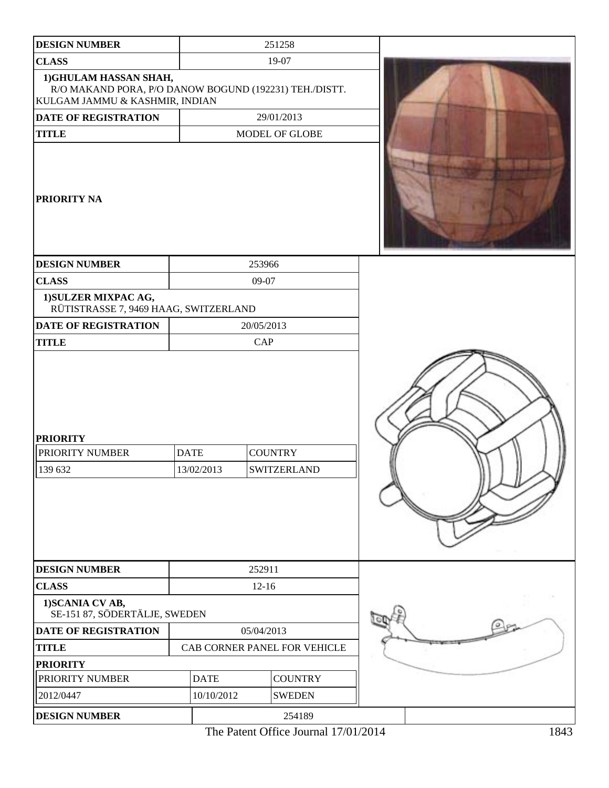| 1) SCANIA CV AB,<br>SE-151 87, SÖDERTÄLJE, SWEDEN<br>DATE OF REGISTRATION<br><b>TITLE</b><br><b>PRIORITY</b><br>PRIORITY NUMBER | <b>DATE</b>               | 05/04/2013<br>CAB CORNER PANEL FOR VEHICLE<br><b>COUNTRY</b> |  |
|---------------------------------------------------------------------------------------------------------------------------------|---------------------------|--------------------------------------------------------------|--|
|                                                                                                                                 |                           |                                                              |  |
|                                                                                                                                 |                           |                                                              |  |
|                                                                                                                                 |                           |                                                              |  |
|                                                                                                                                 |                           |                                                              |  |
| <b>CLASS</b>                                                                                                                    |                           | $12-16$                                                      |  |
| <b>DESIGN NUMBER</b>                                                                                                            |                           | 252911                                                       |  |
| <b>DATE OF REGISTRATION</b><br><b>TITLE</b><br><b>PRIORITY</b><br>PRIORITY NUMBER<br>139 632                                    | <b>DATE</b><br>13/02/2013 | 20/05/2013<br>CAP<br><b>COUNTRY</b><br><b>SWITZERLAND</b>    |  |
| 1) SULZER MIXPAC AG,<br>RÜTISTRASSE 7, 9469 HAAG, SWITZERLAND                                                                   |                           |                                                              |  |
| <b>CLASS</b>                                                                                                                    |                           | 09-07                                                        |  |
| <b>DESIGN NUMBER</b>                                                                                                            |                           | 253966                                                       |  |
| <b>PRIORITY NA</b>                                                                                                              |                           |                                                              |  |
| <b>TITLE</b>                                                                                                                    |                           | MODEL OF GLOBE                                               |  |
| R/O MAKAND PORA, P/O DANOW BOGUND (192231) TEH./DISTT.<br>KULGAM JAMMU & KASHMIR, INDIAN<br>DATE OF REGISTRATION                |                           | 29/01/2013                                                   |  |
| 1) GHULAM HASSAN SHAH,                                                                                                          |                           |                                                              |  |
| <b>CLASS</b>                                                                                                                    |                           | 19-07                                                        |  |
| <b>DESIGN NUMBER</b>                                                                                                            |                           | 251258                                                       |  |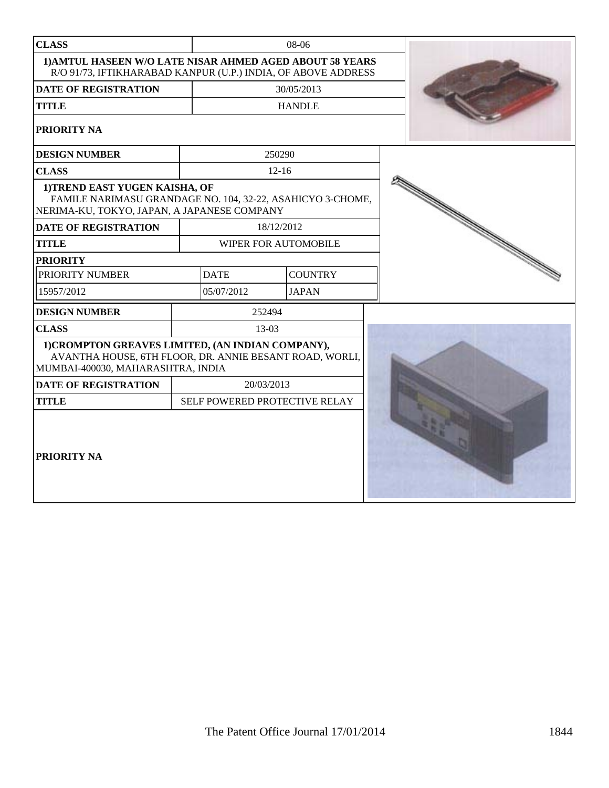| <b>CLASS</b>                                                                                                                                      | 08-06 |             |            |                               |  |
|---------------------------------------------------------------------------------------------------------------------------------------------------|-------|-------------|------------|-------------------------------|--|
| 1) AMTUL HASEEN W/O LATE NISAR AHMED AGED ABOUT 58 YEARS<br>R/O 91/73, IFTIKHARABAD KANPUR (U.P.) INDIA, OF ABOVE ADDRESS                         |       |             |            |                               |  |
| DATE OF REGISTRATION                                                                                                                              |       | 30/05/2013  |            |                               |  |
| <b>TITLE</b>                                                                                                                                      |       |             |            | <b>HANDLE</b>                 |  |
| PRIORITY NA                                                                                                                                       |       |             |            |                               |  |
| <b>DESIGN NUMBER</b>                                                                                                                              |       |             | 250290     |                               |  |
| <b>CLASS</b>                                                                                                                                      |       |             | $12 - 16$  |                               |  |
| 1) TREND EAST YUGEN KAISHA, OF<br>FAMILE NARIMASU GRANDAGE NO. 104, 32-22, ASAHICYO 3-CHOME,<br>NERIMA-KU, TOKYO, JAPAN, A JAPANESE COMPANY       |       |             |            |                               |  |
| <b>DATE OF REGISTRATION</b>                                                                                                                       |       |             | 18/12/2012 |                               |  |
| <b>TITLE</b>                                                                                                                                      |       |             |            | WIPER FOR AUTOMOBILE          |  |
| <b>PRIORITY</b>                                                                                                                                   |       |             |            |                               |  |
| PRIORITY NUMBER                                                                                                                                   |       | <b>DATE</b> |            | <b>COUNTRY</b>                |  |
| 15957/2012                                                                                                                                        |       | 05/07/2012  |            | <b>JAPAN</b>                  |  |
| <b>DESIGN NUMBER</b>                                                                                                                              |       |             | 252494     |                               |  |
| <b>CLASS</b>                                                                                                                                      |       |             | 13-03      |                               |  |
| 1) CROMPTON GREAVES LIMITED, (AN INDIAN COMPANY),<br>AVANTHA HOUSE, 6TH FLOOR, DR. ANNIE BESANT ROAD, WORLI,<br>MUMBAI-400030, MAHARASHTRA, INDIA |       |             |            |                               |  |
| <b>DATE OF REGISTRATION</b>                                                                                                                       |       |             | 20/03/2013 |                               |  |
| <b>TITLE</b>                                                                                                                                      |       |             |            | SELF POWERED PROTECTIVE RELAY |  |
| <b>PRIORITY NA</b>                                                                                                                                |       |             |            |                               |  |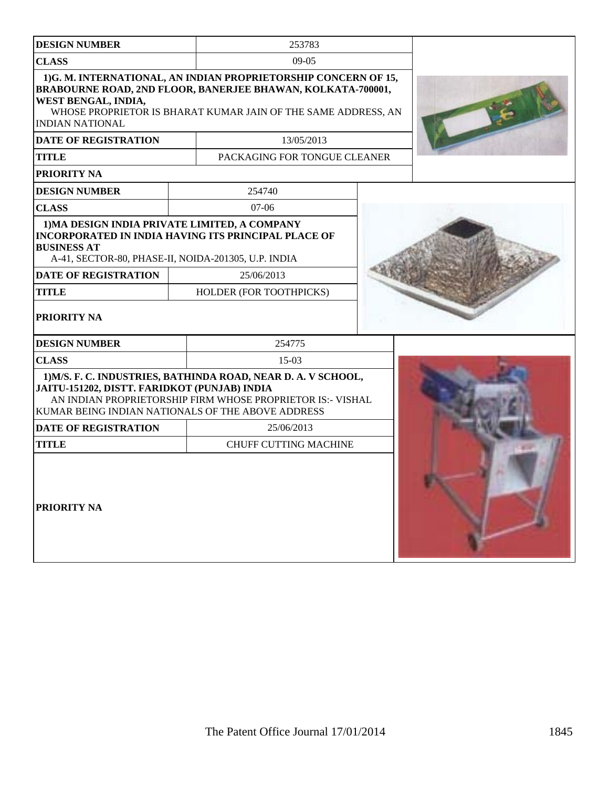| <b>DESIGN NUMBER</b>                                                                                                       | 253783                                                                                                                                                                                         |  |  |
|----------------------------------------------------------------------------------------------------------------------------|------------------------------------------------------------------------------------------------------------------------------------------------------------------------------------------------|--|--|
| <b>CLASS</b>                                                                                                               | $09-05$                                                                                                                                                                                        |  |  |
| WEST BENGAL, INDIA,<br><b>INDIAN NATIONAL</b>                                                                              | 1)G. M. INTERNATIONAL, AN INDIAN PROPRIETORSHIP CONCERN OF 15,<br>BRABOURNE ROAD, 2ND FLOOR, BANERJEE BHAWAN, KOLKATA-700001,<br>WHOSE PROPRIETOR IS BHARAT KUMAR JAIN OF THE SAME ADDRESS, AN |  |  |
| <b>DATE OF REGISTRATION</b>                                                                                                | 13/05/2013                                                                                                                                                                                     |  |  |
| <b>TITLE</b>                                                                                                               | PACKAGING FOR TONGUE CLEANER                                                                                                                                                                   |  |  |
| PRIORITY NA                                                                                                                |                                                                                                                                                                                                |  |  |
| <b>DESIGN NUMBER</b>                                                                                                       | 254740                                                                                                                                                                                         |  |  |
| <b>CLASS</b>                                                                                                               | $07-06$                                                                                                                                                                                        |  |  |
| 1) MA DESIGN INDIA PRIVATE LIMITED, A COMPANY<br><b>BUSINESS AT</b><br>A-41, SECTOR-80, PHASE-II, NOIDA-201305, U.P. INDIA | <b>INCORPORATED IN INDIA HAVING ITS PRINCIPAL PLACE OF</b>                                                                                                                                     |  |  |
| <b>DATE OF REGISTRATION</b>                                                                                                | 25/06/2013                                                                                                                                                                                     |  |  |
| <b>TITLE</b>                                                                                                               | HOLDER (FOR TOOTHPICKS)                                                                                                                                                                        |  |  |
| <b>PRIORITY NA</b>                                                                                                         |                                                                                                                                                                                                |  |  |
| <b>DESIGN NUMBER</b>                                                                                                       | 254775                                                                                                                                                                                         |  |  |
| <b>CLASS</b>                                                                                                               | $15-03$                                                                                                                                                                                        |  |  |
| JAITU-151202, DISTT. FARIDKOT (PUNJAB) INDIA<br>KUMAR BEING INDIAN NATIONALS OF THE ABOVE ADDRESS                          | 1) M/S. F. C. INDUSTRIES, BATHINDA ROAD, NEAR D. A. V SCHOOL,<br>AN INDIAN PROPRIETORSHIP FIRM WHOSE PROPRIETOR IS:- VISHAL                                                                    |  |  |
| <b>DATE OF REGISTRATION</b>                                                                                                | 25/06/2013                                                                                                                                                                                     |  |  |
| <b>TITLE</b>                                                                                                               | <b>CHUFF CUTTING MACHINE</b>                                                                                                                                                                   |  |  |
| <b>PRIORITY NA</b>                                                                                                         |                                                                                                                                                                                                |  |  |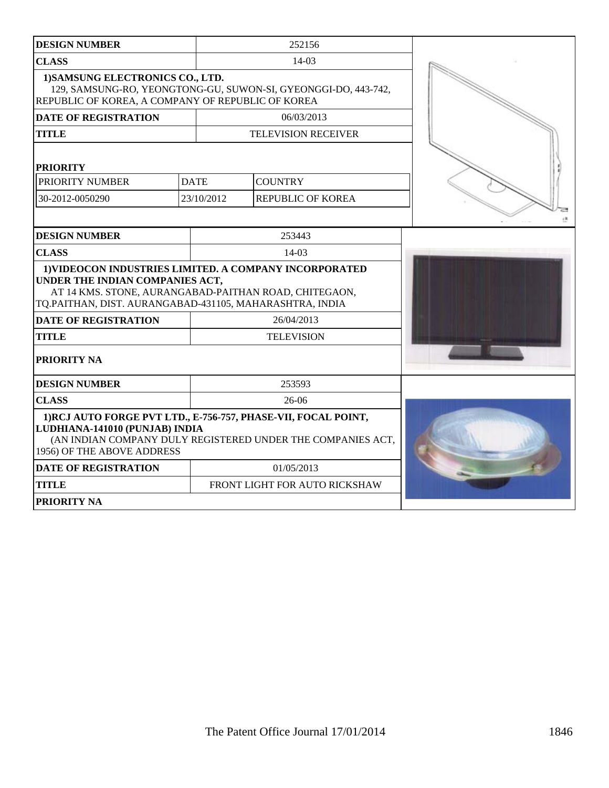| <b>DESIGN NUMBER</b>                                                                                                                                                                                          |             | 252156                        |  |
|---------------------------------------------------------------------------------------------------------------------------------------------------------------------------------------------------------------|-------------|-------------------------------|--|
| <b>CLASS</b>                                                                                                                                                                                                  |             | 14-03                         |  |
| 1) SAMSUNG ELECTRONICS CO., LTD.<br>129, SAMSUNG-RO, YEONGTONG-GU, SUWON-SI, GYEONGGI-DO, 443-742,<br>REPUBLIC OF KOREA, A COMPANY OF REPUBLIC OF KOREA                                                       |             |                               |  |
| <b>DATE OF REGISTRATION</b>                                                                                                                                                                                   |             | 06/03/2013                    |  |
| <b>TITLE</b>                                                                                                                                                                                                  |             | <b>TELEVISION RECEIVER</b>    |  |
| <b>PRIORITY</b><br>PRIORITY NUMBER                                                                                                                                                                            | <b>DATE</b> | <b>COUNTRY</b>                |  |
| 30-2012-0050290                                                                                                                                                                                               | 23/10/2012  | <b>REPUBLIC OF KOREA</b>      |  |
|                                                                                                                                                                                                               |             |                               |  |
| <b>DESIGN NUMBER</b>                                                                                                                                                                                          |             | 253443                        |  |
| <b>CLASS</b>                                                                                                                                                                                                  |             | $14-03$                       |  |
| 1) VIDEOCON INDUSTRIES LIMITED. A COMPANY INCORPORATED<br>UNDER THE INDIAN COMPANIES ACT,<br>AT 14 KMS. STONE, AURANGABAD-PAITHAN ROAD, CHITEGAON,<br>TQ.PAITHAN, DIST. AURANGABAD-431105, MAHARASHTRA, INDIA |             |                               |  |
| <b>DATE OF REGISTRATION</b>                                                                                                                                                                                   |             | 26/04/2013                    |  |
| <b>TITLE</b>                                                                                                                                                                                                  |             | <b>TELEVISION</b>             |  |
| PRIORITY NA                                                                                                                                                                                                   |             |                               |  |
| <b>DESIGN NUMBER</b>                                                                                                                                                                                          |             | 253593                        |  |
| <b>CLASS</b>                                                                                                                                                                                                  |             | $26-06$                       |  |
| 1) RCJ AUTO FORGE PVT LTD., E-756-757, PHASE-VII, FOCAL POINT,<br>LUDHIANA-141010 (PUNJAB) INDIA<br>(AN INDIAN COMPANY DULY REGISTERED UNDER THE COMPANIES ACT,<br>1956) OF THE ABOVE ADDRESS                 |             |                               |  |
| <b>DATE OF REGISTRATION</b>                                                                                                                                                                                   |             | 01/05/2013                    |  |
| <b>TITLE</b>                                                                                                                                                                                                  |             | FRONT LIGHT FOR AUTO RICKSHAW |  |
| PRIORITY NA                                                                                                                                                                                                   |             |                               |  |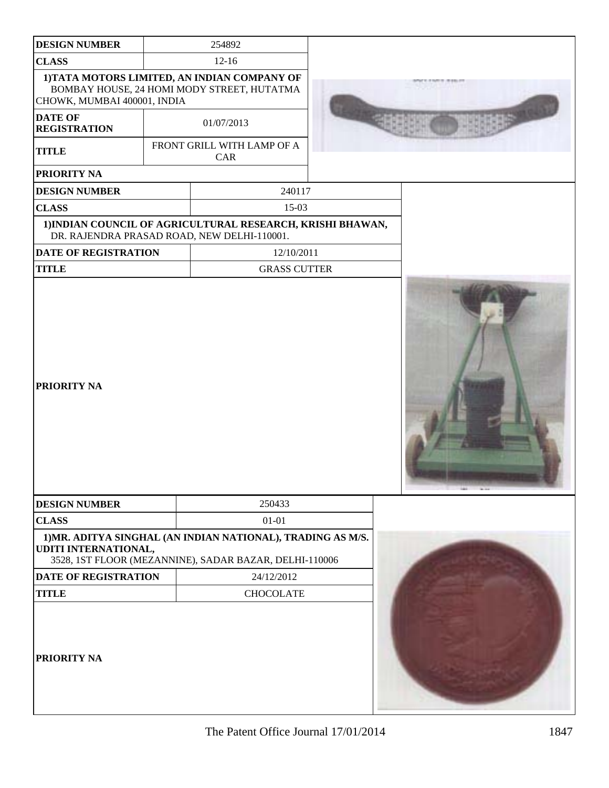| <b>DESIGN NUMBER</b>                  | 254892                                                                                                                |  |
|---------------------------------------|-----------------------------------------------------------------------------------------------------------------------|--|
| <b>CLASS</b>                          | $12 - 16$                                                                                                             |  |
| CHOWK, MUMBAI 400001, INDIA           | 1) TATA MOTORS LIMITED, AN INDIAN COMPANY OF<br>BOMBAY HOUSE, 24 HOMI MODY STREET, HUTATMA                            |  |
| <b>DATE OF</b><br><b>REGISTRATION</b> | 01/07/2013                                                                                                            |  |
| <b>TITLE</b>                          | FRONT GRILL WITH LAMP OF A<br>CAR                                                                                     |  |
| PRIORITY NA                           |                                                                                                                       |  |
| <b>DESIGN NUMBER</b>                  | 240117                                                                                                                |  |
| <b>CLASS</b>                          | 15-03                                                                                                                 |  |
|                                       | 1) INDIAN COUNCIL OF AGRICULTURAL RESEARCH, KRISHI BHAWAN,<br>DR. RAJENDRA PRASAD ROAD, NEW DELHI-110001.             |  |
| <b>DATE OF REGISTRATION</b>           | 12/10/2011                                                                                                            |  |
| <b>TITLE</b>                          | <b>GRASS CUTTER</b>                                                                                                   |  |
| PRIORITY NA                           |                                                                                                                       |  |
| <b>DESIGN NUMBER</b>                  | 250433                                                                                                                |  |
| <b>CLASS</b>                          | $01 - 01$                                                                                                             |  |
| UDITI INTERNATIONAL,                  | 1) MR. ADITYA SINGHAL (AN INDIAN NATIONAL), TRADING AS M/S.<br>3528, 1ST FLOOR (MEZANNINE), SADAR BAZAR, DELHI-110006 |  |
| DATE OF REGISTRATION                  | 24/12/2012                                                                                                            |  |
| <b>TITLE</b>                          | <b>CHOCOLATE</b>                                                                                                      |  |
| PRIORITY NA                           |                                                                                                                       |  |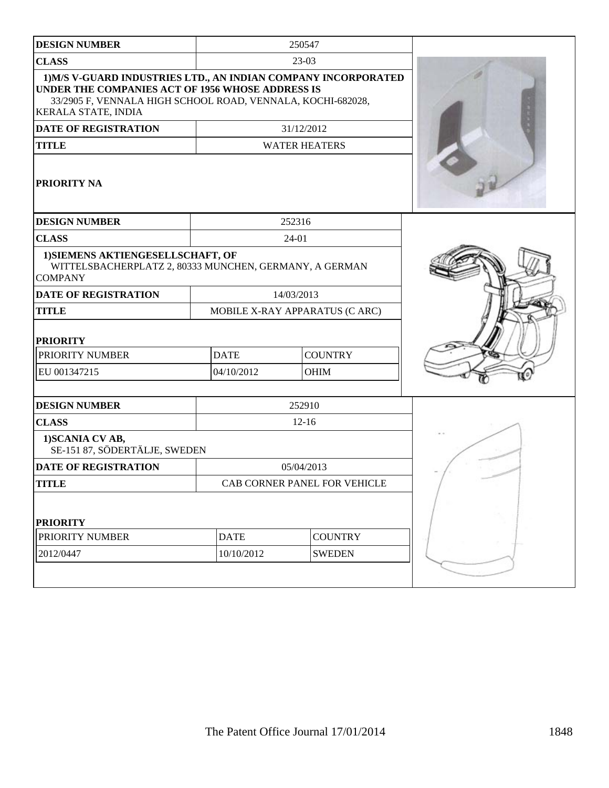| <b>DESIGN NUMBER</b>                                                                                                                                                                                     |             | 250547                         |  |
|----------------------------------------------------------------------------------------------------------------------------------------------------------------------------------------------------------|-------------|--------------------------------|--|
| <b>CLASS</b>                                                                                                                                                                                             |             | $23-03$                        |  |
| 1) M/S V-GUARD INDUSTRIES LTD., AN INDIAN COMPANY INCORPORATED<br>UNDER THE COMPANIES ACT OF 1956 WHOSE ADDRESS IS<br>33/2905 F, VENNALA HIGH SCHOOL ROAD, VENNALA, KOCHI-682028,<br>KERALA STATE, INDIA |             |                                |  |
| <b>DATE OF REGISTRATION</b>                                                                                                                                                                              |             | 31/12/2012                     |  |
| <b>TITLE</b>                                                                                                                                                                                             |             | <b>WATER HEATERS</b>           |  |
| <b>PRIORITY NA</b>                                                                                                                                                                                       |             |                                |  |
| <b>DESIGN NUMBER</b>                                                                                                                                                                                     |             | 252316                         |  |
| <b>CLASS</b>                                                                                                                                                                                             |             | 24-01                          |  |
| 1) SIEMENS AKTIENGESELLSCHAFT, OF<br>WITTELSBACHERPLATZ 2, 80333 MUNCHEN, GERMANY, A GERMAN<br><b>COMPANY</b>                                                                                            |             |                                |  |
| <b>DATE OF REGISTRATION</b>                                                                                                                                                                              |             | 14/03/2013                     |  |
| <b>TITLE</b>                                                                                                                                                                                             |             | MOBILE X-RAY APPARATUS (C ARC) |  |
| <b>PRIORITY</b>                                                                                                                                                                                          |             |                                |  |
| PRIORITY NUMBER                                                                                                                                                                                          | <b>DATE</b> | <b>COUNTRY</b>                 |  |
| EU 001347215                                                                                                                                                                                             | 04/10/2012  | <b>OHIM</b>                    |  |
| <b>DESIGN NUMBER</b>                                                                                                                                                                                     |             | 252910                         |  |
| <b>CLASS</b>                                                                                                                                                                                             |             | $12 - 16$                      |  |
| 1) SCANIA CV AB,<br>SE-151 87, SÖDERTÄLJE, SWEDEN                                                                                                                                                        |             |                                |  |
| <b>DATE OF REGISTRATION</b>                                                                                                                                                                              |             | 05/04/2013                     |  |
| <b>TITLE</b>                                                                                                                                                                                             |             | CAB CORNER PANEL FOR VEHICLE   |  |
| <b>PRIORITY</b>                                                                                                                                                                                          |             |                                |  |
| PRIORITY NUMBER                                                                                                                                                                                          | <b>DATE</b> | <b>COUNTRY</b>                 |  |
| 2012/0447                                                                                                                                                                                                | 10/10/2012  | <b>SWEDEN</b>                  |  |
|                                                                                                                                                                                                          |             |                                |  |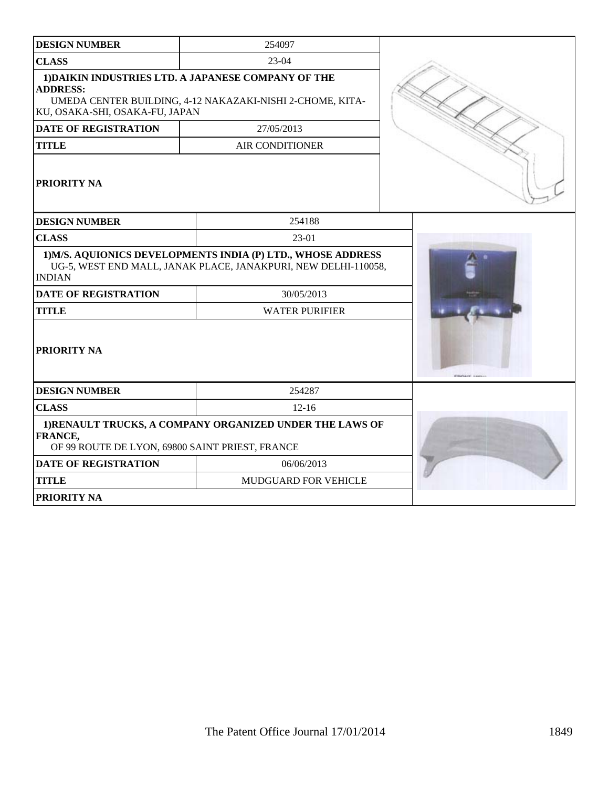| <b>DESIGN NUMBER</b>                                       | 254097                                                                                                                         |                     |
|------------------------------------------------------------|--------------------------------------------------------------------------------------------------------------------------------|---------------------|
| <b>CLASS</b>                                               | $23-04$                                                                                                                        |                     |
| <b>ADDRESS:</b><br>KU, OSAKA-SHI, OSAKA-FU, JAPAN          | 1) DAIKIN INDUSTRIES LTD. A JAPANESE COMPANY OF THE<br>UMEDA CENTER BUILDING, 4-12 NAKAZAKI-NISHI 2-CHOME, KITA-               |                     |
| <b>DATE OF REGISTRATION</b>                                | 27/05/2013                                                                                                                     |                     |
| <b>TITLE</b>                                               | <b>AIR CONDITIONER</b>                                                                                                         |                     |
| PRIORITY NA                                                |                                                                                                                                |                     |
| <b>DESIGN NUMBER</b>                                       | 254188                                                                                                                         |                     |
| <b>CLASS</b>                                               | 23-01                                                                                                                          |                     |
| <b>INDIAN</b>                                              | 1) M/S. AQUIONICS DEVELOPMENTS INDIA (P) LTD., WHOSE ADDRESS<br>UG-5, WEST END MALL, JANAK PLACE, JANAKPURI, NEW DELHI-110058, |                     |
| <b>DATE OF REGISTRATION</b>                                | 30/05/2013                                                                                                                     |                     |
| <b>TITLE</b>                                               | <b>WATER PURIFIER</b>                                                                                                          |                     |
| PRIORITY NA                                                |                                                                                                                                | Withink Links Asset |
| <b>DESIGN NUMBER</b>                                       | 254287                                                                                                                         |                     |
| <b>CLASS</b>                                               | $12 - 16$                                                                                                                      |                     |
| FRANCE,<br>OF 99 ROUTE DE LYON, 69800 SAINT PRIEST, FRANCE | 1) RENAULT TRUCKS, A COMPANY ORGANIZED UNDER THE LAWS OF                                                                       |                     |
| <b>DATE OF REGISTRATION</b>                                | 06/06/2013                                                                                                                     |                     |
| <b>TITLE</b>                                               | MUDGUARD FOR VEHICLE                                                                                                           |                     |
| <b>PRIORITY NA</b>                                         |                                                                                                                                |                     |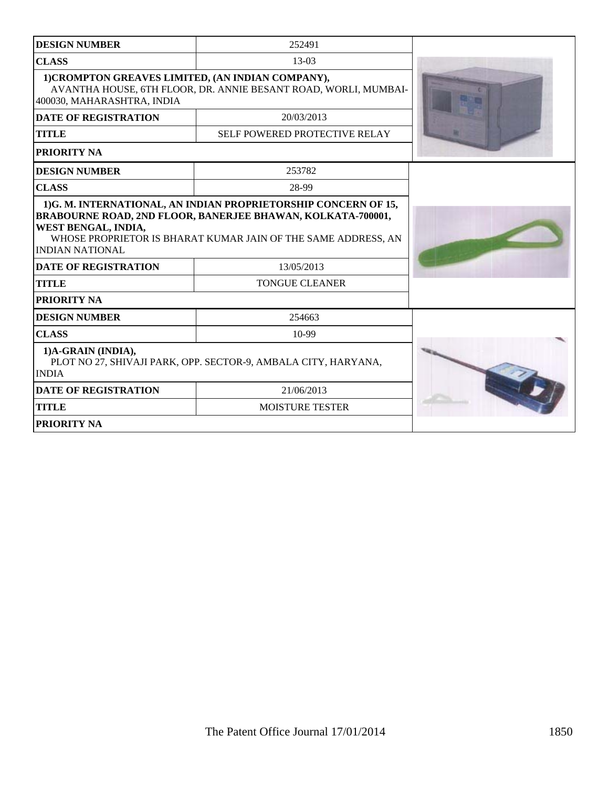| <b>DESIGN NUMBER</b>                                                                                 | 252491                                                                                                                                            |  |
|------------------------------------------------------------------------------------------------------|---------------------------------------------------------------------------------------------------------------------------------------------------|--|
| <b>CLASS</b>                                                                                         | $13-03$                                                                                                                                           |  |
| 1) CROMPTON GREAVES LIMITED, (AN INDIAN COMPANY),<br>400030, MAHARASHTRA, INDIA                      | AVANTHA HOUSE, 6TH FLOOR, DR. ANNIE BESANT ROAD, WORLI, MUMBAI-                                                                                   |  |
| <b>DATE OF REGISTRATION</b>                                                                          | 20/03/2013                                                                                                                                        |  |
| <b>TITLE</b>                                                                                         | SELF POWERED PROTECTIVE RELAY                                                                                                                     |  |
| <b>PRIORITY NA</b>                                                                                   |                                                                                                                                                   |  |
| <b>DESIGN NUMBER</b>                                                                                 | 253782                                                                                                                                            |  |
| <b>CLASS</b>                                                                                         | 28-99                                                                                                                                             |  |
| WEST BENGAL, INDIA,<br>INDIAN NATIONAL<br><b>DATE OF REGISTRATION</b>                                | <b>BRABOURNE ROAD, 2ND FLOOR, BANERJEE BHAWAN, KOLKATA-700001,</b><br>WHOSE PROPRIETOR IS BHARAT KUMAR JAIN OF THE SAME ADDRESS, AN<br>13/05/2013 |  |
| TITLE                                                                                                | <b>TONGUE CLEANER</b>                                                                                                                             |  |
| <b>PRIORITY NA</b>                                                                                   |                                                                                                                                                   |  |
| <b>DESIGN NUMBER</b>                                                                                 | 254663                                                                                                                                            |  |
| <b>CLASS</b>                                                                                         | 10-99                                                                                                                                             |  |
| 1)A-GRAIN (INDIA),<br>PLOT NO 27, SHIVAJI PARK, OPP. SECTOR-9, AMBALA CITY, HARYANA,<br><b>INDIA</b> |                                                                                                                                                   |  |
| <b>DATE OF REGISTRATION</b>                                                                          | 21/06/2013                                                                                                                                        |  |
| <b>TITLE</b>                                                                                         | <b>MOISTURE TESTER</b>                                                                                                                            |  |
| <b>PRIORITY NA</b>                                                                                   |                                                                                                                                                   |  |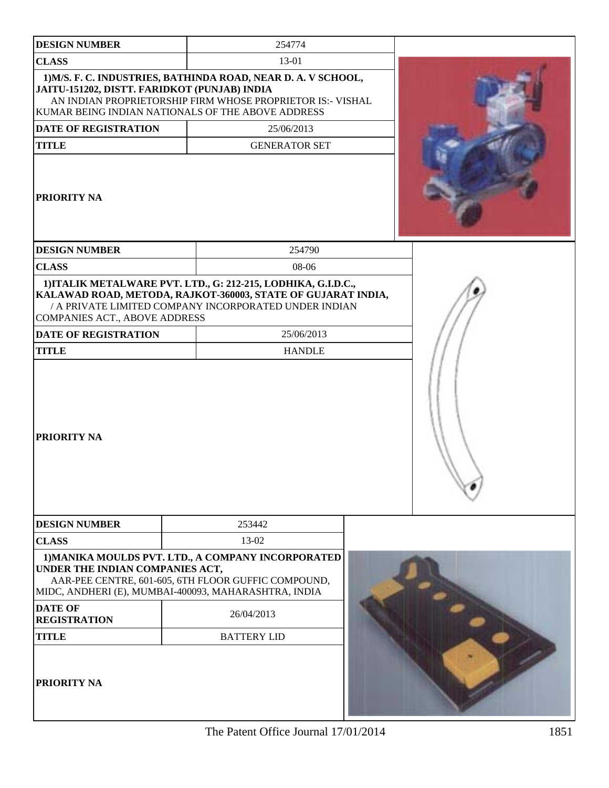| <b>DESIGN NUMBER</b>                         | 254774                                                                                                                                                                                 |  |
|----------------------------------------------|----------------------------------------------------------------------------------------------------------------------------------------------------------------------------------------|--|
| <b>CLASS</b>                                 | 13-01                                                                                                                                                                                  |  |
| JAITU-151202, DISTT. FARIDKOT (PUNJAB) INDIA | 1) M/S. F. C. INDUSTRIES, BATHINDA ROAD, NEAR D. A. V SCHOOL,<br>AN INDIAN PROPRIETORSHIP FIRM WHOSE PROPRIETOR IS:- VISHAL<br>KUMAR BEING INDIAN NATIONALS OF THE ABOVE ADDRESS       |  |
| <b>DATE OF REGISTRATION</b>                  | 25/06/2013                                                                                                                                                                             |  |
| <b>TITLE</b>                                 | <b>GENERATOR SET</b>                                                                                                                                                                   |  |
| <b>PRIORITY NA</b>                           |                                                                                                                                                                                        |  |
| <b>DESIGN NUMBER</b>                         | 254790                                                                                                                                                                                 |  |
| <b>CLASS</b>                                 | 08-06                                                                                                                                                                                  |  |
| COMPANIES ACT., ABOVE ADDRESS                | 1) ITALIK METALWARE PVT. LTD., G: 212-215, LODHIKA, G.I.D.C.,<br>KALAWAD ROAD, METODA, RAJKOT-360003, STATE OF GUJARAT INDIA,<br>/ A PRIVATE LIMITED COMPANY INCORPORATED UNDER INDIAN |  |
| <b>DATE OF REGISTRATION</b>                  | 25/06/2013                                                                                                                                                                             |  |
| <b>TITLE</b>                                 | <b>HANDLE</b>                                                                                                                                                                          |  |
| <b>PRIORITY NA</b>                           |                                                                                                                                                                                        |  |
| <b>DESIGN NUMBER</b>                         | 253442                                                                                                                                                                                 |  |
| <b>CLASS</b>                                 | 13-02                                                                                                                                                                                  |  |
| UNDER THE INDIAN COMPANIES ACT,              | 1) MANIKA MOULDS PVT. LTD., A COMPANY INCORPORATED<br>AAR-PEE CENTRE, 601-605, 6TH FLOOR GUFFIC COMPOUND,<br>MIDC, ANDHERI (E), MUMBAI-400093, MAHARASHTRA, INDIA                      |  |
| <b>DATE OF</b><br><b>REGISTRATION</b>        | 26/04/2013                                                                                                                                                                             |  |
| <b>TITLE</b>                                 | <b>BATTERY LID</b>                                                                                                                                                                     |  |
| PRIORITY NA                                  |                                                                                                                                                                                        |  |

The Patent Office Journal 17/01/2014 1851